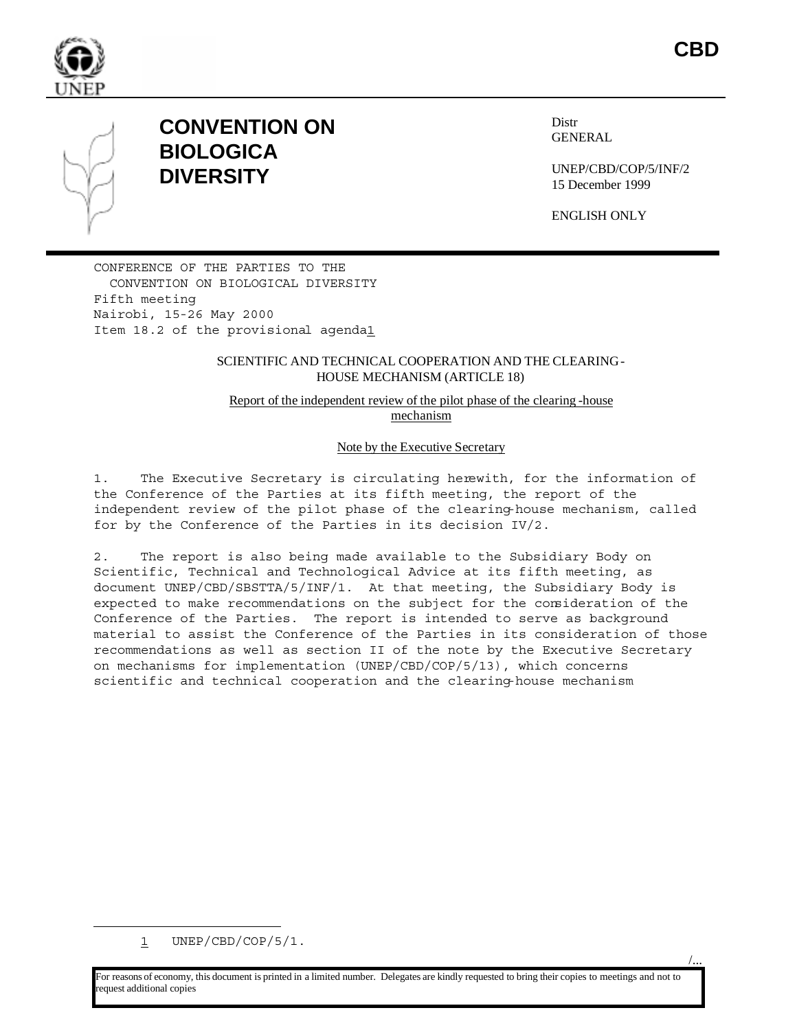

## **CONVENTION ON BIOLOGICA DIVERSITY**

Distr GENERAL

UNEP/CBD/COP/5/INF/2 15 December 1999

**CBD** 

/...

ENGLISH ONLY

CONFERENCE OF THE PARTIES TO THE CONVENTION ON BIOLOGICAL DIVERSITY Fifth meeting Nairobi, 15-26 May 2000 Item 18.2 of the provisional agenda1

#### SCIENTIFIC AND TECHNICAL COOPERATION AND THE CLEARING-HOUSE MECHANISM (ARTICLE 18)

Report of the independent review of the pilot phase of the clearing -house mechanism

#### Note by the Executive Secretary

1. The Executive Secretary is circulating herewith, for the information of the Conference of the Parties at its fifth meeting, the report of the independent review of the pilot phase of the clearing-house mechanism, called for by the Conference of the Parties in its decision IV/2.

2. The report is also being made available to the Subsidiary Body on Scientific, Technical and Technological Advice at its fifth meeting, as document UNEP/CBD/SBSTTA/5/INF/1. At that meeting, the Subsidiary Body is expected to make recommendations on the subject for the consideration of the Conference of the Parties. The report is intended to serve as background material to assist the Conference of the Parties in its consideration of those recommendations as well as section II of the note by the Executive Secretary on mechanisms for implementation (UNEP/CBD/COP/5/13), which concerns scientific and technical cooperation and the clearing-house mechanism

 $\overline{a}$ 

For reasons of economy, this document is printed in a limited number. Delegates are kindly requested to bring their copies to meetings and not to equest additional copies

 $1$  UNEP/CBD/COP/5/1.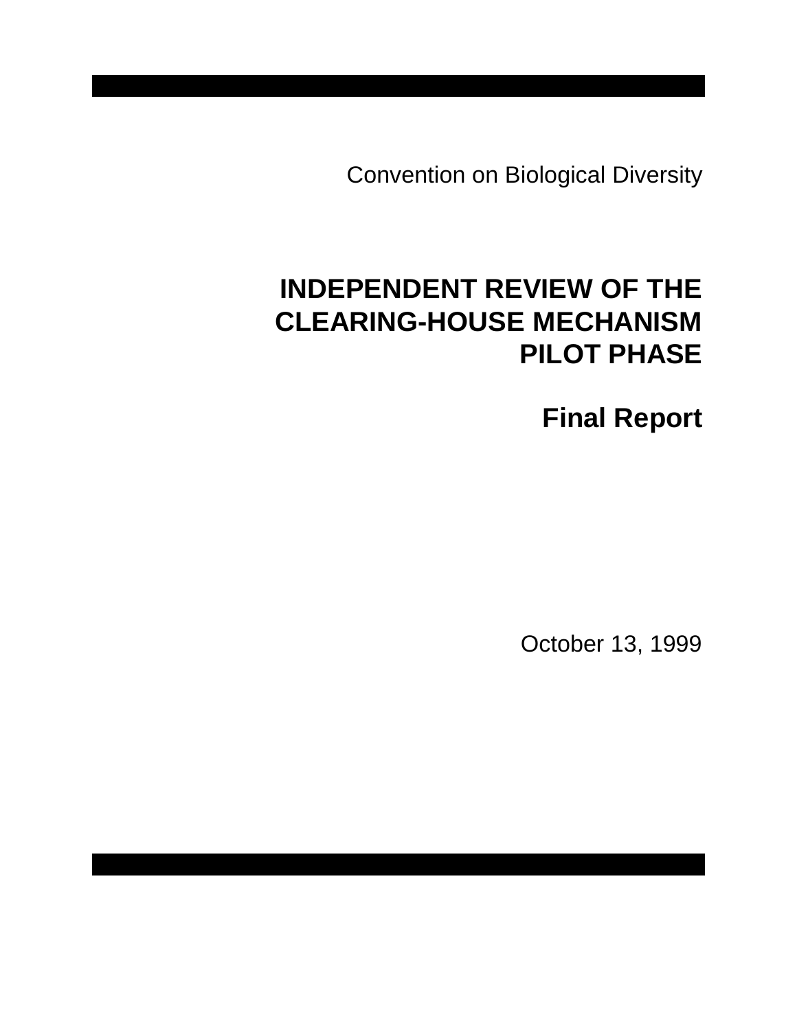Convention on Biological Diversity

# **INDEPENDENT REVIEW OF THE CLEARING-HOUSE MECHANISM PILOT PHASE**

**Final Report** 

October 13, 1999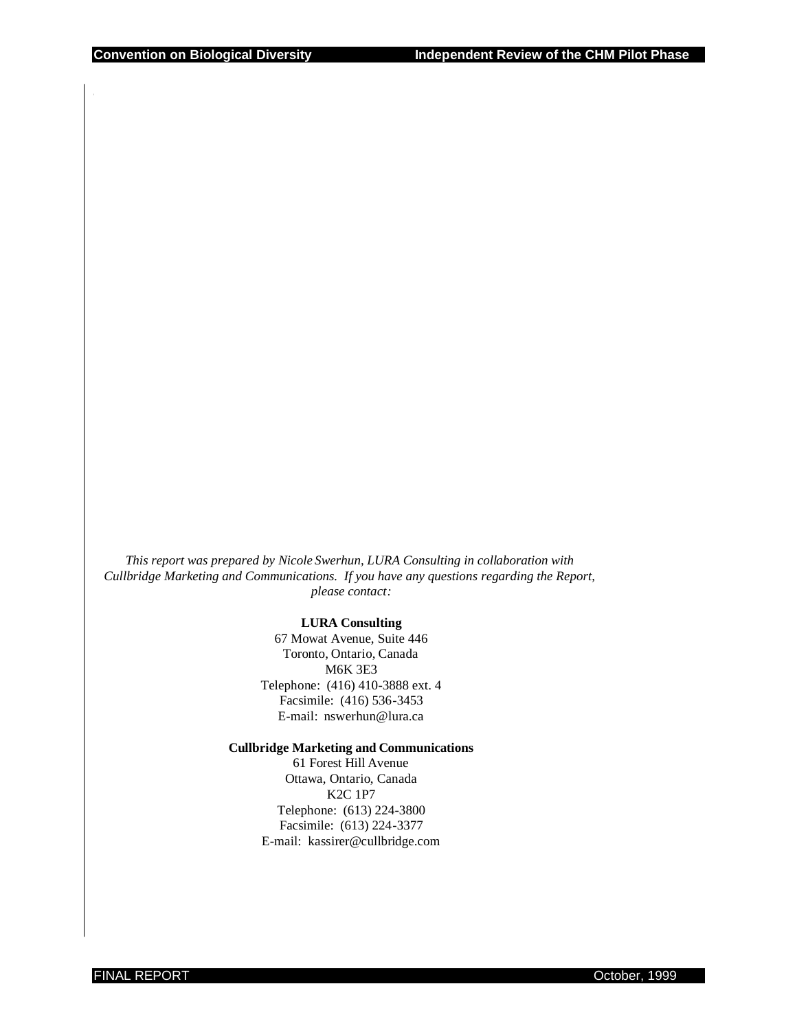*This report was prepared by Nicole Swerhun, LURA Consulting in collaboration with Cullbridge Marketing and Communications. If you have any questions regarding the Report, please contact:* 

#### **LURA Consulting**

67 Mowat Avenue, Suite 446 Toronto, Ontario, Canada M6K 3E3 Telephone: (416) 410-3888 ext. 4 Facsimile: (416) 536-3453 E-mail: nswerhun@lura.ca

#### **Cullbridge Marketing and Communications**

61 Forest Hill Avenue Ottawa, Ontario, Canada K2C 1P7 Telephone: (613) 224-3800 Facsimile: (613) 224-3377 E-mail: kassirer@cullbridge.com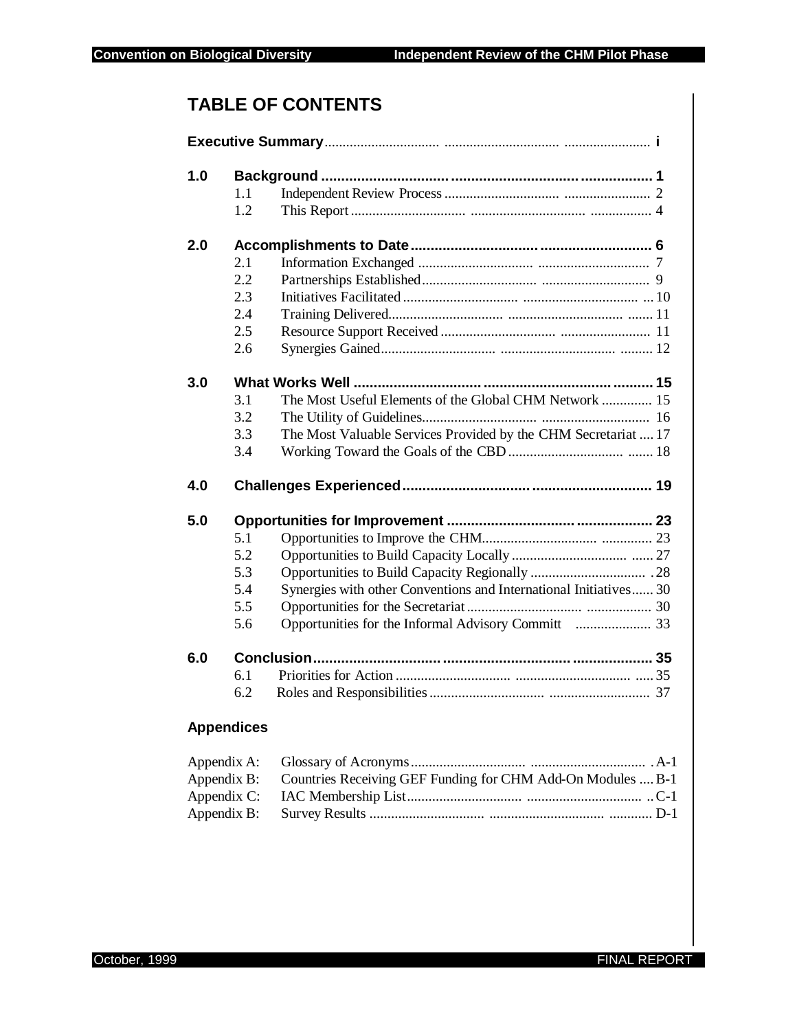## **TABLE OF CONTENTS**

| 1.0               |     |                                                                   |
|-------------------|-----|-------------------------------------------------------------------|
|                   | 1.1 |                                                                   |
|                   | 1.2 |                                                                   |
| 2.0               |     |                                                                   |
|                   | 2.1 |                                                                   |
|                   | 2.2 |                                                                   |
|                   | 2.3 |                                                                   |
|                   | 2.4 |                                                                   |
|                   | 2.5 |                                                                   |
|                   | 2.6 |                                                                   |
| 3.0               |     |                                                                   |
|                   | 3.1 | The Most Useful Elements of the Global CHM Network  15            |
|                   | 3.2 |                                                                   |
|                   | 3.3 | The Most Valuable Services Provided by the CHM Secretariat  17    |
|                   | 3.4 |                                                                   |
| 4.0               |     |                                                                   |
| 5.0               |     |                                                                   |
|                   | 5.1 |                                                                   |
|                   | 5.2 |                                                                   |
|                   | 5.3 |                                                                   |
|                   | 5.4 | Synergies with other Conventions and International Initiatives 30 |
|                   | 5.5 |                                                                   |
|                   | 5.6 |                                                                   |
| 6.0               |     |                                                                   |
|                   | 6.1 |                                                                   |
|                   | 6.2 |                                                                   |
| <b>Appendices</b> |     |                                                                   |
| Appendix A:       |     |                                                                   |
| Appendix B:       |     | Countries Receiving GEF Funding for CHM Add-On Modules  B-1       |
| Appendix C:       |     |                                                                   |

Appendix B: Survey Results ................................ ................................ ............ D-1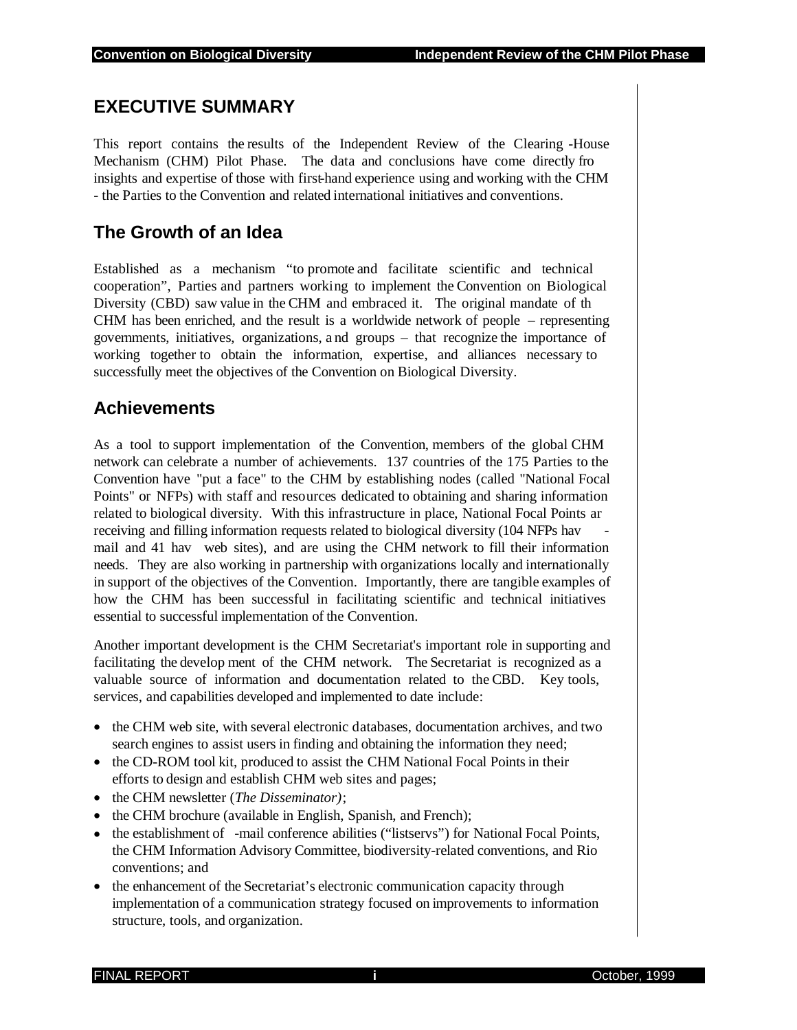## **EXECUTIVE SUMMARY**

This report contains the results of the Independent Review of the Clearing -House Mechanism (CHM) Pilot Phase. The data and conclusions have come directly fro insights and expertise of those with first-hand experience using and working with the CHM - the Parties to the Convention and related international initiatives and conventions.

## **The Growth of an Idea**

Established as a mechanism "to promote and facilitate scientific and technical cooperation", Parties and partners working to implement the Convention on Biological Diversity (CBD) saw value in the CHM and embraced it. The original mandate of th CHM has been enriched, and the result is a worldwide network of people – representing governments, initiatives, organizations, a nd groups – that recognize the importance of working together to obtain the information, expertise, and alliances necessary to successfully meet the objectives of the Convention on Biological Diversity.

## **Achievements**

As a tool to support implementation of the Convention, members of the global CHM network can celebrate a number of achievements. 137 countries of the 175 Parties to the Convention have "put a face" to the CHM by establishing nodes (called "National Focal Points" or NFPs) with staff and resources dedicated to obtaining and sharing information related to biological diversity. With this infrastructure in place, National Focal Points ar receiving and filling information requests related to biological diversity (104 NFPs hav mail and 41 hav web sites), and are using the CHM network to fill their information needs. They are also working in partnership with organizations locally and internationally in support of the objectives of the Convention. Importantly, there are tangible examples of how the CHM has been successful in facilitating scientific and technical initiatives essential to successful implementation of the Convention.

Another important development is the CHM Secretariat's important role in supporting and facilitating the develop ment of the CHM network. The Secretariat is recognized as a valuable source of information and documentation related to the CBD. Key tools, services, and capabilities developed and implemented to date include:

- the CHM web site, with several electronic databases, documentation archives, and two search engines to assist users in finding and obtaining the information they need;
- the CD-ROM tool kit, produced to assist the CHM National Focal Points in their efforts to design and establish CHM web sites and pages;
- the CHM newsletter (*The Disseminator)*;
- the CHM brochure (available in English, Spanish, and French);
- the establishment of -mail conference abilities ("listservs") for National Focal Points, the CHM Information Advisory Committee, biodiversity-related conventions, and Rio conventions; and
- the enhancement of the Secretariat's electronic communication capacity through implementation of a communication strategy focused on improvements to information structure, tools, and organization.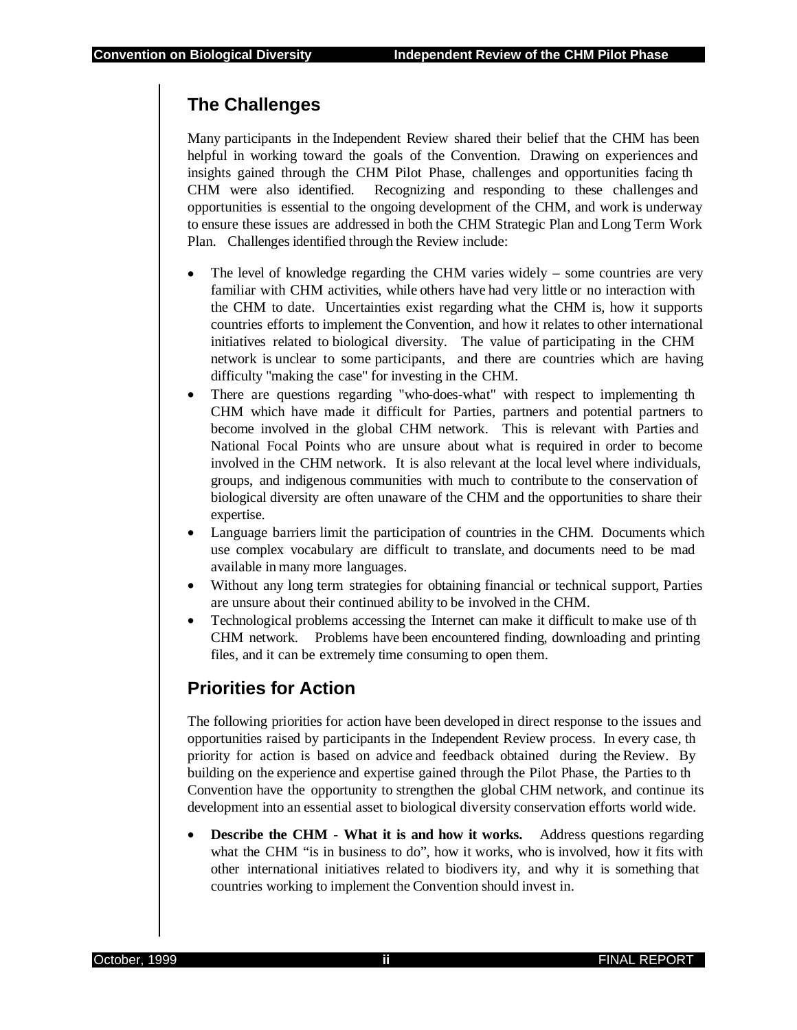## **The Challenges**

Many participants in the Independent Review shared their belief that the CHM has been helpful in working toward the goals of the Convention. Drawing on experiences and insights gained through the CHM Pilot Phase, challenges and opportunities facing th CHM were also identified. Recognizing and responding to these challenges and opportunities is essential to the ongoing development of the CHM, and work is underway to ensure these issues are addressed in both the CHM Strategic Plan and Long Term Work Plan. Challenges identified through the Review include:

- The level of knowledge regarding the CHM varies widely some countries are very familiar with CHM activities, while others have had very little or no interaction with the CHM to date. Uncertainties exist regarding what the CHM is, how it supports countries efforts to implement the Convention, and how it relates to other international initiatives related to biological diversity. The value of participating in the CHM network is unclear to some participants, and there are countries which are having difficulty "making the case" for investing in the CHM.
- There are questions regarding "who-does-what" with respect to implementing the CHM which have made it difficult for Parties, partners and potential partners to become involved in the global CHM network. This is relevant with Parties and National Focal Points who are unsure about what is required in order to become involved in the CHM network. It is also relevant at the local level where individuals, groups, and indigenous communities with much to contribute to the conservation of biological diversity are often unaware of the CHM and the opportunities to share their expertise.
- Language barriers limit the participation of countries in the CHM. Documents which use complex vocabulary are difficult to translate, and documents need to be mad available in many more languages.
- Without any long term strategies for obtaining financial or technical support, Parties are unsure about their continued ability to be involved in the CHM.
- Technological problems accessing the Internet can make it difficult to make use of th CHM network. Problems have been encountered finding, downloading and printing files, and it can be extremely time consuming to open them.

## **Priorities for Action**

The following priorities for action have been developed in direct response to the issues and opportunities raised by participants in the Independent Review process. In every case, th priority for action is based on advice and feedback obtained during the Review. By building on the experience and expertise gained through the Pilot Phase, the Parties to th Convention have the opportunity to strengthen the global CHM network, and continue its development into an essential asset to biological diversity conservation efforts world wide.

• **Describe the CHM - What it is and how it works.** Address questions regarding what the CHM "is in business to do", how it works, who is involved, how it fits with other international initiatives related to biodivers ity, and why it is something that countries working to implement the Convention should invest in.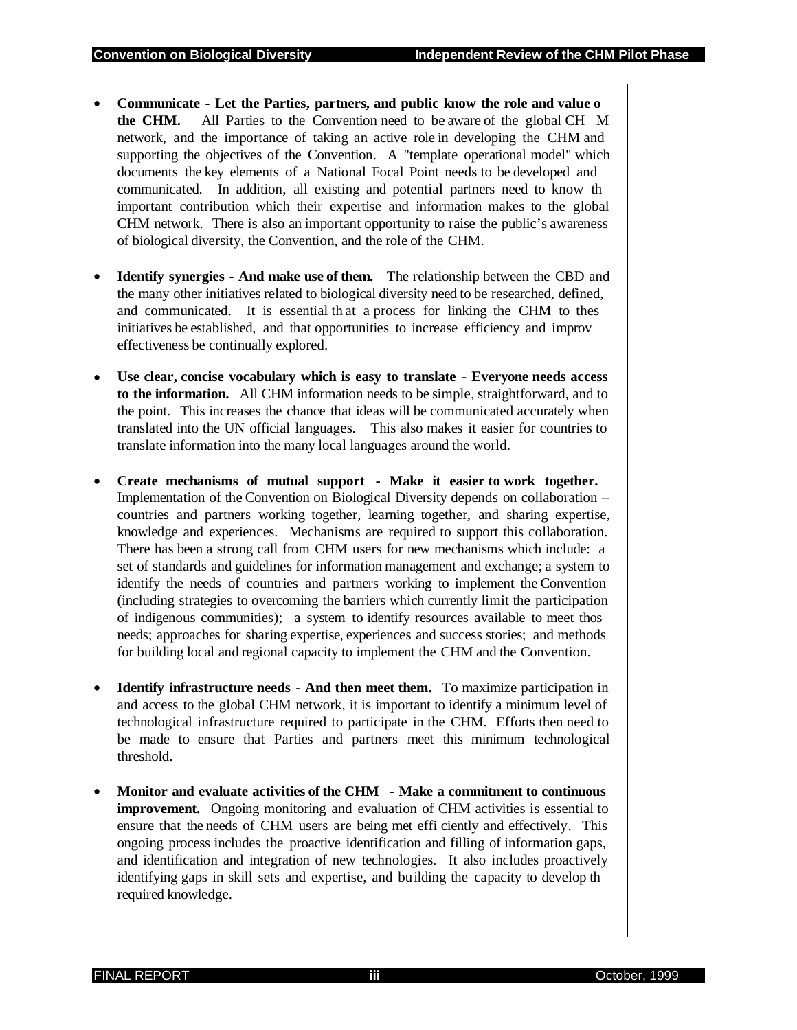- **Communicate Let the Parties, partners, and public know the role and value o the CHM.** All Parties to the Convention need to be aware of the global CH M network, and the importance of taking an active role in developing the CHM and supporting the objectives of the Convention. A "template operational model" which documents the key elements of a National Focal Point needs to be developed and communicated. In addition, all existing and potential partners need to know th important contribution which their expertise and information makes to the global CHM network. There is also an important opportunity to raise the public's awareness of biological diversity, the Convention, and the role of the CHM.
- **Identify synergies And make use of them.** The relationship between the CBD and the many other initiatives related to biological diversity need to be researched, defined, and communicated. It is essential th at a process for linking the CHM to thes initiatives be established, and that opportunities to increase efficiency and improv effectiveness be continually explored.
- **Use clear, concise vocabulary which is easy to translate Everyone needs access to the information.** All CHM information needs to be simple, straightforward, and to the point. This increases the chance that ideas will be communicated accurately when translated into the UN official languages. This also makes it easier for countries to translate information into the many local languages around the world.
- **Create mechanisms of mutual support Make it easier to work together.** Implementation of the Convention on Biological Diversity depends on collaboration – countries and partners working together, learning together, and sharing expertise, knowledge and experiences. Mechanisms are required to support this collaboration. There has been a strong call from CHM users for new mechanisms which include: a set of standards and guidelines for information management and exchange; a system to identify the needs of countries and partners working to implement the Convention (including strategies to overcoming the barriers which currently limit the participation of indigenous communities); a system to identify resources available to meet thos needs; approaches for sharing expertise, experiences and success stories; and methods for building local and regional capacity to implement the CHM and the Convention.
- **Identify infrastructure needs And then meet them.** To maximize participation in and access to the global CHM network, it is important to identify a minimum level of technological infrastructure required to participate in the CHM. Efforts then need to be made to ensure that Parties and partners meet this minimum technological threshold.
- **Monitor and evaluate activities of the CHM Make a commitment to continuous improvement.** Ongoing monitoring and evaluation of CHM activities is essential to ensure that the needs of CHM users are being met effi ciently and effectively. This ongoing process includes the proactive identification and filling of information gaps, and identification and integration of new technologies. It also includes proactively identifying gaps in skill sets and expertise, and building the capacity to develop th required knowledge.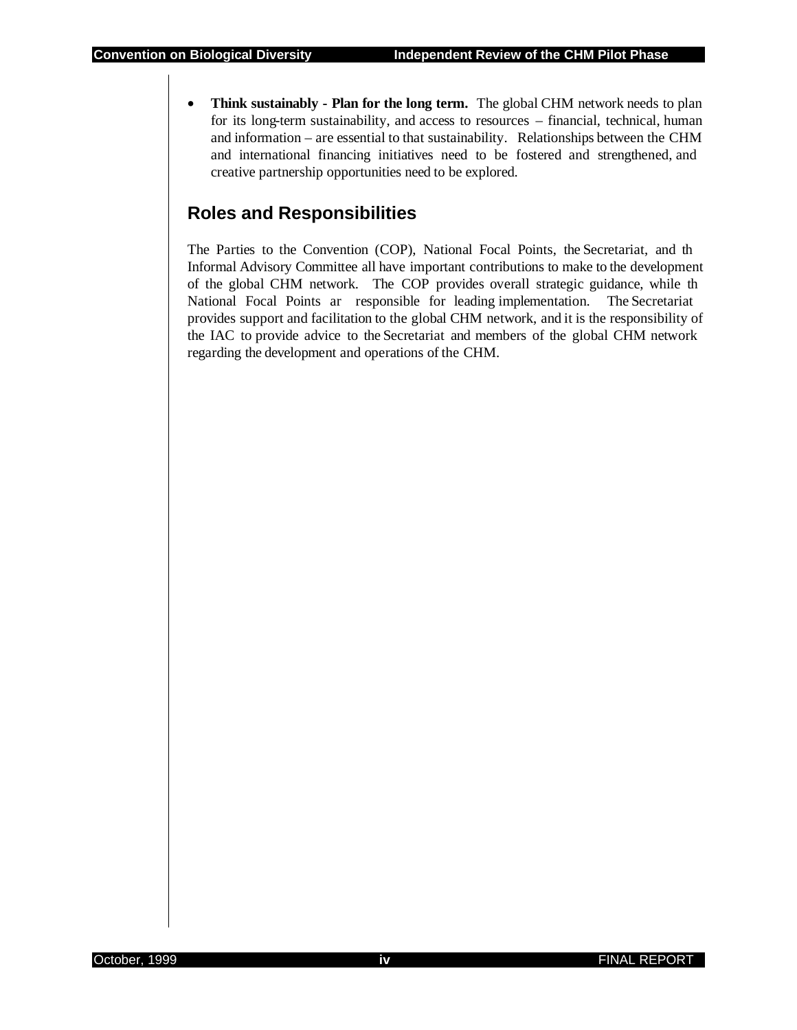• **Think sustainably - Plan for the long term.** The global CHM network needs to plan for its long-term sustainability, and access to resources – financial, technical, human and information – are essential to that sustainability. Relationships between the CHM and international financing initiatives need to be fostered and strengthened, and creative partnership opportunities need to be explored.

## **Roles and Responsibilities**

The Parties to the Convention (COP), National Focal Points, the Secretariat, and th Informal Advisory Committee all have important contributions to make to the development of the global CHM network. The COP provides overall strategic guidance, while th National Focal Points ar responsible for leading implementation. The Secretariat provides support and facilitation to the global CHM network, and it is the responsibility of the IAC to provide advice to the Secretariat and members of the global CHM network regarding the development and operations of the CHM.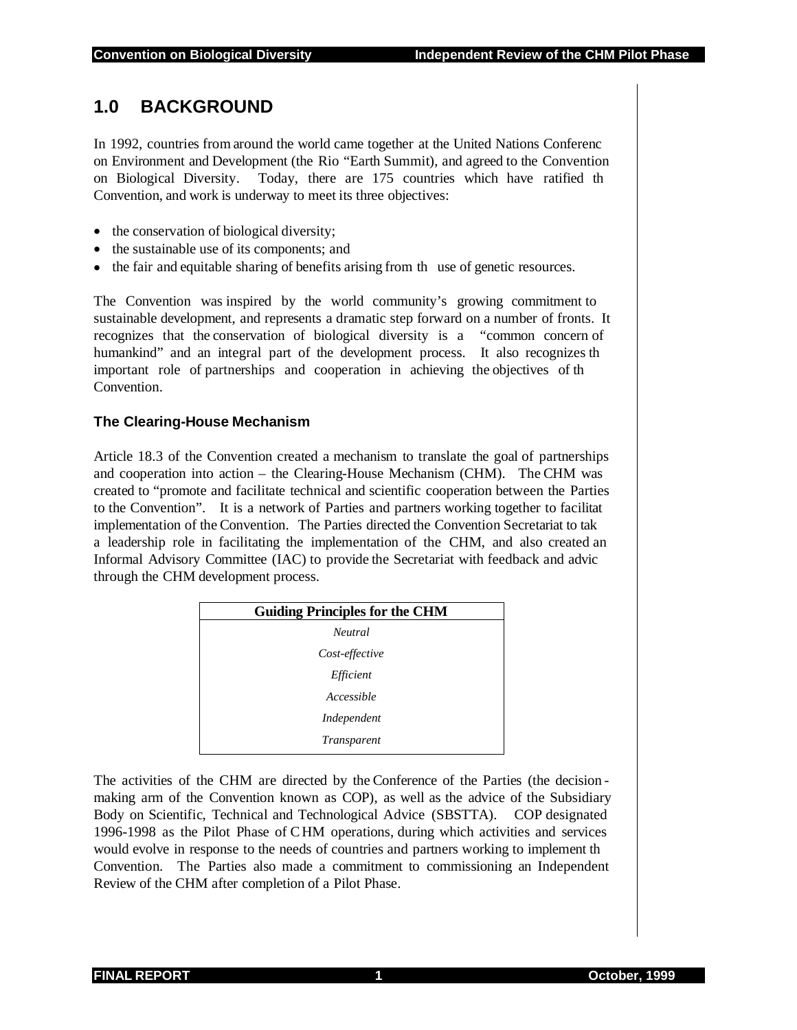## **1.0 BACKGROUND**

In 1992, countries from around the world came together at the United Nations Conferenc on Environment and Development (the Rio "Earth Summit), and agreed to the Convention on Biological Diversity. Today, there are 175 countries which have ratified th Convention, and work is underway to meet its three objectives:

- the conservation of biological diversity;
- the sustainable use of its components; and
- the fair and equitable sharing of benefits arising from the use of genetic resources.

The Convention was inspired by the world community's growing commitment to sustainable development, and represents a dramatic step forward on a number of fronts. It recognizes that the conservation of biological diversity is a "common concern of humankind" and an integral part of the development process. It also recognizes th important role of partnerships and cooperation in achieving the objectives of th Convention.

#### **The Clearing-House Mechanism**

Article 18.3 of the Convention created a mechanism to translate the goal of partnerships and cooperation into action – the Clearing-House Mechanism (CHM). The CHM was created to "promote and facilitate technical and scientific cooperation between the Parties to the Convention". It is a network of Parties and partners working together to facilitat implementation of the Convention. The Parties directed the Convention Secretariat to tak a leadership role in facilitating the implementation of the CHM, and also created an Informal Advisory Committee (IAC) to provide the Secretariat with feedback and advic through the CHM development process.

| <b>Guiding Principles for the CHM</b> |  |
|---------------------------------------|--|
| <b>Neutral</b>                        |  |
| Cost-effective                        |  |
| Efficient                             |  |
| Accessible                            |  |
| Independent                           |  |
| <i>Transparent</i>                    |  |

The activities of the CHM are directed by the Conference of the Parties (the decision making arm of the Convention known as COP), as well as the advice of the Subsidiary Body on Scientific, Technical and Technological Advice (SBSTTA). COP designated 1996-1998 as the Pilot Phase of C HM operations, during which activities and services would evolve in response to the needs of countries and partners working to implement th Convention. The Parties also made a commitment to commissioning an Independent Review of the CHM after completion of a Pilot Phase.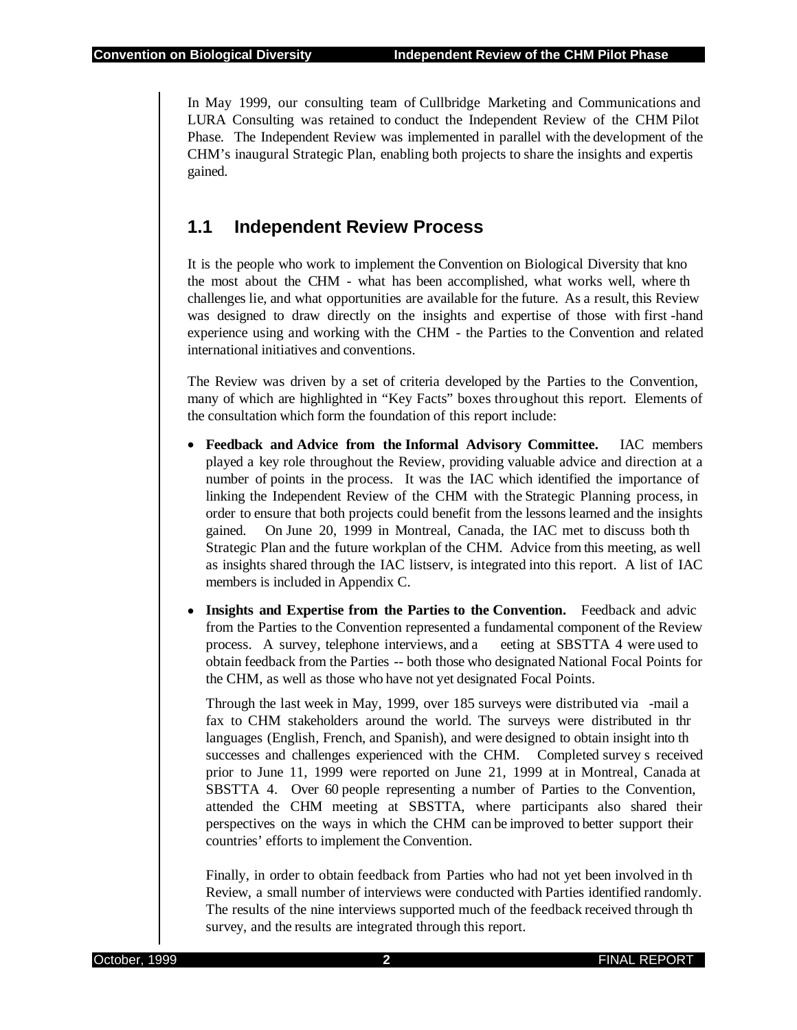In May 1999, our consulting team of Cullbridge Marketing and Communications and LURA Consulting was retained to conduct the Independent Review of the CHM Pilot Phase. The Independent Review was implemented in parallel with the development of the CHM's inaugural Strategic Plan, enabling both projects to share the insights and expertis gained.

## **1.1 Independent Review Process**

It is the people who work to implement the Convention on Biological Diversity that kno the most about the CHM - what has been accomplished, what works well, where th challenges lie, and what opportunities are available for the future. As a result, this Review was designed to draw directly on the insights and expertise of those with first -hand experience using and working with the CHM - the Parties to the Convention and related international initiatives and conventions.

The Review was driven by a set of criteria developed by the Parties to the Convention, many of which are highlighted in "Key Facts" boxes throughout this report. Elements of the consultation which form the foundation of this report include:

- **Feedback and Advice from the Informal Advisory Committee.** IAC members played a key role throughout the Review, providing valuable advice and direction at a number of points in the process. It was the IAC which identified the importance of linking the Independent Review of the CHM with the Strategic Planning process, in order to ensure that both projects could benefit from the lessons learned and the insights gained. On June 20, 1999 in Montreal, Canada, the IAC met to discuss both th Strategic Plan and the future workplan of the CHM. Advice from this meeting, as well as insights shared through the IAC listserv, is integrated into this report. A list of IAC members is included in Appendix C.
- **Insights and Expertise from the Parties to the Convention.** Feedback and advice from the Parties to the Convention represented a fundamental component of the Review process. A survey, telephone interviews, and a eeting at SBSTTA 4 were used to obtain feedback from the Parties -- both those who designated National Focal Points for the CHM, as well as those who have not yet designated Focal Points.

Through the last week in May, 1999, over 185 surveys were distributed via -mail a fax to CHM stakeholders around the world. The surveys were distributed in thr languages (English, French, and Spanish), and were designed to obtain insight into th successes and challenges experienced with the CHM. Completed survey s received prior to June 11, 1999 were reported on June 21, 1999 at in Montreal, Canada at SBSTTA 4. Over 60 people representing a number of Parties to the Convention, attended the CHM meeting at SBSTTA, where participants also shared their perspectives on the ways in which the CHM can be improved to better support their countries' efforts to implement the Convention.

Finally, in order to obtain feedback from Parties who had not yet been involved in th Review, a small number of interviews were conducted with Parties identified randomly. The results of the nine interviews supported much of the feedback received through th survey, and the results are integrated through this report.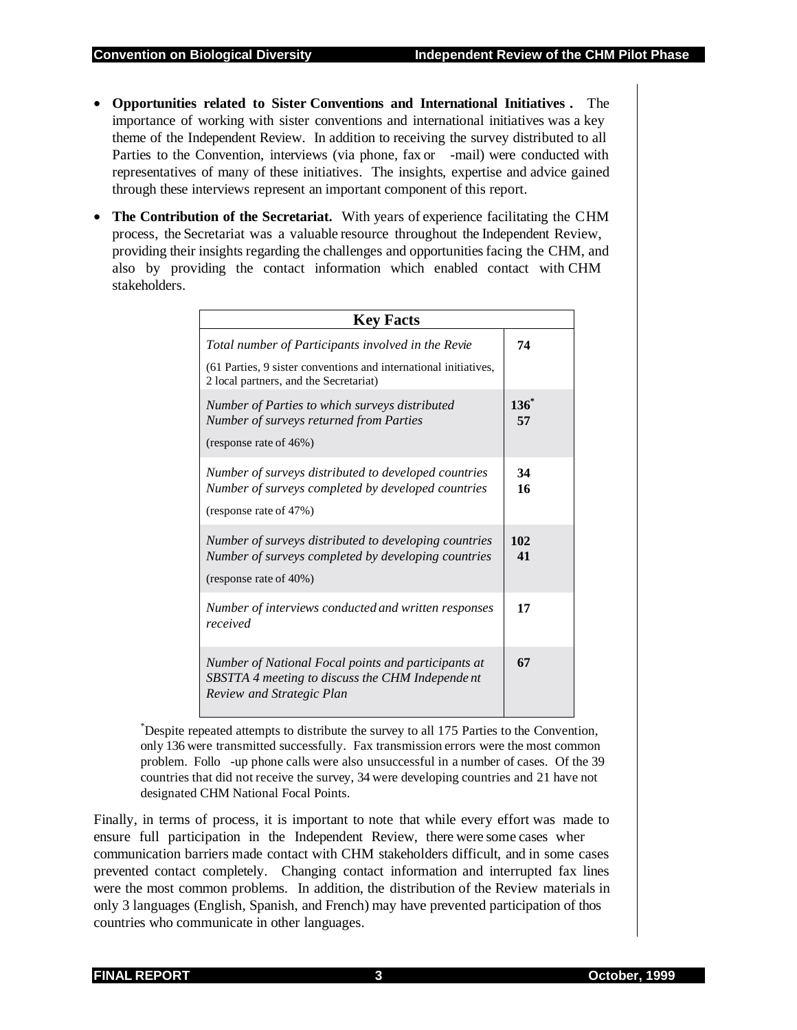- **Opportunities related to Sister Conventions and International Initiatives .** The importance of working with sister conventions and international initiatives was a key theme of the Independent Review. In addition to receiving the survey distributed to all Parties to the Convention, interviews (via phone, fax or -mail) were conducted with representatives of many of these initiatives. The insights, expertise and advice gained through these interviews represent an important component of this report.
- **The Contribution of the Secretariat.** With years of experience facilitating the CHM process, the Secretariat was a valuable resource throughout the Independent Review, providing their insights regarding the challenges and opportunities facing the CHM, and also by providing the contact information which enabled contact with CHM stakeholders.

| <b>Key Facts</b>                                                                                                                                                 |               |
|------------------------------------------------------------------------------------------------------------------------------------------------------------------|---------------|
| Total number of Participants involved in the Revie<br>(61 Parties, 9 sister conventions and international initiatives,<br>2 local partners, and the Secretariat) | 74            |
| Number of Parties to which surveys distributed<br>Number of surveys returned from Parties<br>(response rate of 46%)                                              | $136^*$<br>57 |
| Number of surveys distributed to developed countries<br>Number of surveys completed by developed countries<br>(response rate of 47%)                             | 34<br>16      |
| Number of surveys distributed to developing countries<br>Number of surveys completed by developing countries<br>(response rate of 40%)                           | 102<br>41     |
| Number of interviews conducted and written responses<br>received                                                                                                 | 17            |
| Number of National Focal points and participants at<br>SBSTTA 4 meeting to discuss the CHM Independent<br>Review and Strategic Plan                              | 67            |

\* Despite repeated attempts to distribute the survey to all 175 Parties to the Convention, only 136 were transmitted successfully. Fax transmission errors were the most common problem. Follo -up phone calls were also unsuccessful in a number of cases. Of the 39 countries that did not receive the survey, 34 were developing countries and 21 have not designated CHM National Focal Points.

Finally, in terms of process, it is important to note that while every effort was made to ensure full participation in the Independent Review, there were some cases wher communication barriers made contact with CHM stakeholders difficult, and in some cases prevented contact completely. Changing contact information and interrupted fax lines were the most common problems. In addition, the distribution of the Review materials in only 3 languages (English, Spanish, and French) may have prevented participation of thos countries who communicate in other languages.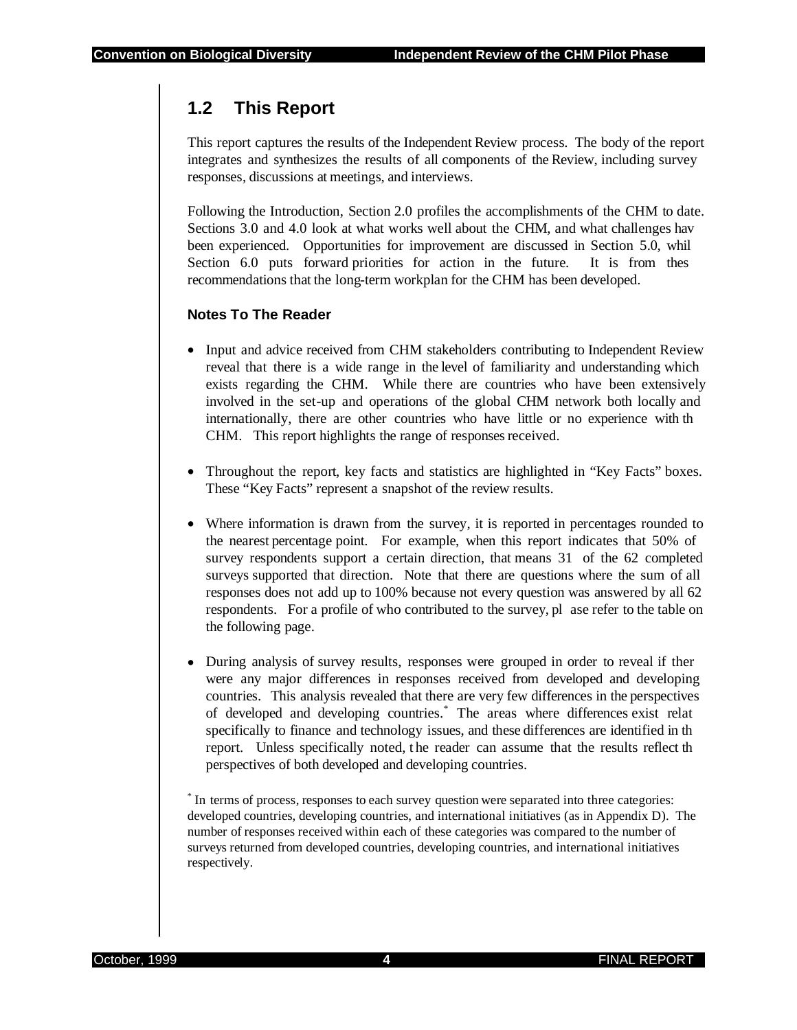## **1.2 This Report**

This report captures the results of the Independent Review process. The body of the report integrates and synthesizes the results of all components of the Review, including survey responses, discussions at meetings, and interviews.

Following the Introduction, Section 2.0 profiles the accomplishments of the CHM to date. Sections 3.0 and 4.0 look at what works well about the CHM, and what challenges hav been experienced. Opportunities for improvement are discussed in Section 5.0, whil Section 6.0 puts forward priorities for action in the future. It is from thes recommendations that the long-term workplan for the CHM has been developed.

#### **Notes To The Reader**

- Input and advice received from CHM stakeholders contributing to Independent Review reveal that there is a wide range in the level of familiarity and understanding which exists regarding the CHM. While there are countries who have been extensively involved in the set-up and operations of the global CHM network both locally and internationally, there are other countries who have little or no experience with th CHM. This report highlights the range of responses received.
- Throughout the report, key facts and statistics are highlighted in "Key Facts" boxes. These "Key Facts" represent a snapshot of the review results.
- Where information is drawn from the survey, it is reported in percentages rounded to the nearest percentage point. For example, when this report indicates that 50% of survey respondents support a certain direction, that means 31 of the 62 completed surveys supported that direction. Note that there are questions where the sum of all responses does not add up to 100% because not every question was answered by all 62 respondents. For a profile of who contributed to the survey, pl ase refer to the table on the following page.
- During analysis of survey results, responses were grouped in order to reveal if ther were any major differences in responses received from developed and developing countries. This analysis revealed that there are very few differences in the perspectives of developed and developing countries.\* The areas where differences exist relat specifically to finance and technology issues, and these differences are identified in th report. Unless specifically noted, the reader can assume that the results reflect the perspectives of both developed and developing countries.

\* In terms of process, responses to each survey question were separated into three categories: developed countries, developing countries, and international initiatives (as in Appendix D). The number of responses received within each of these categories was compared to the number of surveys returned from developed countries, developing countries, and international initiatives respectively.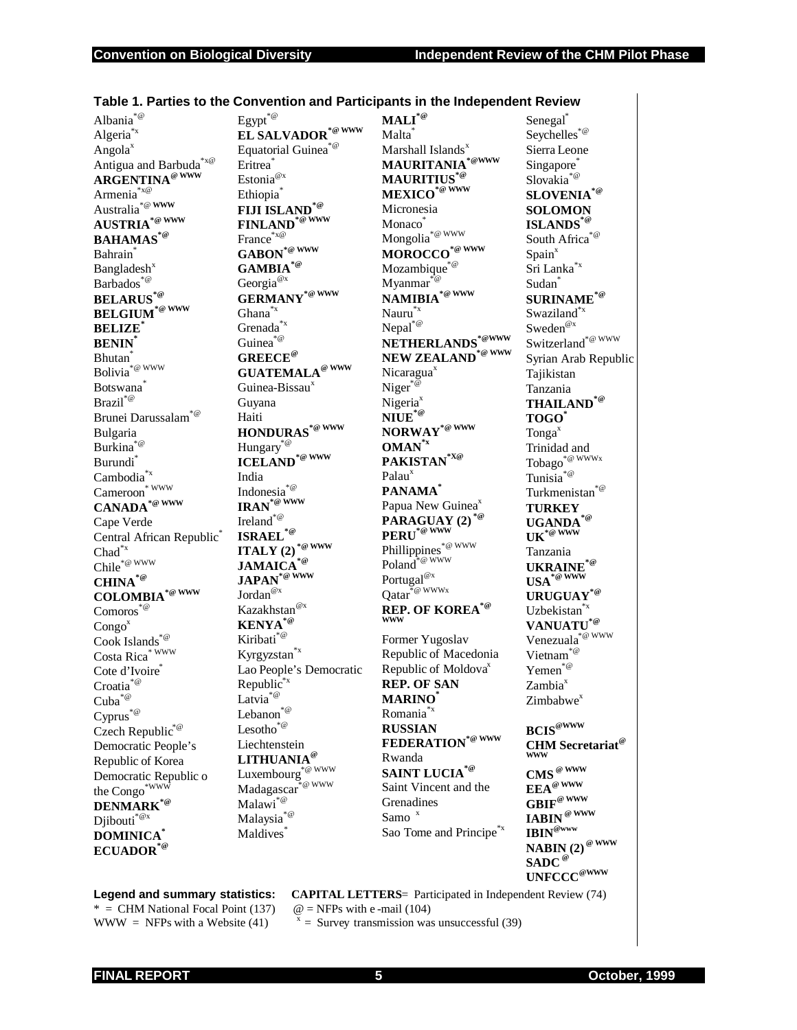| Albania $\raisebox{.4ex}{\hspace{-1.5pt}}^{\ast\hspace{-1.5pt} \varpi}$                  | $\mathsf{Egypt}^{*\text{\textcircled{a}}}$                                                    | $\mathbf{MALI}^{^{\ast \circledcirc}}$                                             | Senegal <sup>®</sup>                                                                                                                     |
|------------------------------------------------------------------------------------------|-----------------------------------------------------------------------------------------------|------------------------------------------------------------------------------------|------------------------------------------------------------------------------------------------------------------------------------------|
| Algeria <sup>*x</sup>                                                                    | EL SALVADOR <sup>*@ WWW</sup>                                                                 | Malta <sup>®</sup>                                                                 | ${\sf Seychelles}^{\ast \circledcirc}$                                                                                                   |
| Angola <sup>x</sup>                                                                      | Equatorial Guinea $\hspace{-2pt}\stackrel{\ast}{\phantom{\alpha}}^{\hspace{-1pt}\mathscr{C}}$ | Marshall Islands <sup>x</sup>                                                      | Sierra Leone                                                                                                                             |
| Antigua and Barbuda $^{\ast_{\text{x}}\text{\textcircled{e}}}$                           | Eritrea <sup>®</sup>                                                                          | $\bold{MAURITANA}^{*@WWW}$                                                         | Singapore <sup>®</sup>                                                                                                                   |
| <b>ARGENTINA</b> <sup>@ WWW</sup>                                                        | Estonia $^{{\mathcal{Q}}_x}$                                                                  | <b>MAURITIUS</b> *@                                                                | $\mathrm{Slovakia}^{*\text{\textcircled{a}}}$                                                                                            |
| Armenia <sup>*x@</sup>                                                                   | Ethiopia <sup>®</sup>                                                                         | MEXICO <sup>*@WWW</sup>                                                            | SLOVENIA <sup>*@</sup>                                                                                                                   |
| Australia <sup>*@</sup> WWW                                                              | FIJI ISLAND <sup>*@</sup>                                                                     | Micronesia                                                                         | <b>SOLOMON</b>                                                                                                                           |
| $\mathbf{A}\mathbf{U}\mathbf{S}\mathbf{T}\mathbf{R}\mathbf{I}\mathbf{A}^{*\text{@ WWW}}$ | FINLAND <sup>*@WWW</sup>                                                                      | Monaco                                                                             | ISLANDS* <sup>®</sup>                                                                                                                    |
| <b>BAHAMAS<sup>*@</sup></b>                                                              | France*x@                                                                                     | Mongolia <sup>*@ WWW</sup>                                                         | *@<br>South Africa <sup>®</sup>                                                                                                          |
| Bahrain <sup>®</sup>                                                                     | $\mathbf{GABON}^{*\textcolor{red}{\textcolor{green}{\oplus}} \textcolor{green}{WWW}}$         | $\textbf{MOROCCO}^{\textcolor{red}{*}\textcolor{green}{\textcircled{\tiny{WWW}}}}$ | Spain <sup>x</sup>                                                                                                                       |
| Bangladesh <sup>x</sup>                                                                  | $\textbf{GAMBIA}^{*\textcolor{red}{\textcircled{\tiny d}}}$                                   | Mozambique <sup>*@</sup>                                                           | Sri Lanka*x                                                                                                                              |
| Barbados <sup>*@</sup>                                                                   | Georgia $^{{@x}}$                                                                             | $Myೂ*@$                                                                            | Sudan <sup>*</sup>                                                                                                                       |
| <b>BELARUS</b> <sup>*@</sup>                                                             | $\textbf{GERMANY}^{*@{\rm WWW}}$                                                              | $\mathbf{NAMIBIA}^{*\scriptscriptstyle{\textcircled{\tiny{WWW}}}}$                 | SURINAME <sup>*@</sup>                                                                                                                   |
| $\mathbf{BELGIUM}^{*\circledast\,\mathrm{WWW}}$                                          | $Ghana^{\ast_{X}}$                                                                            | $\text{Nauru}^{*_\mathbf{x}}$                                                      | Swaziland*x                                                                                                                              |
| <b>BELIZE</b>                                                                            | Grenada <sup>*x</sup>                                                                         | $\text{Nepal}^{*\text{\textcircled{a}}}$                                           | $\operatorname{Sweden}^{\textup{\textcircled{ex}}}$                                                                                      |
| <b>BENIN</b>                                                                             | Guinea $\overset{\ast}{\phantom{\ast}}^{\!\circ\!}$                                           | NETHERLANDS*@WWW                                                                   | Switzerland <sup>*@WWW</sup>                                                                                                             |
| Bhutan <sup>7</sup>                                                                      | <b>GREECE®</b>                                                                                | NEW ZEALAND <sup>*@WWW</sup>                                                       | Syrian Arab Republic                                                                                                                     |
| $\operatorname{Bolivia}^{*\textcircled{w}$ www                                           | <b>GUATEMALA®</b> WWW                                                                         | Nicaragua <sup>x</sup>                                                             | Tajikistan                                                                                                                               |
| <b>Botswana</b>                                                                          | Guinea-Bissau <sup>x</sup>                                                                    | Niger <sup>*</sup> ®                                                               | Tanzania                                                                                                                                 |
| $\operatorname{Brazil}^{*\text{\textcircled{\tiny d}}\xspace}$                           | Guyana                                                                                        | Nigeria <sup>x</sup>                                                               | $\mathbf{THAILAND}^{*\textcircled{\tiny{\mathcal{C}}}}$                                                                                  |
| Brunei Darussalam                                                                        | Haiti                                                                                         | $\mathbf{NIDE}^{*\textcolor{red}{\textcircled{\tiny d}}}$                          | TOGO <sup>*</sup>                                                                                                                        |
| Bulgaria                                                                                 | $\mathbf{HONDURAS}^{*\text{\textcirc}\ \mathbf{WW}}$                                          | $\textbf{NORMAY}^{*\textcolor{red}{\textcircled{\tiny WWW}}}$                      | Tonga $^x$                                                                                                                               |
| Burkina <sup>*@</sup>                                                                    | $\operatorname{Hungary}^{*@}$                                                                 | $\mathbf{OMAN}^{*x}$                                                               | Trinidad and                                                                                                                             |
| Burundi <sup>*</sup>                                                                     | <b>ICELAND<sup>*@WWW</sup></b>                                                                | PAKISTAN <sup>*X@</sup>                                                            | $Tobago^{*@WWWx}$                                                                                                                        |
| Cambodia <sup>*x</sup>                                                                   | India                                                                                         | Palau $x$                                                                          | Tunisia $\overset{\ast}{\ }$                                                                                                             |
| * WWW<br>Cameroon                                                                        | Indonesia <sup>*@</sup>                                                                       | <b>PANAMA</b>                                                                      | Turkmenistan <sup>*@</sup>                                                                                                               |
| $\mathbf{CANADA}^{*\textcolor{red}{\textcolor{blue}{\oplus}} \textcolor{blue}{WWW}}$     | $\mathbf{IRAN}^{*\textcircled{w}WW}$                                                          | Papua New Guinea <sup>x</sup>                                                      | <b>TURKEY</b>                                                                                                                            |
| Cape Verde                                                                               | $\operatorname{Ireland}^{\ast\circledcirc}$                                                   | <b>PARAGUAY (2)</b><br><b>PERU</b> <sup>*@</sup> WWW                               | $\mathbf{UGAMDA}^{*\textcircled{a}}$                                                                                                     |
| Central African Republic <sup>®</sup>                                                    | $\textbf{ISRAEL}^{*\textcolor{red}{\textcircled{\tiny 2}}}$                                   |                                                                                    | $\mathbf{UK} \overset{\ast}{\circledast} \overset{\mathbf{W}\mathbf{W}}{\overset{\mathbf{M}}{\otimes}}$                                  |
| $\mathrm{Chad}^{*_X}$                                                                    | ITALY (2) <sup>*@ WWW</sup>                                                                   | Phillippines <sup>*@WWW</sup>                                                      | Tanzania                                                                                                                                 |
| Chile* <sup>@ WWW</sup>                                                                  | $\mathbf{JAMAICA}^{*\textcircled{a}}$                                                         | $\operatorname{Poland}^{\widehat{\mathcal{A}}}{}^{\circledast}$ www                | $\mathbf{UKRAINE}^{*\textcolor{red}{\textcircled{\tiny 2}}}$                                                                             |
| $\operatorname{\mathbf{CHINA}}^{*\textcircled{\tiny{\mathbb{R}}}}$                       | $\mathbf{JAPAN}^{*\widehat{\boldsymbol{\omega}}\ \overline{\boldsymbol{\mathrm{www}}}}$       | $\mathsf{Portugal}^{\textup{\textcircled{ex}}}$                                    | $\textbf{USA}^{\overbrace{\textbf{w}}\textbf{www}}$                                                                                      |
| $\mathbf{COLOMBIA}^{*\scriptscriptstyle{\textcircled{\tiny{WWW}}}}$                      | $\mathop{\text{Jordan}}^{\text{@x}}$                                                          | $\widetilde{\mathrm{Qatar}}^{\ast_{\mathcal{Q}}}$ wwwx                             | URUGUAY <sup>*@</sup>                                                                                                                    |
| $\mathrm{Comoros}^{*\textcircled{\tiny d}}$                                              | Kazakhstan <sup>@x</sup>                                                                      | REP. OF KOREA <sup>*@</sup>                                                        | Uzbekistan <sup>®</sup>                                                                                                                  |
| Congo <sup>x</sup>                                                                       | $\textbf{KENYA}^{*@}$                                                                         | <b>WWW</b>                                                                         | VANUATU <sup>*@</sup>                                                                                                                    |
| Cook Islands $^{\ast\text{\textcircled{e}}}$                                             | Kiribati <sup>*@</sup>                                                                        | Former Yugoslav                                                                    | Venezuala $\overline{\phantom{a}}^{\ast\stackrel{\_}{\phantom{\alpha}}\hspace{-1.4pt}\mathop{\alpha}\limits^{\phantom{\ast}}}\text{www}$ |
| $\text{Costa }\text{Rica}^{\ast\,\text{WWW}}$                                            | Kyrgyzstan <sup>*x</sup>                                                                      | Republic of Macedonia                                                              | Vietnam <sup>*@</sup>                                                                                                                    |
| Cote d'Ivoire                                                                            | Lao People's Democratic                                                                       | Republic of Moldova <sup>x</sup>                                                   | Yemen <sup>*@</sup>                                                                                                                      |
| $\mbox{Croatia}^{*\textcircled{\tiny 2}}$                                                | ${\rm Republic}^{*_X}$                                                                        | <b>REP. OF SAN</b>                                                                 | Zambia <sup>x</sup>                                                                                                                      |
| $*$ @<br>Cuba                                                                            | Latvia $e^*$                                                                                  | <b>MARINO</b> *                                                                    | Zimbabwe <sup>x</sup>                                                                                                                    |
| $\mbox{Cyprus}^{\ast\text{\tiny{\textcircled{\tiny \dag}}}}$                             | $*$ @<br>Lebanon                                                                              | Romania <sup>*x</sup>                                                              |                                                                                                                                          |
| Czech Republic <sup>*@</sup>                                                             | $\text{Lesotho}^{*\textcircled{\tiny d}}$                                                     | <b>RUSSIAN</b>                                                                     | $BCIS^{\textcircled{\tiny{\text{WWW}}}}$                                                                                                 |
| Democratic People's                                                                      | Liechtenstein                                                                                 | FEDERATION <sup>*@</sup> WWW                                                       | <b>CHM</b> Secretariat <sup>@</sup>                                                                                                      |
| Republic of Korea                                                                        | LITHUANIA <sup>@</sup>                                                                        | Rwanda                                                                             | <b>WWW</b>                                                                                                                               |
| Democratic Republic o                                                                    | Luxembourg <sup>*@WWW</sup>                                                                   | <b>SAINT LUCIA<sup>*@</sup></b>                                                    | $\mathbf{CMS}^{\ \omega\ \text{www}}$                                                                                                    |
|                                                                                          | *@ WWW<br>Madagascar                                                                          | Saint Vincent and the                                                              | $\mathbf{EEA}^{\otimes \ \mathbf{WWW}}$                                                                                                  |
| the Congo <sup>*www</sup>                                                                | $\mathbf{Malawi}^{*\textcircled{\tiny d}}$                                                    | Grenadines                                                                         | $\mathbf{GBIF}^\circledast$ www                                                                                                          |
| DENMARK <sup>*@</sup>                                                                    | Malaysia <sup>®</sup>                                                                         | Samo <sup>x</sup>                                                                  | $\mathbf{IABIN}^{\ \otimes\ \mathbf{WWW}}$                                                                                               |
| $\operatorname{Djibouti}^{*\textcircled{\tiny \!R}}$                                     | Maldives <sup>*</sup>                                                                         | Sao Tome and Principe <sup>*x</sup>                                                | $\mathbf{IBIN}^{\otimes \mathrm{www}}$                                                                                                   |
| <b>DOMINICA</b> *<br>ECUADOR <sup>*@</sup>                                               |                                                                                               |                                                                                    | NABIN $(2)$ <sup>@ WWW</sup>                                                                                                             |
|                                                                                          |                                                                                               |                                                                                    |                                                                                                                                          |

#### **Table 1. Parties to the Convention and Participants in the Independent Review**

\* = CHM National Focal Point (137)  $\omega$  = NFPs with e -mail (104)<br>WWW = NFPs with a Website (41)  $x =$  Survey transmission was

**Legend and summary statistics: CAPITAL LETTERS**= Participated in Independent Review (74)

 $x =$  Survey transmission was unsuccessful (39)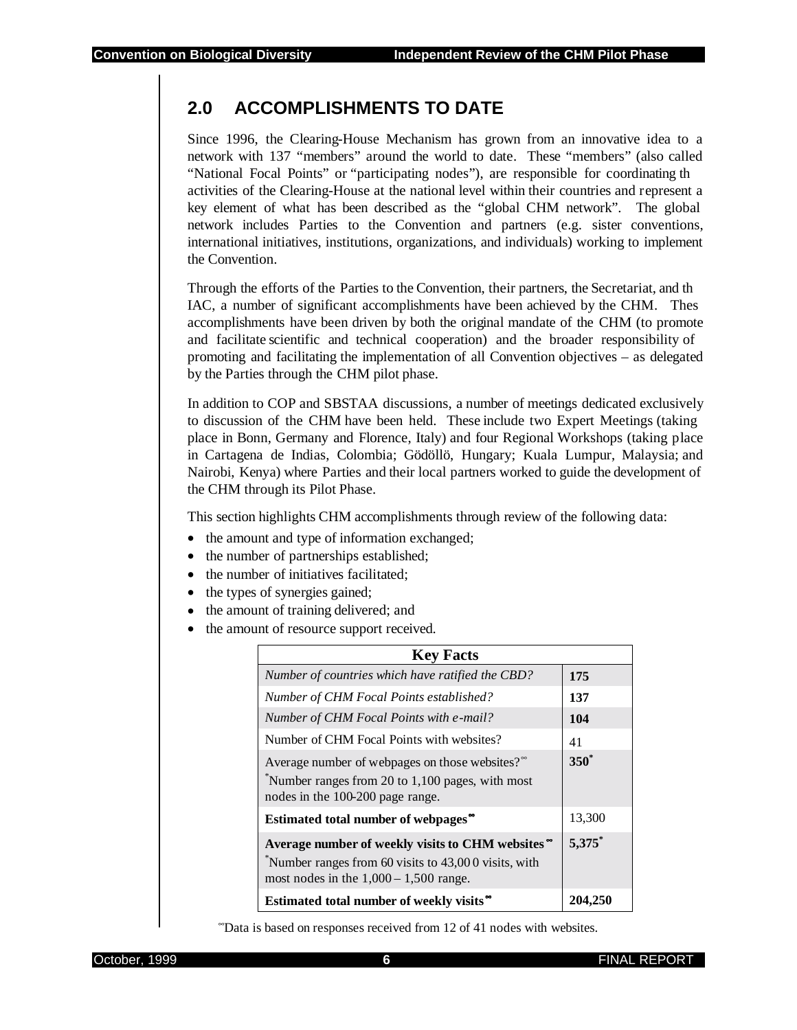## **2.0 ACCOMPLISHMENTS TO DATE**

Since 1996, the Clearing-House Mechanism has grown from an innovative idea to a network with 137 "members" around the world to date. These "members" (also called "National Focal Points" or "participating nodes"), are responsible for coordinating th activities of the Clearing-House at the national level within their countries and represent a key element of what has been described as the "global CHM network". The global network includes Parties to the Convention and partners (e.g. sister conventions, international initiatives, institutions, organizations, and individuals) working to implement the Convention.

Through the efforts of the Parties to the Convention, their partners, the Secretariat, and th IAC, a number of significant accomplishments have been achieved by the CHM. Thes accomplishments have been driven by both the original mandate of the CHM (to promote and facilitate scientific and technical cooperation) and the broader responsibility of promoting and facilitating the implementation of all Convention objectives – as delegated by the Parties through the CHM pilot phase.

In addition to COP and SBSTAA discussions, a number of meetings dedicated exclusively to discussion of the CHM have been held. These include two Expert Meetings (taking place in Bonn, Germany and Florence, Italy) and four Regional Workshops (taking place in Cartagena de Indias, Colombia; Gödöllö, Hungary; Kuala Lumpur, Malaysia; and Nairobi, Kenya) where Parties and their local partners worked to guide the development of the CHM through its Pilot Phase.

This section highlights CHM accomplishments through review of the following data:

- the amount and type of information exchanged;
- the number of partnerships established;
- the number of initiatives facilitated;
- the types of synergies gained;
- the amount of training delivered; and
- the amount of resource support received.

| <b>Key Facts</b>                                                                                                                                     |           |
|------------------------------------------------------------------------------------------------------------------------------------------------------|-----------|
| Number of countries which have ratified the CBD?                                                                                                     | 175       |
| Number of CHM Focal Points established?                                                                                                              | 137       |
| Number of CHM Focal Points with e-mail?                                                                                                              | 104       |
| Number of CHM Focal Points with websites?                                                                                                            | 41        |
| Average number of webpages on those websites?<br>$\sqrt[8]{\ }$ Number ranges from 20 to 1,100 pages, with most<br>nodes in the 100-200 page range.  | $350^*$   |
| Estimated total number of webpages                                                                                                                   | 13,300    |
| Average number of weekly visits to CHM websites "<br>Number ranges from 60 visits to 43,000 visits, with<br>most nodes in the $1,000 - 1,500$ range. | $5,375$ * |
| Estimated total number of weekly visits <sup>®</sup>                                                                                                 | 204,7     |

<sup>∞</sup>Data is based on responses received from 12 of 41 nodes with websites.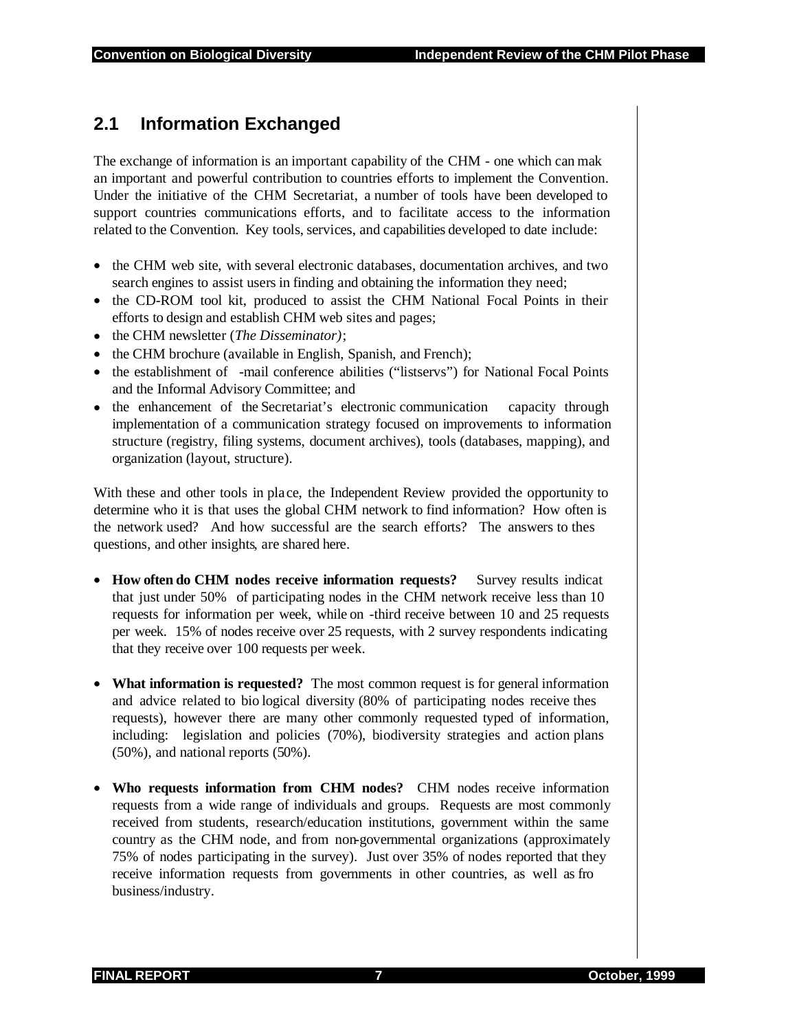## **2.1 Information Exchanged**

The exchange of information is an important capability of the CHM - one which can mak an important and powerful contribution to countries efforts to implement the Convention. Under the initiative of the CHM Secretariat, a number of tools have been developed to support countries communications efforts, and to facilitate access to the information related to the Convention. Key tools, services, and capabilities developed to date include:

- the CHM web site, with several electronic databases, documentation archives, and two search engines to assist users in finding and obtaining the information they need;
- the CD-ROM tool kit, produced to assist the CHM National Focal Points in their efforts to design and establish CHM web sites and pages;
- the CHM newsletter (*The Disseminator)*;
- the CHM brochure (available in English, Spanish, and French);
- the establishment of -mail conference abilities ("listservs") for National Focal Points and the Informal Advisory Committee; and
- the enhancement of the Secretariat's electronic communication capacity through implementation of a communication strategy focused on improvements to information structure (registry, filing systems, document archives), tools (databases, mapping), and organization (layout, structure).

With these and other tools in place, the Independent Review provided the opportunity to determine who it is that uses the global CHM network to find information? How often is the network used? And how successful are the search efforts? The answers to thes questions, and other insights, are shared here.

- **How often do CHM nodes receive information requests?** Survey results indicat that just under 50% of participating nodes in the CHM network receive less than 10 requests for information per week, while on -third receive between 10 and 25 requests per week. 15% of nodes receive over 25 requests, with 2 survey respondents indicating that they receive over 100 requests per week.
- **What information is requested?** The most common request is for general information and advice related to bio logical diversity (80% of participating nodes receive thes requests), however there are many other commonly requested typed of information, including: legislation and policies (70%), biodiversity strategies and action plans (50%), and national reports (50%).
- **Who requests information from CHM nodes?** CHM nodes receive information requests from a wide range of individuals and groups. Requests are most commonly received from students, research/education institutions, government within the same country as the CHM node, and from non-governmental organizations (approximately 75% of nodes participating in the survey). Just over 35% of nodes reported that they receive information requests from governments in other countries, as well as fro business/industry.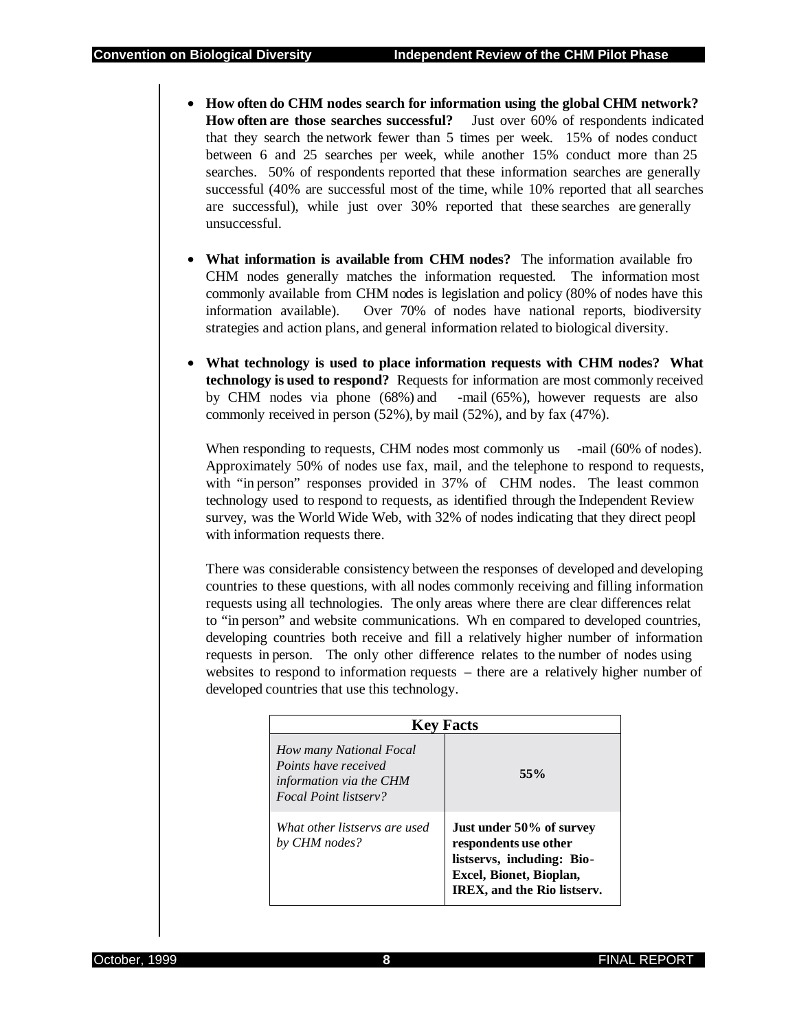- **How often do CHM nodes search for information using the global CHM network? How often are those searches successful?** Just over 60% of respondents indicated that they search the network fewer than 5 times per week. 15% of nodes conduct between 6 and 25 searches per week, while another 15% conduct more than 25 searches. 50% of respondents reported that these information searches are generally successful (40% are successful most of the time, while 10% reported that all searches are successful), while just over 30% reported that these searches are generally unsuccessful.
- **What information is available from CHM nodes?** The information available fro CHM nodes generally matches the information requested. The information most commonly available from CHM nodes is legislation and policy (80% of nodes have this information available). Over 70% of nodes have national reports, biodiversity strategies and action plans, and general information related to biological diversity.
- **What technology is used to place information requests with CHM nodes? What technology is used to respond?** Requests for information are most commonly received by CHM nodes via phone (68%) and -mail (65%), however requests are also commonly received in person (52%), by mail (52%), and by fax (47%).

When responding to requests, CHM nodes most commonly us -mail (60% of nodes). Approximately 50% of nodes use fax, mail, and the telephone to respond to requests, with "in person" responses provided in 37% of CHM nodes. The least common technology used to respond to requests, as identified through the Independent Review survey, was the World Wide Web, with 32% of nodes indicating that they direct peopl with information requests there.

There was considerable consistency between the responses of developed and developing countries to these questions, with all nodes commonly receiving and filling information requests using all technologies. The only areas where there are clear differences relat to "in person" and website communications. Wh en compared to developed countries, developing countries both receive and fill a relatively higher number of information requests in person. The only other difference relates to the number of nodes using websites to respond to information requests – there are a relatively higher number of developed countries that use this technology.

| <b>Key Facts</b>                                                                                    |                                                                                                                                           |  |  |
|-----------------------------------------------------------------------------------------------------|-------------------------------------------------------------------------------------------------------------------------------------------|--|--|
| How many National Focal<br>Points have received<br>information via the CHM<br>Focal Point listserv? | $55\%$                                                                                                                                    |  |  |
| What other listservs are used<br>by CHM nodes?                                                      | Just under 50% of survey<br>respondents use other<br>listservs, including: Bio-<br>Excel, Bionet, Bioplan,<br>IREX, and the Rio listserv. |  |  |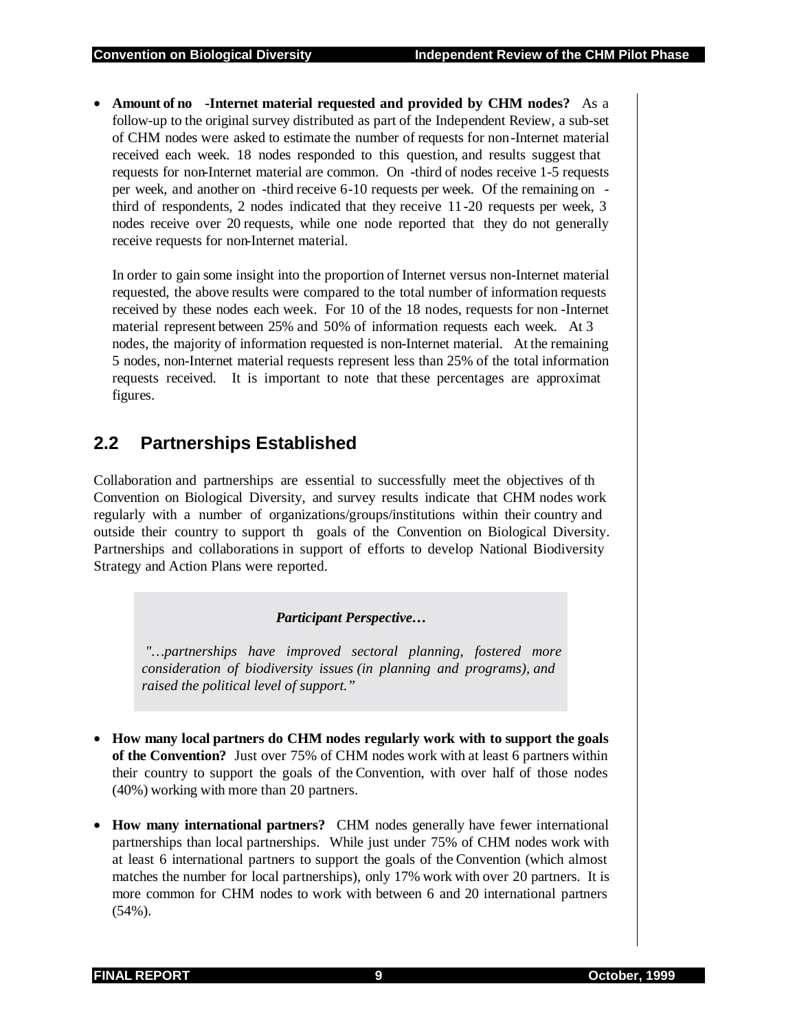• **Amount of no -Internet material requested and provided by CHM nodes?** As a follow-up to the original survey distributed as part of the Independent Review, a sub-set of CHM nodes were asked to estimate the number of requests for non-Internet material received each week. 18 nodes responded to this question, and results suggest that requests for non-Internet material are common. On -third of nodes receive 1-5 requests per week, and another on -third receive 6-10 requests per week. Of the remaining on third of respondents, 2 nodes indicated that they receive 11-20 requests per week, 3 nodes receive over 20 requests, while one node reported that they do not generally receive requests for non-Internet material.

In order to gain some insight into the proportion of Internet versus non-Internet material requested, the above results were compared to the total number of information requests received by these nodes each week. For 10 of the 18 nodes, requests for non -Internet material represent between 25% and 50% of information requests each week. At 3 nodes, the majority of information requested is non-Internet material. At the remaining 5 nodes, non-Internet material requests represent less than 25% of the total information requests received. It is important to note that these percentages are approximat figures.

## **2.2 Partnerships Established**

Collaboration and partnerships are essential to successfully meet the objectives of th Convention on Biological Diversity, and survey results indicate that CHM nodes work regularly with a number of organizations/groups/institutions within their country and outside their country to support th goals of the Convention on Biological Diversity. Partnerships and collaborations in support of efforts to develop National Biodiversity Strategy and Action Plans were reported.

#### *Participant Perspective…*

 *"…partnerships have improved sectoral planning, fostered more consideration of biodiversity issues (in planning and programs), and raised the political level of support."* 

- **How many local partners do CHM nodes regularly work with to support the goals of the Convention?** Just over 75% of CHM nodes work with at least 6 partners within their country to support the goals of the Convention, with over half of those nodes (40%) working with more than 20 partners.
- **How many international partners?** CHM nodes generally have fewer international partnerships than local partnerships. While just under 75% of CHM nodes work with at least 6 international partners to support the goals of the Convention (which almost matches the number for local partnerships), only 17% work with over 20 partners. It is more common for CHM nodes to work with between 6 and 20 international partners (54%).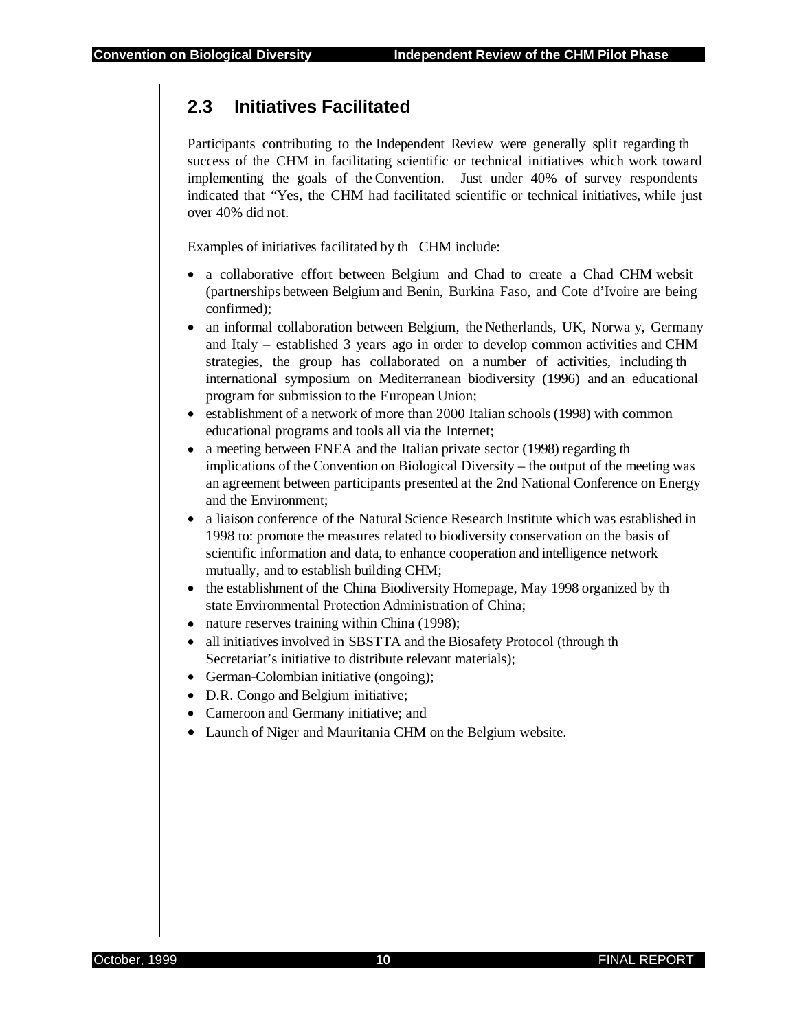## **2.3 Initiatives Facilitated**

Participants contributing to the Independent Review were generally split regarding th success of the CHM in facilitating scientific or technical initiatives which work toward implementing the goals of the Convention. Just under 40% of survey respondents indicated that "Yes, the CHM had facilitated scientific or technical initiatives, while just over 40% did not.

Examples of initiatives facilitated by th CHM include:

- a collaborative effort between Belgium and Chad to create a Chad CHM websit (partnerships between Belgium and Benin, Burkina Faso, and Cote d'Ivoire are being confirmed);
- an informal collaboration between Belgium, the Netherlands, UK, Norwa y, Germany and Italy – established 3 years ago in order to develop common activities and CHM strategies, the group has collaborated on a number of activities, including th international symposium on Mediterranean biodiversity (1996) and an educational program for submission to the European Union;
- establishment of a network of more than 2000 Italian schools (1998) with common educational programs and tools all via the Internet;
- a meeting between ENEA and the Italian private sector (1998) regarding the implications of the Convention on Biological Diversity – the output of the meeting was an agreement between participants presented at the 2nd National Conference on Energy and the Environment;
- a liaison conference of the Natural Science Research Institute which was established in 1998 to: promote the measures related to biodiversity conservation on the basis of scientific information and data, to enhance cooperation and intelligence network mutually, and to establish building CHM;
- the establishment of the China Biodiversity Homepage, May 1998 organized by the state Environmental Protection Administration of China;
- nature reserves training within China (1998);
- all initiatives involved in SBSTTA and the Biosafety Protocol (through th Secretariat's initiative to distribute relevant materials);
- German-Colombian initiative (ongoing);
- D.R. Congo and Belgium initiative;
- Cameroon and Germany initiative; and
- Launch of Niger and Mauritania CHM on the Belgium website.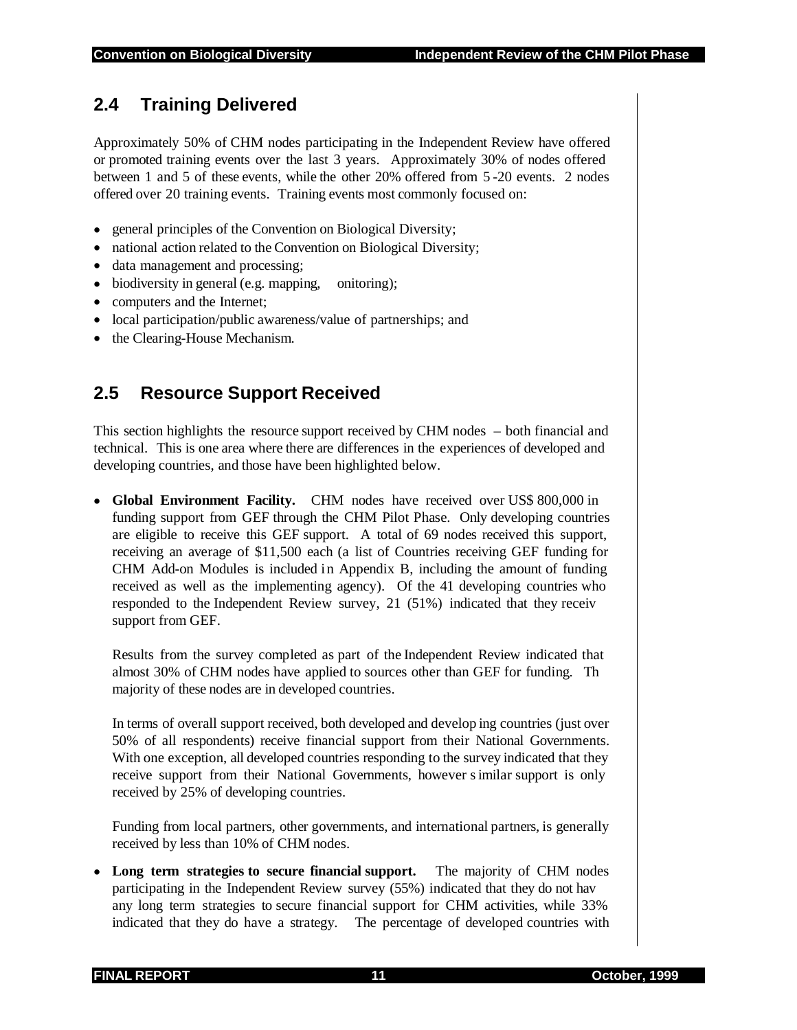## **2.4 Training Delivered**

Approximately 50% of CHM nodes participating in the Independent Review have offered or promoted training events over the last 3 years. Approximately 30% of nodes offered between 1 and 5 of these events, while the other 20% offered from 5 -20 events. 2 nodes offered over 20 training events. Training events most commonly focused on:

- general principles of the Convention on Biological Diversity;
- national action related to the Convention on Biological Diversity;
- data management and processing;
- biodiversity in general (e.g. mapping, onitoring);
- computers and the Internet;
- local participation/public awareness/value of partnerships; and
- the Clearing-House Mechanism.

## **2.5 Resource Support Received**

This section highlights the resource support received by CHM nodes – both financial and technical. This is one area where there are differences in the experiences of developed and developing countries, and those have been highlighted below.

• **Global Environment Facility.** CHM nodes have received over US\$ 800,000 in funding support from GEF through the CHM Pilot Phase. Only developing countries are eligible to receive this GEF support. A total of 69 nodes received this support, receiving an average of \$11,500 each (a list of Countries receiving GEF funding for CHM Add-on Modules is included in Appendix B, including the amount of funding received as well as the implementing agency). Of the 41 developing countries who responded to the Independent Review survey, 21 (51%) indicated that they receiv support from GEF.

Results from the survey completed as part of the Independent Review indicated that almost 30% of CHM nodes have applied to sources other than GEF for funding. Th majority of these nodes are in developed countries.

In terms of overall support received, both developed and develop ing countries (just over 50% of all respondents) receive financial support from their National Governments. With one exception, all developed countries responding to the survey indicated that they receive support from their National Governments, however s imilar support is only received by 25% of developing countries.

Funding from local partners, other governments, and international partners, is generally received by less than 10% of CHM nodes.

• **Long term strategies to secure financial support.** The majority of CHM nodes participating in the Independent Review survey (55%) indicated that they do not hav any long term strategies to secure financial support for CHM activities, while 33% indicated that they do have a strategy. The percentage of developed countries with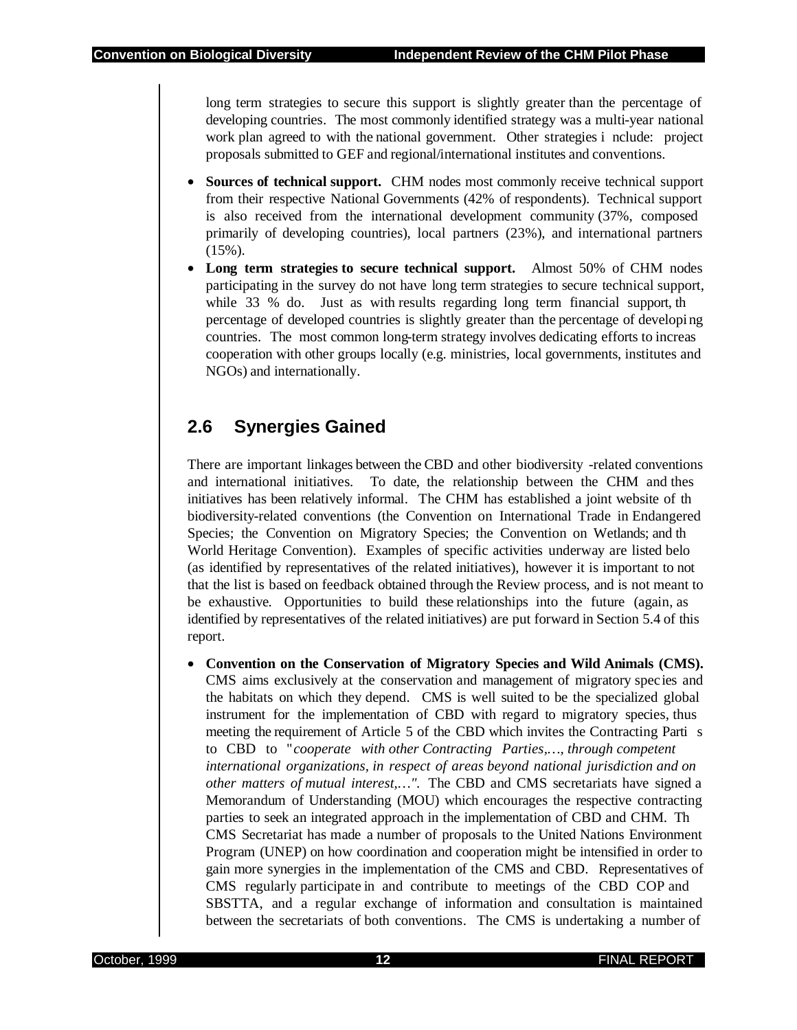long term strategies to secure this support is slightly greater than the percentage of developing countries. The most commonly identified strategy was a multi-year national work plan agreed to with the national government. Other strategies i nclude: project proposals submitted to GEF and regional/international institutes and conventions.

- **Sources of technical support.** CHM nodes most commonly receive technical support from their respective National Governments (42% of respondents). Technical support is also received from the international development community (37%, composed primarily of developing countries), local partners (23%), and international partners (15%).
- **Long term strategies to secure technical support.** Almost 50% of CHM nodes participating in the survey do not have long term strategies to secure technical support, while 33 % do. Just as with results regarding long term financial support, the percentage of developed countries is slightly greater than the percentage of developi ng countries. The most common long-term strategy involves dedicating efforts to increas cooperation with other groups locally (e.g. ministries, local governments, institutes and NGOs) and internationally.

## **2.6 Synergies Gained**

There are important linkages between the CBD and other biodiversity -related conventions and international initiatives. To date, the relationship between the CHM and thes initiatives has been relatively informal. The CHM has established a joint website of th biodiversity-related conventions (the Convention on International Trade in Endangered Species; the Convention on Migratory Species; the Convention on Wetlands; and th World Heritage Convention). Examples of specific activities underway are listed belo (as identified by representatives of the related initiatives), however it is important to not that the list is based on feedback obtained through the Review process, and is not meant to be exhaustive. Opportunities to build these relationships into the future (again, as identified by representatives of the related initiatives) are put forward in Section 5.4 of this report.

• **Convention on the Conservation of Migratory Species and Wild Animals (CMS).** CMS aims exclusively at the conservation and management of migratory species and the habitats on which they depend. CMS is well suited to be the specialized global instrument for the implementation of CBD with regard to migratory species, thus meeting the requirement of Article 5 of the CBD which invites the Contracting Parti s to CBD to "*cooperate with other Contracting Parties,…, through competent international organizations, in respect of areas beyond national jurisdiction and on other matters of mutual interest,…".* The CBD and CMS secretariats have signed a Memorandum of Understanding (MOU) which encourages the respective contracting parties to seek an integrated approach in the implementation of CBD and CHM. Th CMS Secretariat has made a number of proposals to the United Nations Environment Program (UNEP) on how coordination and cooperation might be intensified in order to gain more synergies in the implementation of the CMS and CBD. Representatives of CMS regularly participate in and contribute to meetings of the CBD COP and SBSTTA, and a regular exchange of information and consultation is maintained between the secretariats of both conventions. The CMS is undertaking a number of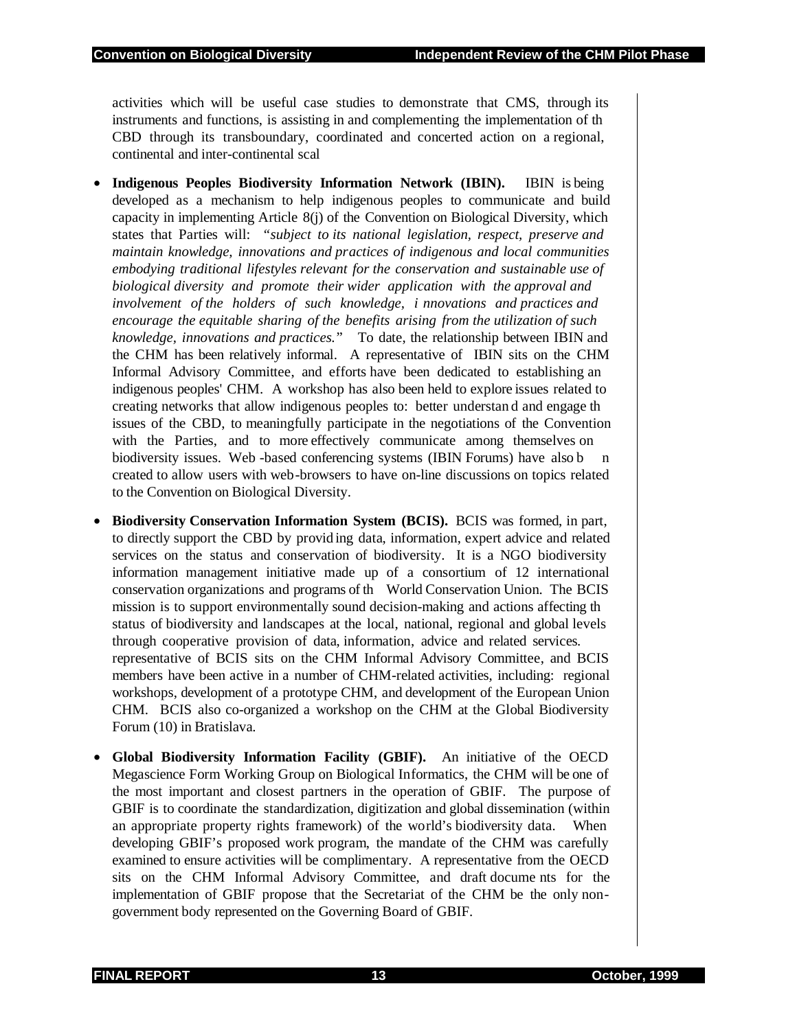activities which will be useful case studies to demonstrate that CMS, through its instruments and functions, is assisting in and complementing the implementation of th CBD through its transboundary, coordinated and concerted action on a regional, continental and inter-continental scal

- **Indigenous Peoples Biodiversity Information Network (IBIN).** IBIN is being developed as a mechanism to help indigenous peoples to communicate and build capacity in implementing Article 8(j) of the Convention on Biological Diversity, which states that Parties will: *"subject to its national legislation, respect, preserve and maintain knowledge, innovations and practices of indigenous and local communities embodying traditional lifestyles relevant for the conservation and sustainable use of biological diversity and promote their wider application with the approval and involvement of the holders of such knowledge, i nnovations and practices and encourage the equitable sharing of the benefits arising from the utilization of such knowledge, innovations and practices.*" To date, the relationship between IBIN and the CHM has been relatively informal. A representative of IBIN sits on the CHM Informal Advisory Committee, and efforts have been dedicated to establishing an indigenous peoples' CHM. A workshop has also been held to explore issues related to creating networks that allow indigenous peoples to: better understan d and engage th issues of the CBD, to meaningfully participate in the negotiations of the Convention with the Parties, and to more effectively communicate among themselves on biodiversity issues. Web -based conferencing systems (IBIN Forums) have also b n created to allow users with web-browsers to have on-line discussions on topics related to the Convention on Biological Diversity.
- **Biodiversity Conservation Information System (BCIS).** BCIS was formed, in part, to directly support the CBD by provid ing data, information, expert advice and related services on the status and conservation of biodiversity. It is a NGO biodiversity information management initiative made up of a consortium of 12 international conservation organizations and programs of th World Conservation Union. The BCIS mission is to support environmentally sound decision-making and actions affecting th status of biodiversity and landscapes at the local, national, regional and global levels through cooperative provision of data, information, advice and related services. representative of BCIS sits on the CHM Informal Advisory Committee, and BCIS members have been active in a number of CHM-related activities, including: regional workshops, development of a prototype CHM, and development of the European Union CHM. BCIS also co-organized a workshop on the CHM at the Global Biodiversity Forum (10) in Bratislava.
- **Global Biodiversity Information Facility (GBIF).** An initiative of the OECD Megascience Form Working Group on Biological Informatics, the CHM will be one of the most important and closest partners in the operation of GBIF. The purpose of GBIF is to coordinate the standardization, digitization and global dissemination (within an appropriate property rights framework) of the world's biodiversity data. When developing GBIF's proposed work program, the mandate of the CHM was carefully examined to ensure activities will be complimentary. A representative from the OECD sits on the CHM Informal Advisory Committee, and draft docume nts for the implementation of GBIF propose that the Secretariat of the CHM be the only nongovernment body represented on the Governing Board of GBIF.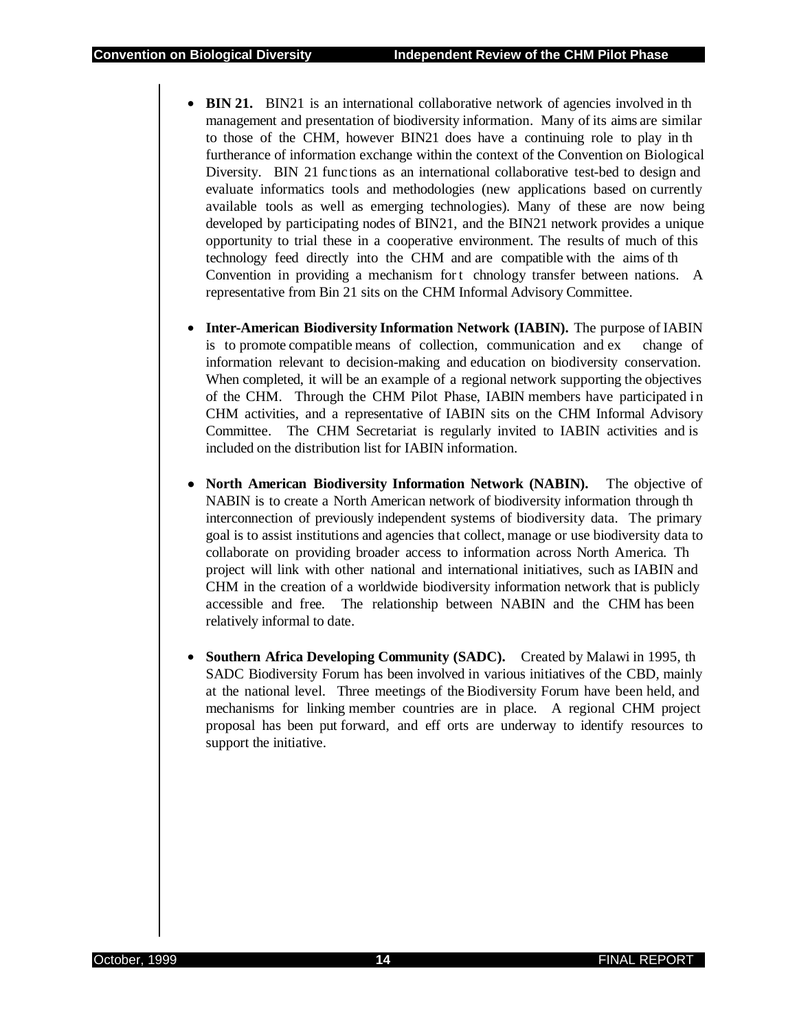- **BIN 21.** BIN21 is an international collaborative network of agencies involved in th management and presentation of biodiversity information. Many of its aims are similar to those of the CHM, however BIN21 does have a continuing role to play in th furtherance of information exchange within the context of the Convention on Biological Diversity. BIN 21 func tions as an international collaborative test-bed to design and evaluate informatics tools and methodologies (new applications based on currently available tools as well as emerging technologies). Many of these are now being developed by participating nodes of BIN21, and the BIN21 network provides a unique opportunity to trial these in a cooperative environment. The results of much of this technology feed directly into the CHM and are compatible with the aims of th Convention in providing a mechanism for t chnology transfer between nations. A representative from Bin 21 sits on the CHM Informal Advisory Committee.
- **Inter-American Biodiversity Information Network (IABIN).** The purpose of IABIN is to promote compatible means of collection, communication and ex change of information relevant to decision-making and education on biodiversity conservation. When completed, it will be an example of a regional network supporting the objectives of the CHM. Through the CHM Pilot Phase, IABIN members have participated in CHM activities, and a representative of IABIN sits on the CHM Informal Advisory Committee. The CHM Secretariat is regularly invited to IABIN activities and is included on the distribution list for IABIN information.
- **North American Biodiversity Information Network (NABIN).** The objective of NABIN is to create a North American network of biodiversity information through th interconnection of previously independent systems of biodiversity data. The primary goal is to assist institutions and agencies that collect, manage or use biodiversity data to collaborate on providing broader access to information across North America. Th project will link with other national and international initiatives, such as IABIN and CHM in the creation of a worldwide biodiversity information network that is publicly accessible and free. The relationship between NABIN and the CHM has been relatively informal to date.
- **Southern Africa Developing Community (SADC).** Created by Malawi in 1995, th SADC Biodiversity Forum has been involved in various initiatives of the CBD, mainly at the national level. Three meetings of the Biodiversity Forum have been held, and mechanisms for linking member countries are in place. A regional CHM project proposal has been put forward, and eff orts are underway to identify resources to support the initiative.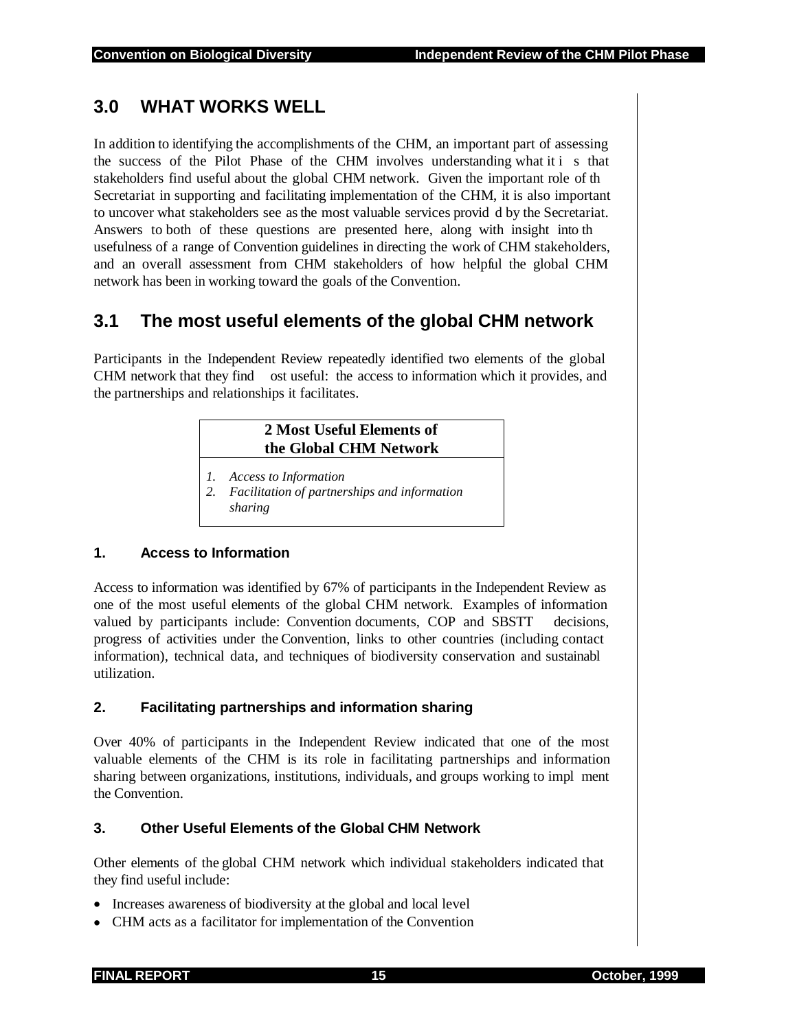## **3.0 WHAT WORKS WELL**

In addition to identifying the accomplishments of the CHM, an important part of assessing the success of the Pilot Phase of the CHM involves understanding what it i s that stakeholders find useful about the global CHM network. Given the important role of th Secretariat in supporting and facilitating implementation of the CHM, it is also important to uncover what stakeholders see as the most valuable services provid d by the Secretariat. Answers to both of these questions are presented here, along with insight into th usefulness of a range of Convention guidelines in directing the work of CHM stakeholders, and an overall assessment from CHM stakeholders of how helpful the global CHM network has been in working toward the goals of the Convention.

## **3.1 The most useful elements of the global CHM network**

Participants in the Independent Review repeatedly identified two elements of the global CHM network that they find ost useful: the access to information which it provides, and the partnerships and relationships it facilitates.

#### **2 Most Useful Elements of the Global CHM Network**

- *1. Access to Information*
- *2. Facilitation of partnerships and information sharing*

#### **1. Access to Information**

Access to information was identified by 67% of participants in the Independent Review as one of the most useful elements of the global CHM network. Examples of information valued by participants include: Convention documents, COP and SBSTT decisions, progress of activities under the Convention, links to other countries (including contact information), technical data, and techniques of biodiversity conservation and sustainabl utilization.

#### **2. Facilitating partnerships and information sharing**

Over 40% of participants in the Independent Review indicated that one of the most valuable elements of the CHM is its role in facilitating partnerships and information sharing between organizations, institutions, individuals, and groups working to impl ment the Convention.

#### **3. Other Useful Elements of the Global CHM Network**

Other elements of the global CHM network which individual stakeholders indicated that they find useful include:

- Increases awareness of biodiversity at the global and local level
- CHM acts as a facilitator for implementation of the Convention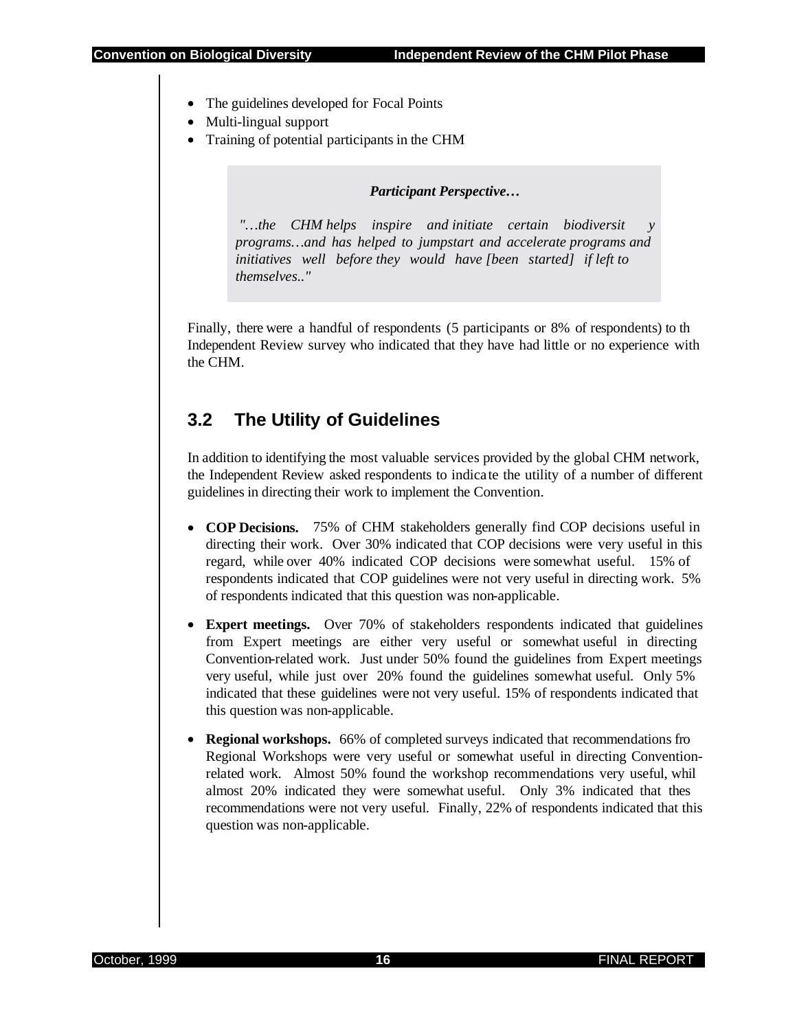- The guidelines developed for Focal Points
- Multi-lingual support
- Training of potential participants in the CHM

*Participant Perspective…* 

"...the CHM helps inspire and initiate certain biodiversit *programs…and has helped to jumpstart and accelerate programs and initiatives well before they would have [been started] if left to themselves.."* 

Finally, there were a handful of respondents (5 participants or 8% of respondents) to th Independent Review survey who indicated that they have had little or no experience with the CHM.

## **3.2 The Utility of Guidelines**

In addition to identifying the most valuable services provided by the global CHM network, the Independent Review asked respondents to indicate the utility of a number of different guidelines in directing their work to implement the Convention.

- **COP Decisions.** 75% of CHM stakeholders generally find COP decisions useful in directing their work. Over 30% indicated that COP decisions were very useful in this regard, while over 40% indicated COP decisions were somewhat useful. 15% of respondents indicated that COP guidelines were not very useful in directing work. 5% of respondents indicated that this question was non-applicable.
- **Expert meetings.** Over 70% of stakeholders respondents indicated that guidelines from Expert meetings are either very useful or somewhat useful in directing Convention-related work. Just under 50% found the guidelines from Expert meetings very useful, while just over 20% found the guidelines somewhat useful. Only 5% indicated that these guidelines were not very useful. 15% of respondents indicated that this question was non-applicable.
- **Regional workshops.** 66% of completed surveys indicated that recommendations fro Regional Workshops were very useful or somewhat useful in directing Conventionrelated work. Almost 50% found the workshop recommendations very useful, whil almost 20% indicated they were somewhat useful. Only 3% indicated that thes recommendations were not very useful. Finally, 22% of respondents indicated that this question was non-applicable.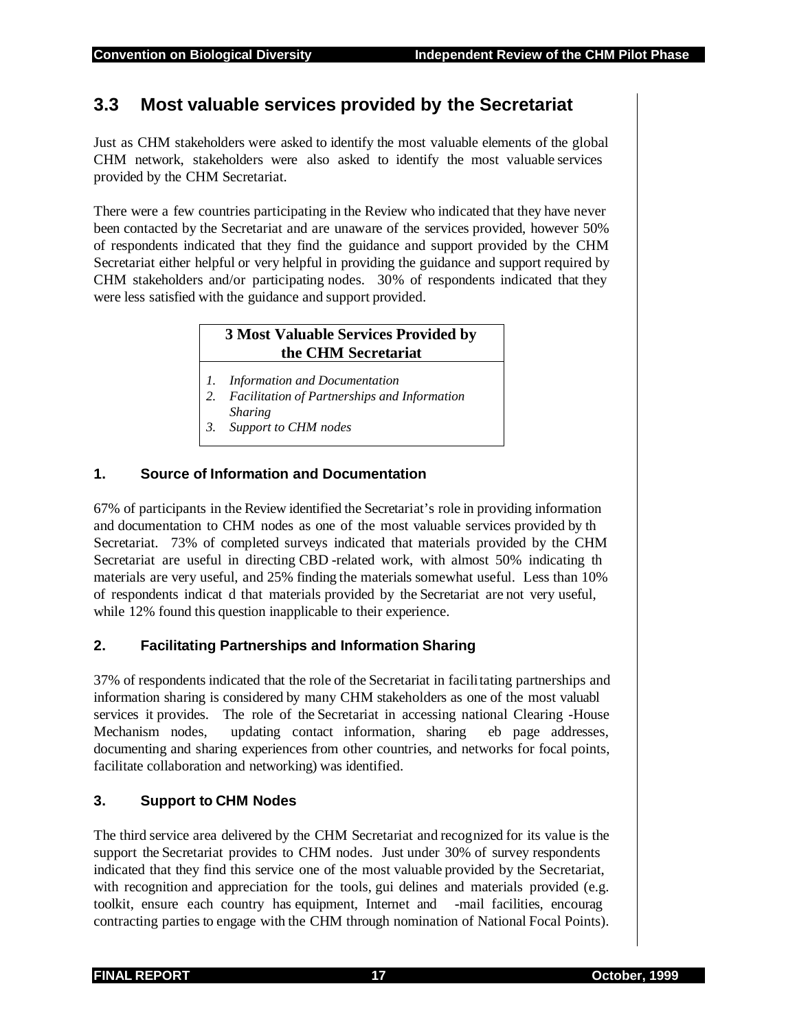## **3.3 Most valuable services provided by the Secretariat**

Just as CHM stakeholders were asked to identify the most valuable elements of the global CHM network, stakeholders were also asked to identify the most valuable services provided by the CHM Secretariat.

There were a few countries participating in the Review who indicated that they have never been contacted by the Secretariat and are unaware of the services provided, however 50% of respondents indicated that they find the guidance and support provided by the CHM Secretariat either helpful or very helpful in providing the guidance and support required by CHM stakeholders and/or participating nodes. 30% of respondents indicated that they were less satisfied with the guidance and support provided.

#### **3 Most Valuable Services Provided by the CHM Secretariat**

- *1. Information and Documentation*
- *2. Facilitation of Partnerships and Information*
- *Sharing*
- *3. Support to CHM nodes*

#### **1. Source of Information and Documentation**

67% of participants in the Review identified the Secretariat's role in providing information and documentation to CHM nodes as one of the most valuable services provided by th Secretariat. 73% of completed surveys indicated that materials provided by the CHM Secretariat are useful in directing CBD -related work, with almost 50% indicating th materials are very useful, and 25% finding the materials somewhat useful. Less than 10% of respondents indicat d that materials provided by the Secretariat are not very useful, while 12% found this question inapplicable to their experience.

#### **2. Facilitating Partnerships and Information Sharing**

37% of respondents indicated that the role of the Secretariat in facilitating partnerships and information sharing is considered by many CHM stakeholders as one of the most valuabl services it provides. The role of the Secretariat in accessing national Clearing -House Mechanism nodes, updating contact information, sharing eb page addresses, documenting and sharing experiences from other countries, and networks for focal points, facilitate collaboration and networking) was identified.

#### **3. Support to CHM Nodes**

The third service area delivered by the CHM Secretariat and recognized for its value is the support the Secretariat provides to CHM nodes. Just under 30% of survey respondents indicated that they find this service one of the most valuable provided by the Secretariat, with recognition and appreciation for the tools, gui delines and materials provided (e.g. toolkit, ensure each country has equipment, Internet and -mail facilities, encourag contracting parties to engage with the CHM through nomination of National Focal Points).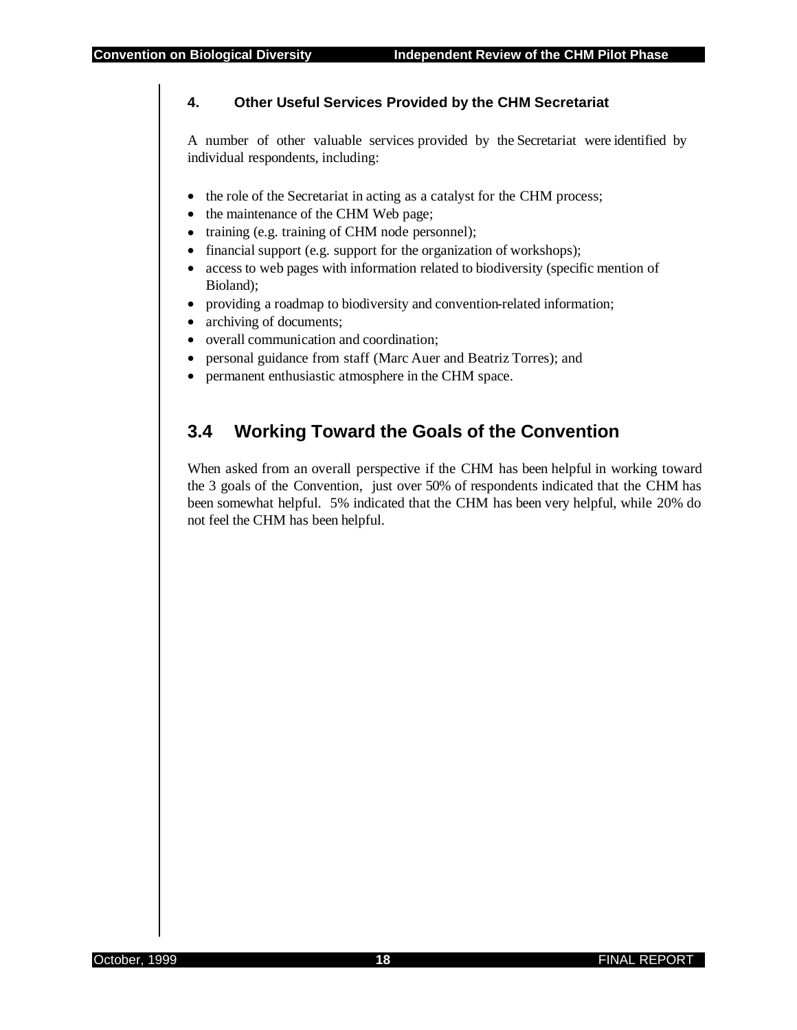#### **4. Other Useful Services Provided by the CHM Secretariat**

A number of other valuable services provided by the Secretariat were identified by individual respondents, including:

- the role of the Secretariat in acting as a catalyst for the CHM process;
- the maintenance of the CHM Web page;
- training (e.g. training of CHM node personnel);
- financial support (e.g. support for the organization of workshops);
- access to web pages with information related to biodiversity (specific mention of Bioland);
- providing a roadmap to biodiversity and convention-related information;
- archiving of documents;
- overall communication and coordination:
- personal guidance from staff (Marc Auer and Beatriz Torres); and
- permanent enthusiastic atmosphere in the CHM space.

## **3.4 Working Toward the Goals of the Convention**

When asked from an overall perspective if the CHM has been helpful in working toward the 3 goals of the Convention, just over 50% of respondents indicated that the CHM has been somewhat helpful. 5% indicated that the CHM has been very helpful, while 20% do not feel the CHM has been helpful.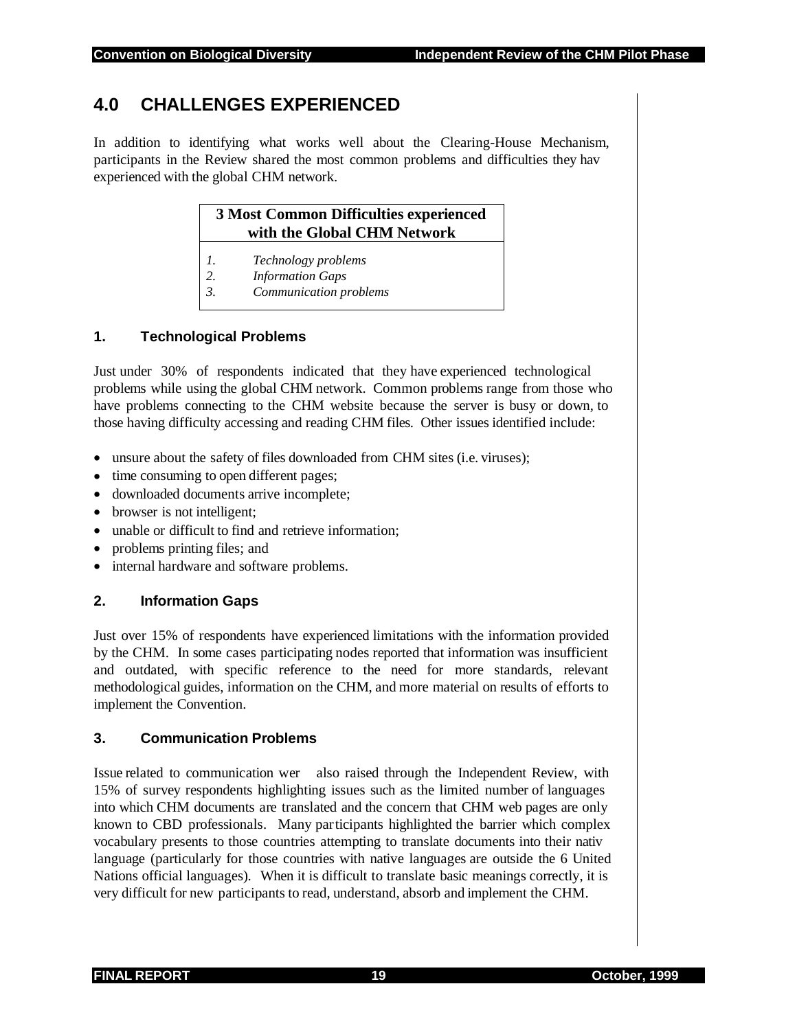## **4.0 CHALLENGES EXPERIENCED**

In addition to identifying what works well about the Clearing-House Mechanism, participants in the Review shared the most common problems and difficulties they hav experienced with the global CHM network.

#### **3 Most Common Difficulties experienced with the Global CHM Network**

- *1. Technology problems*
- *2. Information Gaps*
- *3. Communication problems*

#### **1. Technological Problems**

Just under 30% of respondents indicated that they have experienced technological problems while using the global CHM network. Common problems range from those who have problems connecting to the CHM website because the server is busy or down, to those having difficulty accessing and reading CHM files. Other issues identified include:

- unsure about the safety of files downloaded from CHM sites (i.e. viruses);
- time consuming to open different pages;
- downloaded documents arrive incomplete;
- browser is not intelligent:
- unable or difficult to find and retrieve information;
- problems printing files; and
- internal hardware and software problems.

#### **2. Information Gaps**

Just over 15% of respondents have experienced limitations with the information provided by the CHM. In some cases participating nodes reported that information was insufficient and outdated, with specific reference to the need for more standards, relevant methodological guides, information on the CHM, and more material on results of efforts to implement the Convention.

#### **3. Communication Problems**

Issue related to communication wer also raised through the Independent Review, with 15% of survey respondents highlighting issues such as the limited number of languages into which CHM documents are translated and the concern that CHM web pages are only known to CBD professionals. Many participants highlighted the barrier which complex vocabulary presents to those countries attempting to translate documents into their nativ language (particularly for those countries with native languages are outside the 6 United Nations official languages). When it is difficult to translate basic meanings correctly, it is very difficult for new participants to read, understand, absorb and implement the CHM.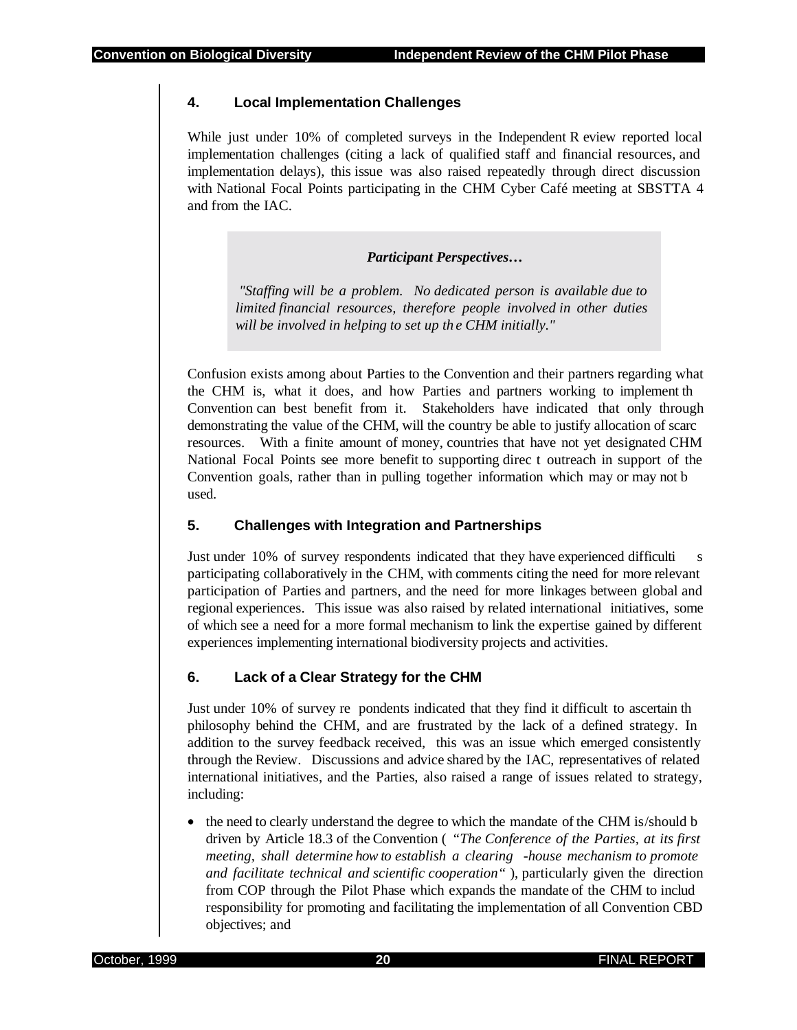#### **4. Local Implementation Challenges**

While just under 10% of completed surveys in the Independent R eview reported local implementation challenges (citing a lack of qualified staff and financial resources, and implementation delays), this issue was also raised repeatedly through direct discussion with National Focal Points participating in the CHM Cyber Café meeting at SBSTTA 4 and from the IAC.

#### *Participant Perspectives…*

 *"Staffing will be a problem. No dedicated person is available due to limited financial resources, therefore people involved in other duties will be involved in helping to set up th e CHM initially."* 

Confusion exists among about Parties to the Convention and their partners regarding what the CHM is, what it does, and how Parties and partners working to implement th Convention can best benefit from it. Stakeholders have indicated that only through demonstrating the value of the CHM, will the country be able to justify allocation of scarc resources. With a finite amount of money, countries that have not yet designated CHM National Focal Points see more benefit to supporting direc t outreach in support of the Convention goals, rather than in pulling together information which may or may not b used.

#### **5. Challenges with Integration and Partnerships**

Just under 10% of survey respondents indicated that they have experienced difficulti s participating collaboratively in the CHM, with comments citing the need for more relevant participation of Parties and partners, and the need for more linkages between global and regional experiences. This issue was also raised by related international initiatives, some of which see a need for a more formal mechanism to link the expertise gained by different experiences implementing international biodiversity projects and activities.

#### **6. Lack of a Clear Strategy for the CHM**

Just under 10% of survey re pondents indicated that they find it difficult to ascertain th philosophy behind the CHM, and are frustrated by the lack of a defined strategy. In addition to the survey feedback received, this was an issue which emerged consistently through the Review. Discussions and advice shared by the IAC, representatives of related international initiatives, and the Parties, also raised a range of issues related to strategy, including:

• the need to clearly understand the degree to which the mandate of the CHM is/should b driven by Article 18.3 of the Convention ( *"The Conference of the Parties, at its first meeting, shall determine how to establish a clearing -house mechanism to promote and facilitate technical and scientific cooperation"* ), particularly given the direction from COP through the Pilot Phase which expands the mandate of the CHM to includ responsibility for promoting and facilitating the implementation of all Convention CBD objectives; and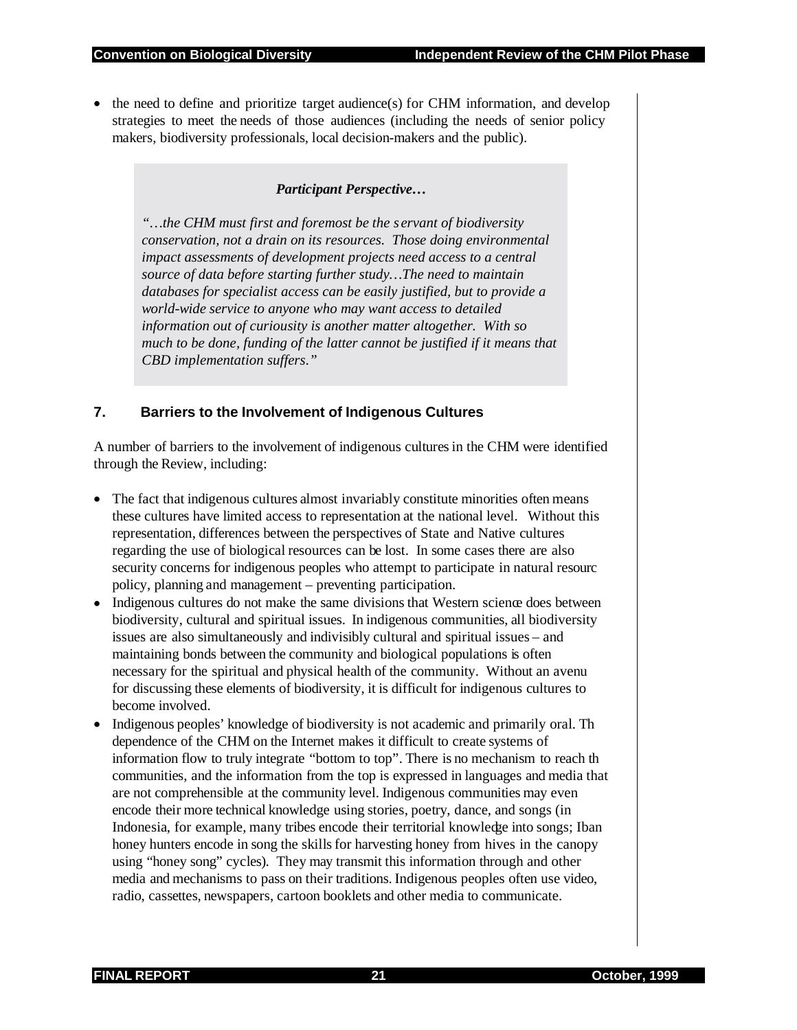• the need to define and prioritize target audience(s) for CHM information, and develop strategies to meet the needs of those audiences (including the needs of senior policy makers, biodiversity professionals, local decision-makers and the public).

#### *Participant Perspective…*

*"…the CHM must first and foremost be the s ervant of biodiversity conservation, not a drain on its resources. Those doing environmental impact assessments of development projects need access to a central source of data before starting further study…The need to maintain databases for specialist access can be easily justified, but to provide a world-wide service to anyone who may want access to detailed information out of curiousity is another matter altogether. With so much to be done, funding of the latter cannot be justified if it means that CBD implementation suffers."* 

#### **7. Barriers to the Involvement of Indigenous Cultures**

A number of barriers to the involvement of indigenous cultures in the CHM were identified through the Review, including:

- The fact that indigenous cultures almost invariably constitute minorities often means these cultures have limited access to representation at the national level. Without this representation, differences between the perspectives of State and Native cultures regarding the use of biological resources can be lost. In some cases there are also security concerns for indigenous peoples who attempt to participate in natural resourc policy, planning and management – preventing participation.
- Indigenous cultures do not make the same divisions that Western science does between biodiversity, cultural and spiritual issues. In indigenous communities, all biodiversity issues are also simultaneously and indivisibly cultural and spiritual issues – and maintaining bonds between the community and biological populations is often necessary for the spiritual and physical health of the community. Without an avenu for discussing these elements of biodiversity, it is difficult for indigenous cultures to become involved.
- Indigenous peoples' knowledge of biodiversity is not academic and primarily oral. Th dependence of the CHM on the Internet makes it difficult to create systems of information flow to truly integrate "bottom to top". There is no mechanism to reach th communities, and the information from the top is expressed in languages and media that are not comprehensible at the community level. Indigenous communities may even encode their more technical knowledge using stories, poetry, dance, and songs (in Indonesia, for example, many tribes encode their territorial knowledge into songs; Iban honey hunters encode in song the skills for harvesting honey from hives in the canopy using "honey song" cycles). They may transmit this information through and other media and mechanisms to pass on their traditions. Indigenous peoples often use video, radio, cassettes, newspapers, cartoon booklets and other media to communicate.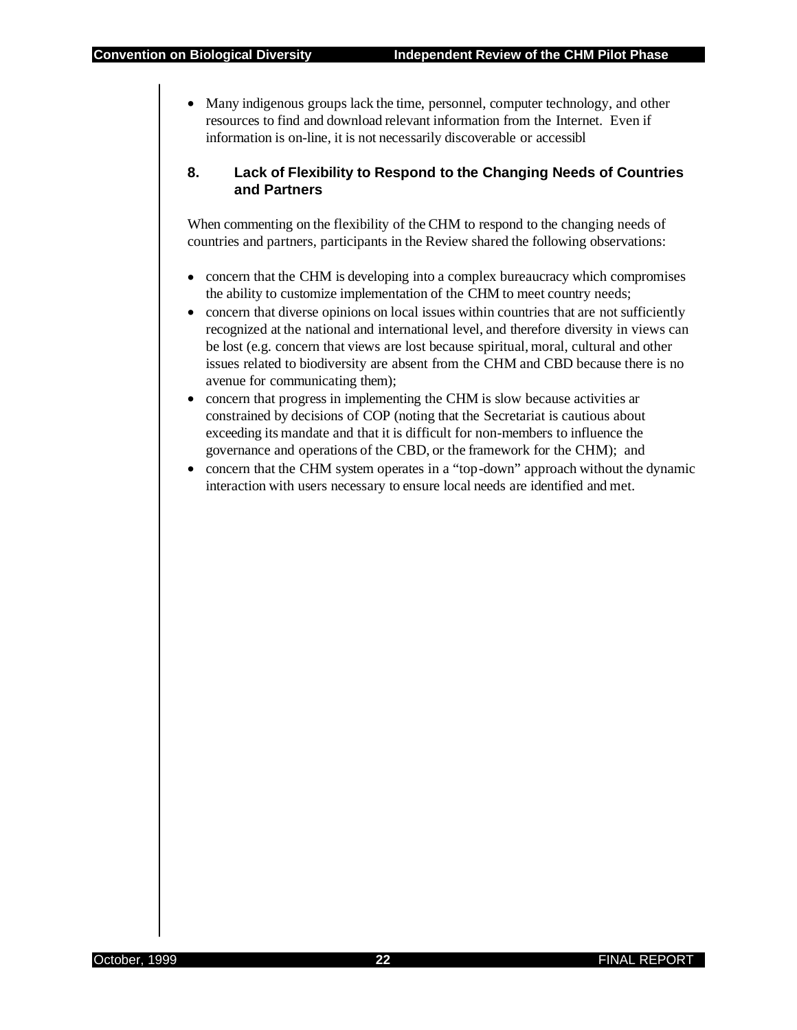• Many indigenous groups lack the time, personnel, computer technology, and other resources to find and download relevant information from the Internet. Even if information is on-line, it is not necessarily discoverable or accessibl

#### **8. Lack of Flexibility to Respond to the Changing Needs of Countries and Partners**

When commenting on the flexibility of the CHM to respond to the changing needs of countries and partners, participants in the Review shared the following observations:

- concern that the CHM is developing into a complex bureaucracy which compromises the ability to customize implementation of the CHM to meet country needs;
- concern that diverse opinions on local issues within countries that are not sufficiently recognized at the national and international level, and therefore diversity in views can be lost (e.g. concern that views are lost because spiritual, moral, cultural and other issues related to biodiversity are absent from the CHM and CBD because there is no avenue for communicating them);
- concern that progress in implementing the CHM is slow because activities ar constrained by decisions of COP (noting that the Secretariat is cautious about exceeding its mandate and that it is difficult for non-members to influence the governance and operations of the CBD, or the framework for the CHM); and
- concern that the CHM system operates in a "top-down" approach without the dynamic interaction with users necessary to ensure local needs are identified and met.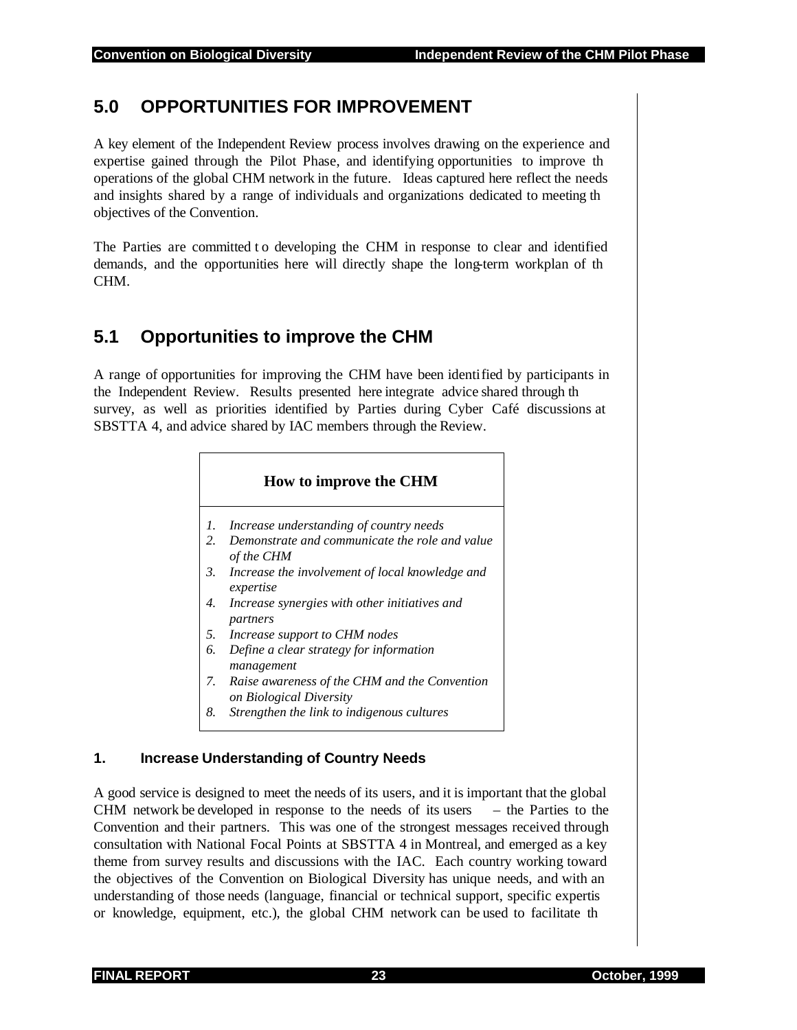## **5.0 OPPORTUNITIES FOR IMPROVEMENT**

A key element of the Independent Review process involves drawing on the experience and expertise gained through the Pilot Phase, and identifying opportunities to improve th operations of the global CHM network in the future. Ideas captured here reflect the needs and insights shared by a range of individuals and organizations dedicated to meeting th objectives of the Convention.

The Parties are committed t o developing the CHM in response to clear and identified demands, and the opportunities here will directly shape the long-term workplan of th CHM.

## **5.1 Opportunities to improve the CHM**

A range of opportunities for improving the CHM have been identified by participants in the Independent Review. Results presented here integrate advice shared through th survey, as well as priorities identified by Parties during Cyber Café discussions at SBSTTA 4, and advice shared by IAC members through the Review.

#### **How to improve the CHM**

- *1. Increase understanding of country needs*
- *2. Demonstrate and communicate the role and value of the CHM*
- *3. Increase the involvement of local knowledge and expertise*
- *4. Increase synergies with other initiatives and partners*
- *5. Increase support to CHM nodes*
- *6. Define a clear strategy for information management*
- *7. Raise awareness of the CHM and the Convention on Biological Diversity*
- *8. Strengthen the link to indigenous cultures*

#### **1. Increase Understanding of Country Needs**

A good service is designed to meet the needs of its users, and it is important that the global CHM network be developed in response to the needs of its users – the Parties to the Convention and their partners. This was one of the strongest messages received through consultation with National Focal Points at SBSTTA 4 in Montreal, and emerged as a key theme from survey results and discussions with the IAC. Each country working toward the objectives of the Convention on Biological Diversity has unique needs, and with an understanding of those needs (language, financial or technical support, specific expertis or knowledge, equipment, etc.), the global CHM network can be used to facilitate th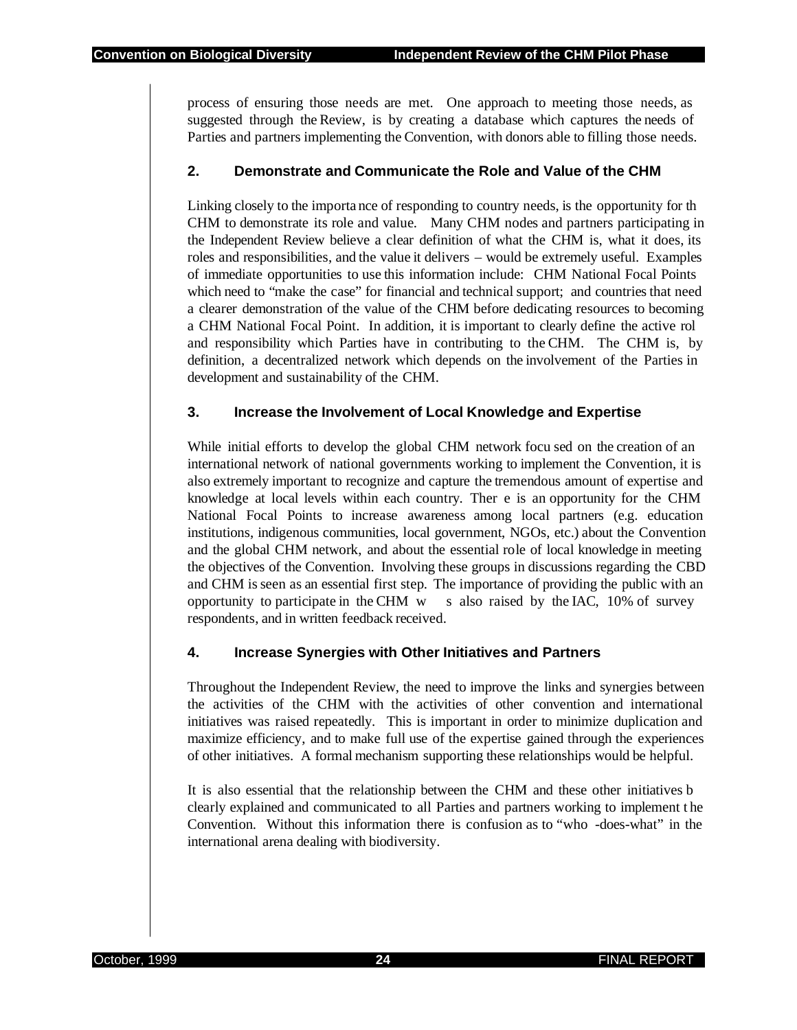process of ensuring those needs are met. One approach to meeting those needs, as suggested through the Review, is by creating a database which captures the needs of Parties and partners implementing the Convention, with donors able to filling those needs.

#### **2. Demonstrate and Communicate the Role and Value of the CHM**

Linking closely to the importa nce of responding to country needs, is the opportunity for th CHM to demonstrate its role and value. Many CHM nodes and partners participating in the Independent Review believe a clear definition of what the CHM is, what it does, its roles and responsibilities, and the value it delivers – would be extremely useful. Examples of immediate opportunities to use this information include: CHM National Focal Points which need to "make the case" for financial and technical support; and countries that need a clearer demonstration of the value of the CHM before dedicating resources to becoming a CHM National Focal Point. In addition, it is important to clearly define the active rol and responsibility which Parties have in contributing to the CHM. The CHM is, by definition, a decentralized network which depends on the involvement of the Parties in development and sustainability of the CHM.

#### **3. Increase the Involvement of Local Knowledge and Expertise**

While initial efforts to develop the global CHM network focu sed on the creation of an international network of national governments working to implement the Convention, it is also extremely important to recognize and capture the tremendous amount of expertise and knowledge at local levels within each country. Ther e is an opportunity for the CHM National Focal Points to increase awareness among local partners (e.g. education institutions, indigenous communities, local government, NGOs, etc.) about the Convention and the global CHM network, and about the essential role of local knowledge in meeting the objectives of the Convention. Involving these groups in discussions regarding the CBD and CHM is seen as an essential first step. The importance of providing the public with an opportunity to participate in the CHM w s also raised by the IAC, 10% of survey respondents, and in written feedback received.

#### **4. Increase Synergies with Other Initiatives and Partners**

Throughout the Independent Review, the need to improve the links and synergies between the activities of the CHM with the activities of other convention and international initiatives was raised repeatedly. This is important in order to minimize duplication and maximize efficiency, and to make full use of the expertise gained through the experiences of other initiatives. A formal mechanism supporting these relationships would be helpful.

It is also essential that the relationship between the CHM and these other initiatives b clearly explained and communicated to all Parties and partners working to implement t he Convention. Without this information there is confusion as to "who -does-what" in the international arena dealing with biodiversity.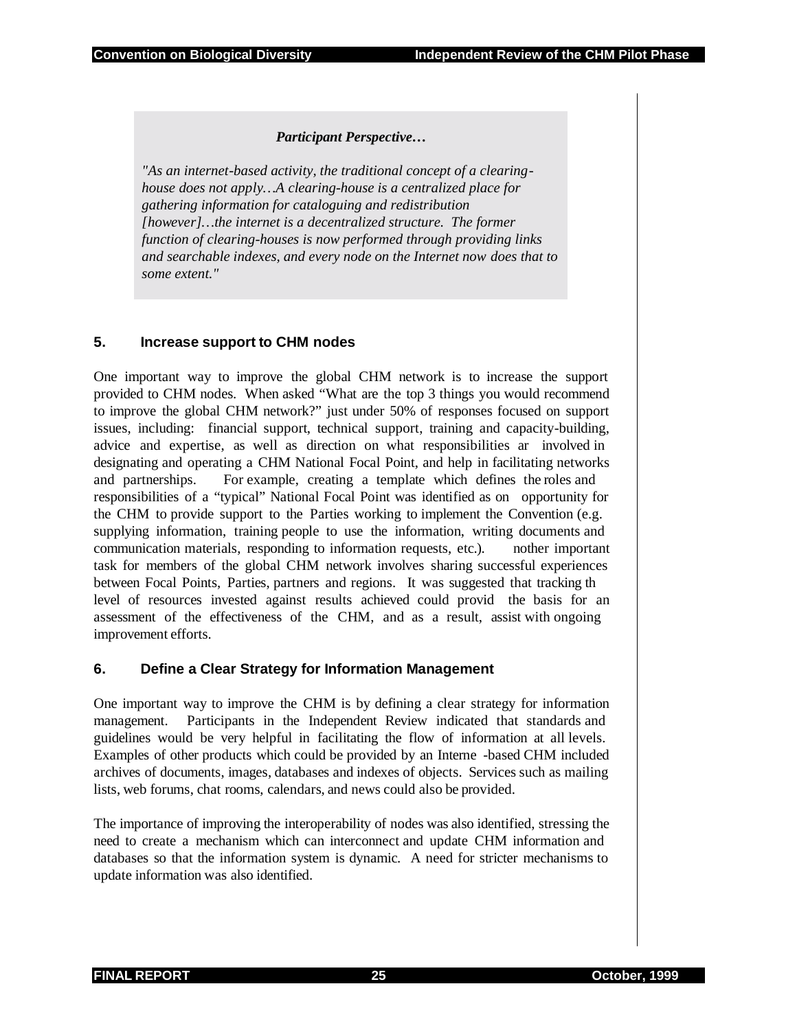#### *Participant Perspective…*

*"As an internet-based activity, the traditional concept of a clearinghouse does not apply…A clearing-house is a centralized place for gathering information for cataloguing and redistribution [however]…the internet is a decentralized structure. The former function of clearing-houses is now performed through providing links and searchable indexes, and every node on the Internet now does that to some extent."* 

#### **5. Increase support to CHM nodes**

One important way to improve the global CHM network is to increase the support provided to CHM nodes. When asked "What are the top 3 things you would recommend to improve the global CHM network?" just under 50% of responses focused on support issues, including: financial support, technical support, training and capacity-building, advice and expertise, as well as direction on what responsibilities ar involved in designating and operating a CHM National Focal Point, and help in facilitating networks and partnerships. For example, creating a template which defines the roles and responsibilities of a "typical" National Focal Point was identified as on opportunity for the CHM to provide support to the Parties working to implement the Convention (e.g. supplying information, training people to use the information, writing documents and communication materials, responding to information requests, etc.). nother important task for members of the global CHM network involves sharing successful experiences between Focal Points, Parties, partners and regions. It was suggested that tracking th level of resources invested against results achieved could provid the basis for an assessment of the effectiveness of the CHM, and as a result, assist with ongoing improvement efforts.

#### **6. Define a Clear Strategy for Information Management**

One important way to improve the CHM is by defining a clear strategy for information management. Participants in the Independent Review indicated that standards and guidelines would be very helpful in facilitating the flow of information at all levels. Examples of other products which could be provided by an Interne -based CHM included archives of documents, images, databases and indexes of objects. Services such as mailing lists, web forums, chat rooms, calendars, and news could also be provided.

The importance of improving the interoperability of nodes was also identified, stressing the need to create a mechanism which can interconnect and update CHM information and databases so that the information system is dynamic. A need for stricter mechanisms to update information was also identified.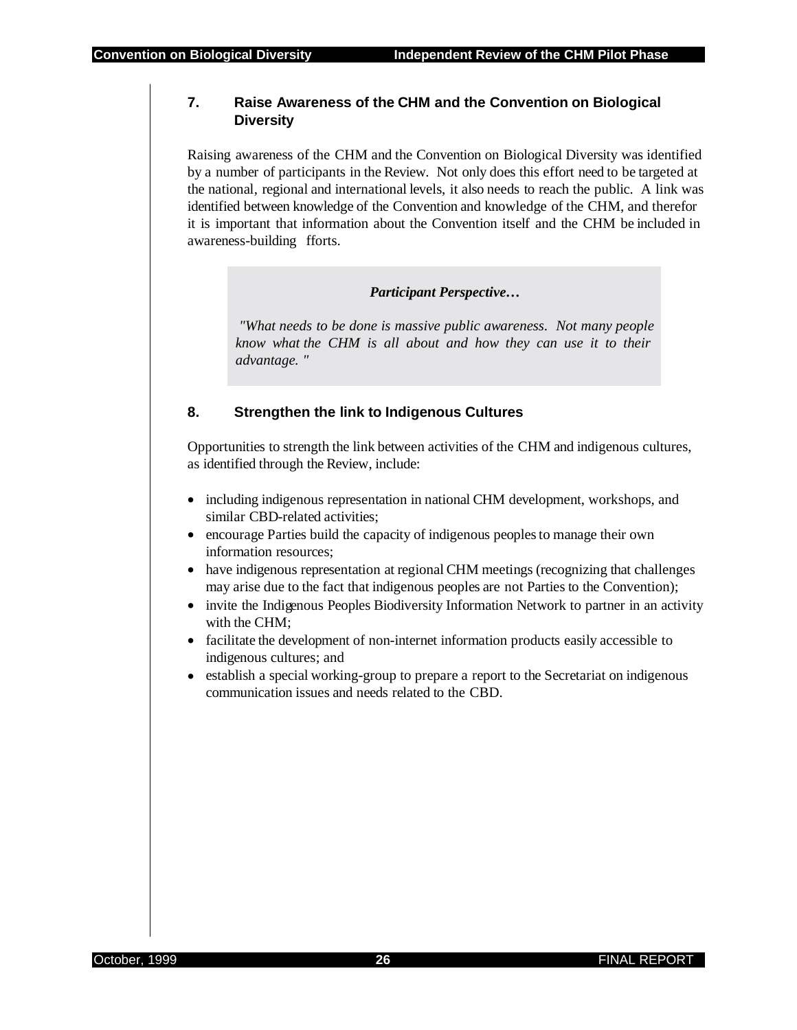#### **7. Raise Awareness of the CHM and the Convention on Biological Diversity**

Raising awareness of the CHM and the Convention on Biological Diversity was identified by a number of participants in the Review. Not only does this effort need to be targeted at the national, regional and international levels, it also needs to reach the public. A link was identified between knowledge of the Convention and knowledge of the CHM, and therefor it is important that information about the Convention itself and the CHM be included in awareness-building fforts.

*Participant Perspective…* 

 *"What needs to be done is massive public awareness. Not many people know what the CHM is all about and how they can use it to their advantage. "* 

#### **8. Strengthen the link to Indigenous Cultures**

Opportunities to strength the link between activities of the CHM and indigenous cultures, as identified through the Review, include:

- including indigenous representation in national CHM development, workshops, and similar CBD-related activities;
- encourage Parties build the capacity of indigenous peoples to manage their own information resources;
- have indigenous representation at regional CHM meetings (recognizing that challenges may arise due to the fact that indigenous peoples are not Parties to the Convention);
- invite the Indigenous Peoples Biodiversity Information Network to partner in an activity with the CHM;
- facilitate the development of non-internet information products easily accessible to indigenous cultures; and
- establish a special working-group to prepare a report to the Secretariat on indigenous communication issues and needs related to the CBD.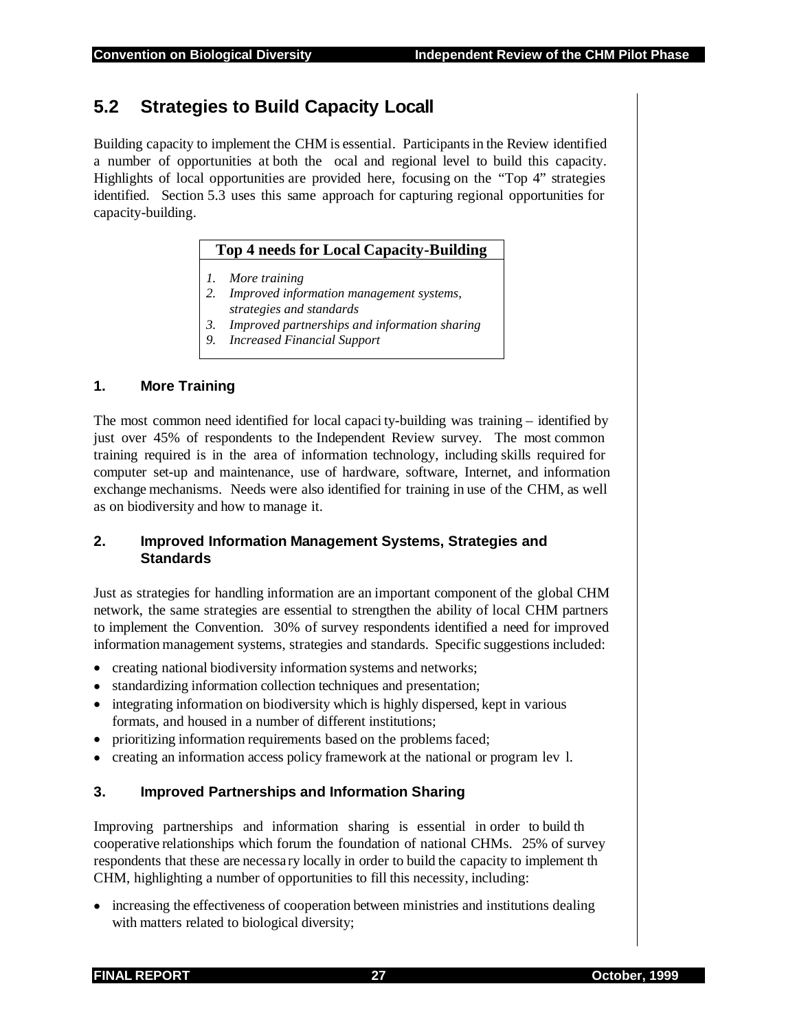## **5.2 Strategies to Build Capacity Locall**

Building capacity to implement the CHM is essential. Participants in the Review identified a number of opportunities at both the ocal and regional level to build this capacity. Highlights of local opportunities are provided here, focusing on the "Top 4" strategies identified. Section 5.3 uses this same approach for capturing regional opportunities for capacity-building.

#### **Top 4 needs for Local Capacity-Building**

- *1. More training*
- *2. Improved information management systems, strategies and standards*
- *3. Improved partnerships and information sharing*
- *9. Increased Financial Support*

#### **1. More Training**

The most common need identified for local capaci ty-building was training – identified by just over 45% of respondents to the Independent Review survey. The most common training required is in the area of information technology, including skills required for computer set-up and maintenance, use of hardware, software, Internet, and information exchange mechanisms. Needs were also identified for training in use of the CHM, as well as on biodiversity and how to manage it.

#### **2. Improved Information Management Systems, Strategies and Standards**

Just as strategies for handling information are an important component of the global CHM network, the same strategies are essential to strengthen the ability of local CHM partners to implement the Convention. 30% of survey respondents identified a need for improved information management systems, strategies and standards. Specific suggestions included:

- creating national biodiversity information systems and networks;
- standardizing information collection techniques and presentation;
- integrating information on biodiversity which is highly dispersed, kept in various formats, and housed in a number of different institutions;
- prioritizing information requirements based on the problems faced;
- creating an information access policy framework at the national or program lev l.

#### **3. Improved Partnerships and Information Sharing**

Improving partnerships and information sharing is essential in order to build th cooperative relationships which forum the foundation of national CHMs. 25% of survey respondents that these are necessary locally in order to build the capacity to implement th CHM, highlighting a number of opportunities to fill this necessity, including:

• increasing the effectiveness of cooperation between ministries and institutions dealing with matters related to biological diversity;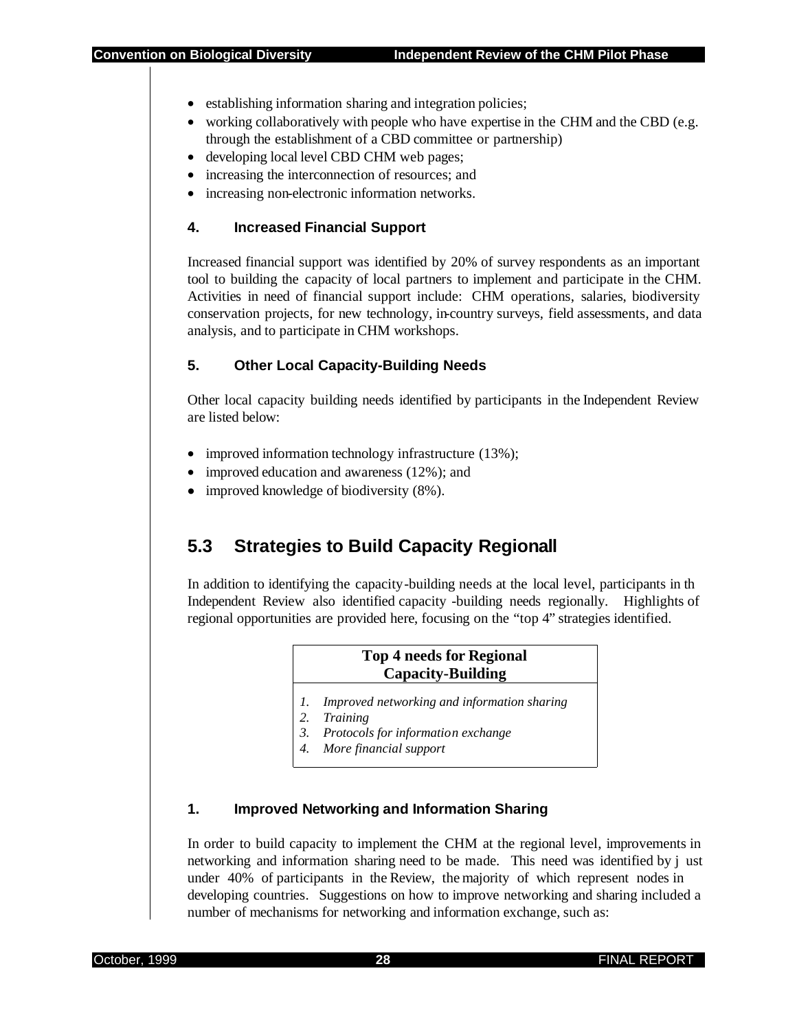- establishing information sharing and integration policies;
- working collaboratively with people who have expertise in the CHM and the CBD (e.g. through the establishment of a CBD committee or partnership)
- developing local level CBD CHM web pages;
- increasing the interconnection of resources; and
- increasing non-electronic information networks.

#### **4. Increased Financial Support**

Increased financial support was identified by 20% of survey respondents as an important tool to building the capacity of local partners to implement and participate in the CHM. Activities in need of financial support include: CHM operations, salaries, biodiversity conservation projects, for new technology, in-country surveys, field assessments, and data analysis, and to participate in CHM workshops.

#### **5. Other Local Capacity-Building Needs**

Other local capacity building needs identified by participants in the Independent Review are listed below:

- improved information technology infrastructure (13%);
- improved education and awareness (12%); and
- improved knowledge of biodiversity  $(8\%)$ .

## **5.3 Strategies to Build Capacity Regionall**

In addition to identifying the capacity-building needs at the local level, participants in th Independent Review also identified capacity -building needs regionally. Highlights of regional opportunities are provided here, focusing on the "top 4" strategies identified.

## **Top 4 needs for Regional Capacity-Building**

- *1. Improved networking and information sharing*
- *2. Training*
- *3. Protocols for information exchange*
- *4. More financial support*

#### **1. Improved Networking and Information Sharing**

In order to build capacity to implement the CHM at the regional level, improvements in networking and information sharing need to be made. This need was identified by j ust under 40% of participants in the Review, the majority of which represent nodes in developing countries. Suggestions on how to improve networking and sharing included a number of mechanisms for networking and information exchange, such as: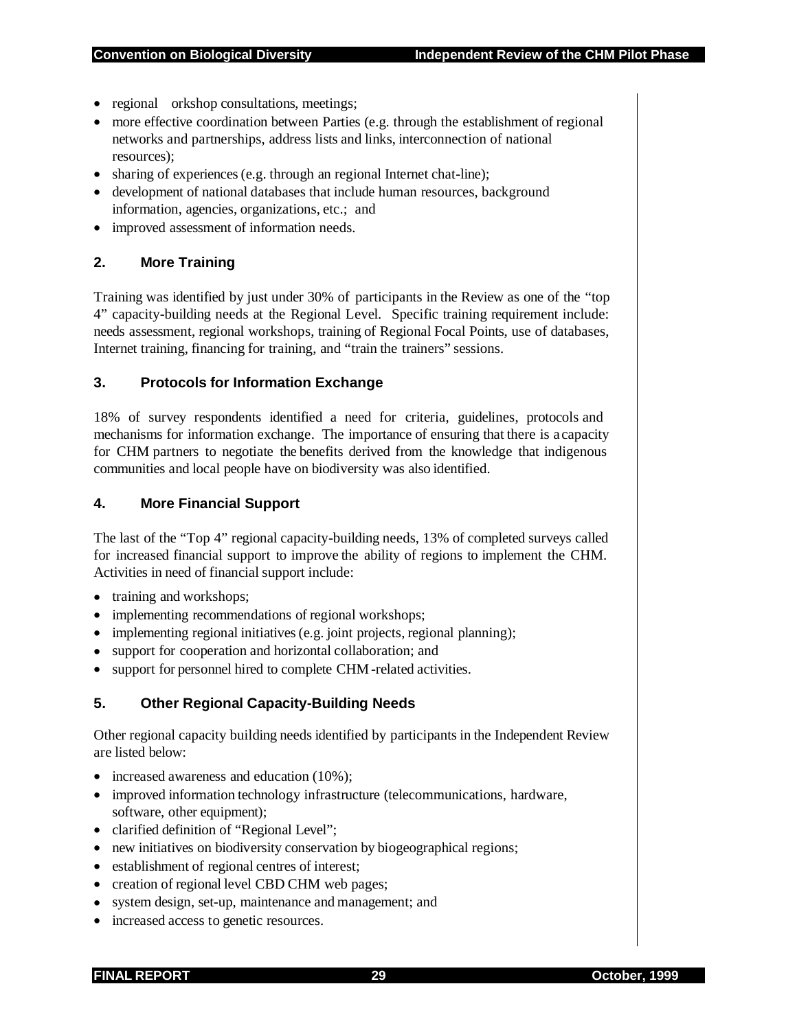- regional orkshop consultations, meetings;
- more effective coordination between Parties (e.g. through the establishment of regional networks and partnerships, address lists and links, interconnection of national resources);
- sharing of experiences (e.g. through an regional Internet chat-line);
- development of national databases that include human resources, background information, agencies, organizations, etc.; and
- improved assessment of information needs.

#### **2. More Training**

Training was identified by just under 30% of participants in the Review as one of the "top 4" capacity-building needs at the Regional Level. Specific training requirement include: needs assessment, regional workshops, training of Regional Focal Points, use of databases, Internet training, financing for training, and "train the trainers" sessions.

#### **3. Protocols for Information Exchange**

18% of survey respondents identified a need for criteria, guidelines, protocols and mechanisms for information exchange. The importance of ensuring that there is a capacity for CHM partners to negotiate the benefits derived from the knowledge that indigenous communities and local people have on biodiversity was also identified.

#### **4. More Financial Support**

The last of the "Top 4" regional capacity-building needs, 13% of completed surveys called for increased financial support to improve the ability of regions to implement the CHM. Activities in need of financial support include:

- training and workshops;
- implementing recommendations of regional workshops;
- implementing regional initiatives (e.g. joint projects, regional planning);
- support for cooperation and horizontal collaboration; and
- support for personnel hired to complete CHM -related activities.

#### **5. Other Regional Capacity-Building Needs**

Other regional capacity building needs identified by participants in the Independent Review are listed below:

- increased awareness and education (10%);
- improved information technology infrastructure (telecommunications, hardware, software, other equipment);
- clarified definition of "Regional Level";
- new initiatives on biodiversity conservation by biogeographical regions;
- establishment of regional centres of interest;
- creation of regional level CBD CHM web pages;
- system design, set-up, maintenance and management; and
- increased access to genetic resources.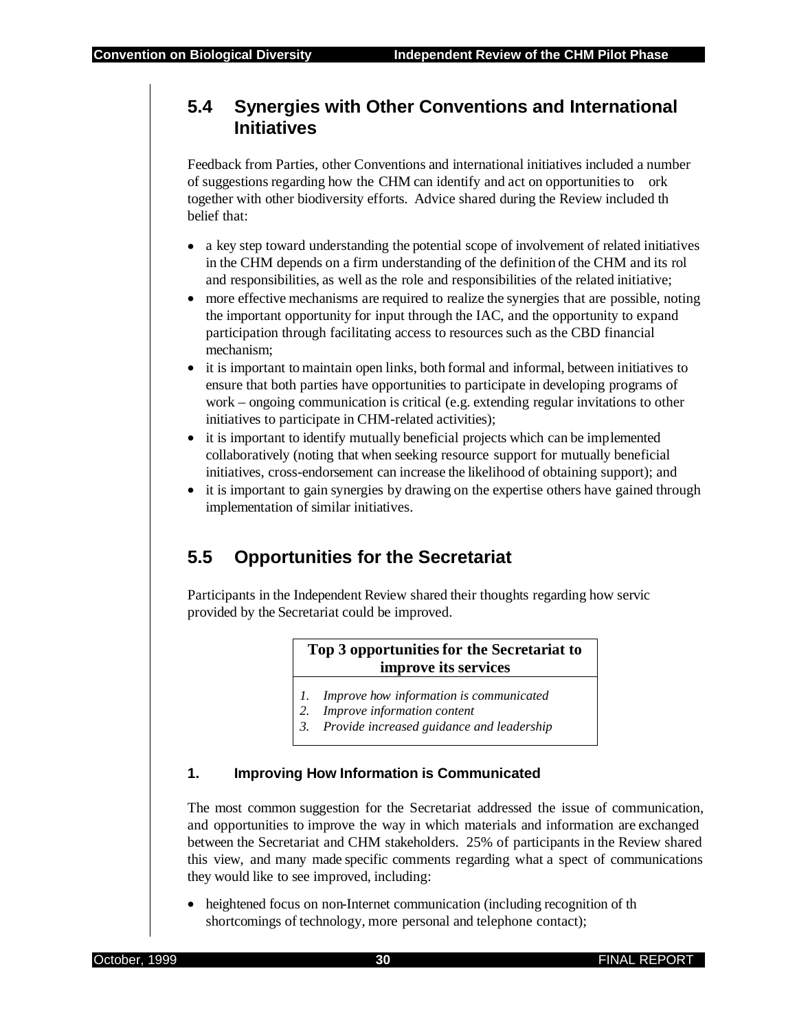## **5.4 Synergies with Other Conventions and International Initiatives**

Feedback from Parties, other Conventions and international initiatives included a number of suggestions regarding how the CHM can identify and act on opportunities to ork together with other biodiversity efforts. Advice shared during the Review included th belief that:

- a key step toward understanding the potential scope of involvement of related initiatives in the CHM depends on a firm understanding of the definition of the CHM and its rol and responsibilities, as well as the role and responsibilities of the related initiative;
- more effective mechanisms are required to realize the synergies that are possible, noting the important opportunity for input through the IAC, and the opportunity to expand participation through facilitating access to resources such as the CBD financial mechanism;
- it is important to maintain open links, both formal and informal, between initiatives to ensure that both parties have opportunities to participate in developing programs of work – ongoing communication is critical (e.g. extending regular invitations to other initiatives to participate in CHM-related activities);
- it is important to identify mutually beneficial projects which can be implemented collaboratively (noting that when seeking resource support for mutually beneficial initiatives, cross-endorsement can increase the likelihood of obtaining support); and
- it is important to gain synergies by drawing on the expertise others have gained through implementation of similar initiatives.

## **5.5 Opportunities for the Secretariat**

Participants in the Independent Review shared their thoughts regarding how servic provided by the Secretariat could be improved.

## **Top 3 opportunities for the Secretariat to improve its services**

- *1. Improve how information is communicated*
- *2. Improve information content*
- *3. Provide increased guidance and leadership*

#### **1. Improving How Information is Communicated**

The most common suggestion for the Secretariat addressed the issue of communication, and opportunities to improve the way in which materials and information are exchanged between the Secretariat and CHM stakeholders. 25% of participants in the Review shared this view, and many made specific comments regarding what a spect of communications they would like to see improved, including:

• heightened focus on non-Internet communication (including recognition of th shortcomings of technology, more personal and telephone contact);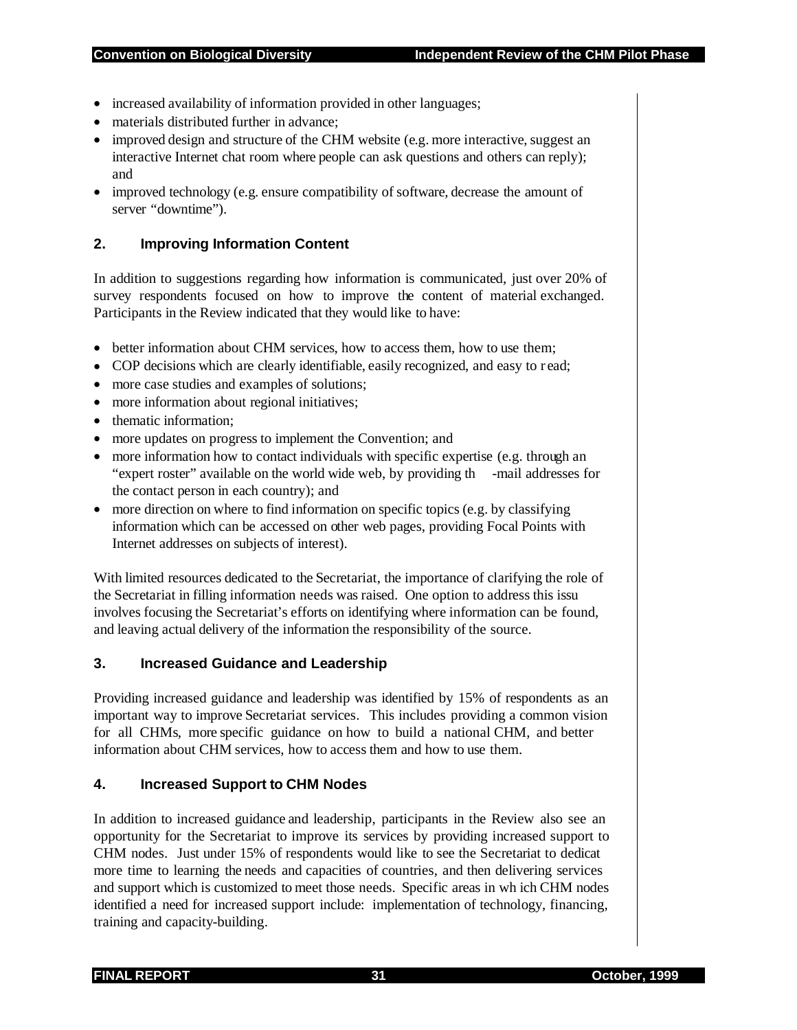- increased availability of information provided in other languages;
- materials distributed further in advance;
- improved design and structure of the CHM website (e.g. more interactive, suggest an interactive Internet chat room where people can ask questions and others can reply); and
- improved technology (e.g. ensure compatibility of software, decrease the amount of server "downtime").

#### **2. Improving Information Content**

In addition to suggestions regarding how information is communicated, just over 20% of survey respondents focused on how to improve the content of material exchanged. Participants in the Review indicated that they would like to have:

- better information about CHM services, how to access them, how to use them;
- COP decisions which are clearly identifiable, easily recognized, and easy to read;
- more case studies and examples of solutions;
- more information about regional initiatives;
- thematic information;
- more updates on progress to implement the Convention; and
- more information how to contact individuals with specific expertise (e.g. through an "expert roster" available on the world wide web, by providing th -mail addresses for the contact person in each country); and
- more direction on where to find information on specific topics (e.g. by classifying information which can be accessed on other web pages, providing Focal Points with Internet addresses on subjects of interest).

With limited resources dedicated to the Secretariat, the importance of clarifying the role of the Secretariat in filling information needs was raised. One option to address this issu involves focusing the Secretariat's efforts on identifying where information can be found, and leaving actual delivery of the information the responsibility of the source.

#### **3. Increased Guidance and Leadership**

Providing increased guidance and leadership was identified by 15% of respondents as an important way to improve Secretariat services. This includes providing a common vision for all CHMs, more specific guidance on how to build a national CHM, and better information about CHM services, how to access them and how to use them.

#### **4. Increased Support to CHM Nodes**

In addition to increased guidance and leadership, participants in the Review also see an opportunity for the Secretariat to improve its services by providing increased support to CHM nodes. Just under 15% of respondents would like to see the Secretariat to dedicat more time to learning the needs and capacities of countries, and then delivering services and support which is customized to meet those needs. Specific areas in wh ich CHM nodes identified a need for increased support include: implementation of technology, financing, training and capacity-building.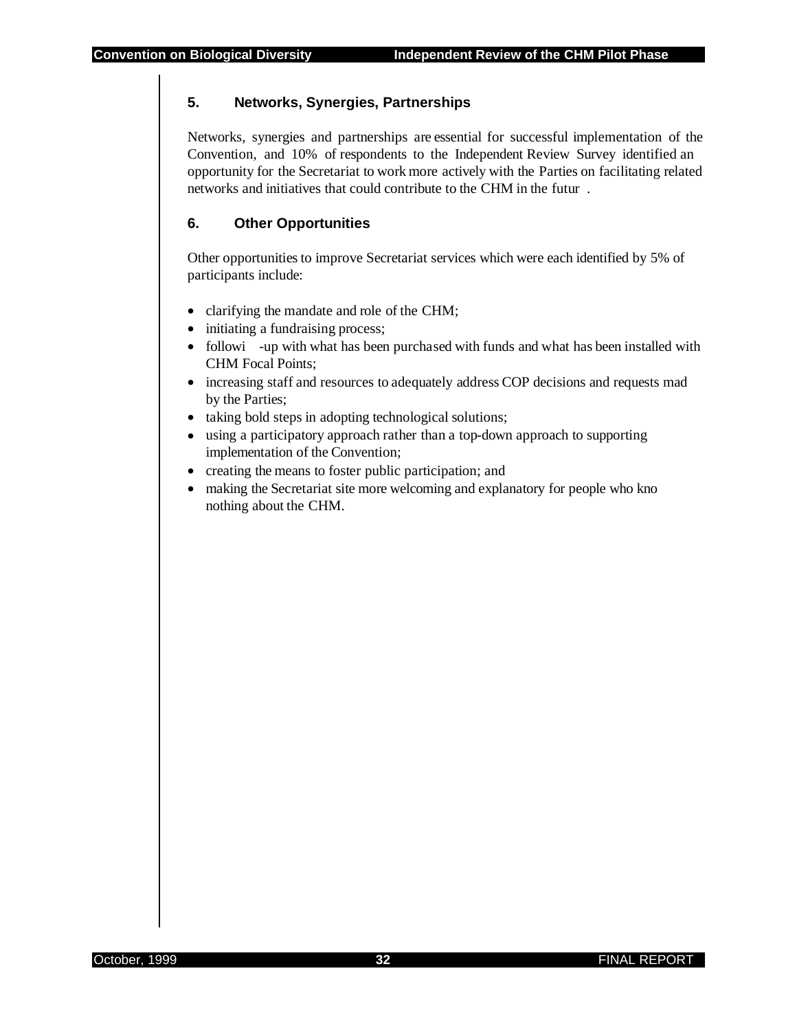#### **5. Networks, Synergies, Partnerships**

Networks, synergies and partnerships are essential for successful implementation of the Convention, and 10% of respondents to the Independent Review Survey identified an opportunity for the Secretariat to work more actively with the Parties on facilitating related networks and initiatives that could contribute to the CHM in the futur .

#### **6. Other Opportunities**

Other opportunities to improve Secretariat services which were each identified by 5% of participants include:

- clarifying the mandate and role of the CHM;
- initiating a fundraising process;
- followi -up with what has been purchased with funds and what has been installed with CHM Focal Points;
- increasing staff and resources to adequately address COP decisions and requests mad by the Parties;
- taking bold steps in adopting technological solutions;
- using a participatory approach rather than a top-down approach to supporting implementation of the Convention;
- creating the means to foster public participation; and
- making the Secretariat site more welcoming and explanatory for people who kno nothing about the CHM.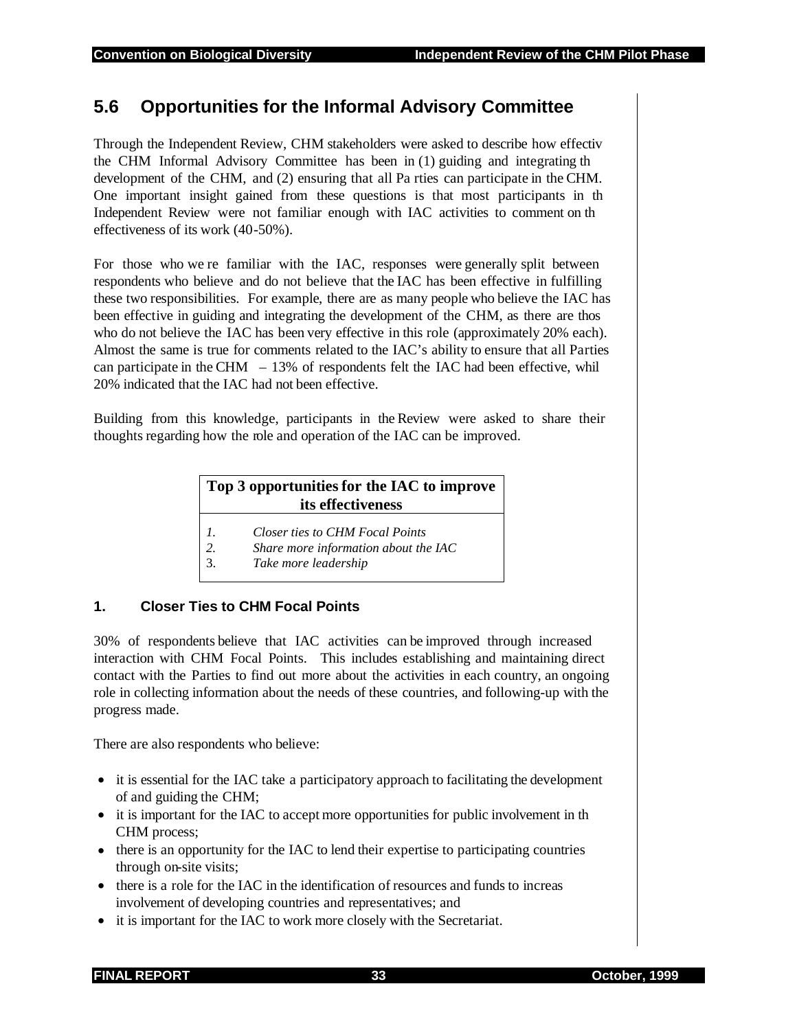## **5.6 Opportunities for the Informal Advisory Committee**

Through the Independent Review, CHM stakeholders were asked to describe how effectiv the CHM Informal Advisory Committee has been in (1) guiding and integrating th development of the CHM, and (2) ensuring that all Pa rties can participate in the CHM. One important insight gained from these questions is that most participants in th Independent Review were not familiar enough with IAC activities to comment on th effectiveness of its work (40-50%).

For those who we re familiar with the IAC, responses were generally split between respondents who believe and do not believe that the IAC has been effective in fulfilling these two responsibilities. For example, there are as many people who believe the IAC has been effective in guiding and integrating the development of the CHM, as there are thos who do not believe the IAC has been very effective in this role (approximately 20% each). Almost the same is true for comments related to the IAC's ability to ensure that all Parties can participate in the CHM  $-13\%$  of respondents felt the IAC had been effective, whil 20% indicated that the IAC had not been effective.

Building from this knowledge, participants in the Review were asked to share their thoughts regarding how the role and operation of the IAC can be improved.

## **Top 3 opportunities for the IAC to improve its effectiveness**

- *1. Closer ties to CHM Focal Points*
- *2. Share more information about the IAC*
- 3. *Take more leadership*

#### **1. Closer Ties to CHM Focal Points**

30% of respondents believe that IAC activities can be improved through increased interaction with CHM Focal Points. This includes establishing and maintaining direct contact with the Parties to find out more about the activities in each country, an ongoing role in collecting information about the needs of these countries, and following-up with the progress made.

There are also respondents who believe:

- it is essential for the IAC take a participatory approach to facilitating the development of and guiding the CHM;
- it is important for the IAC to accept more opportunities for public involvement in th CHM process;
- there is an opportunity for the IAC to lend their expertise to participating countries through on-site visits;
- there is a role for the IAC in the identification of resources and funds to increas involvement of developing countries and representatives; and
- it is important for the IAC to work more closely with the Secretariat.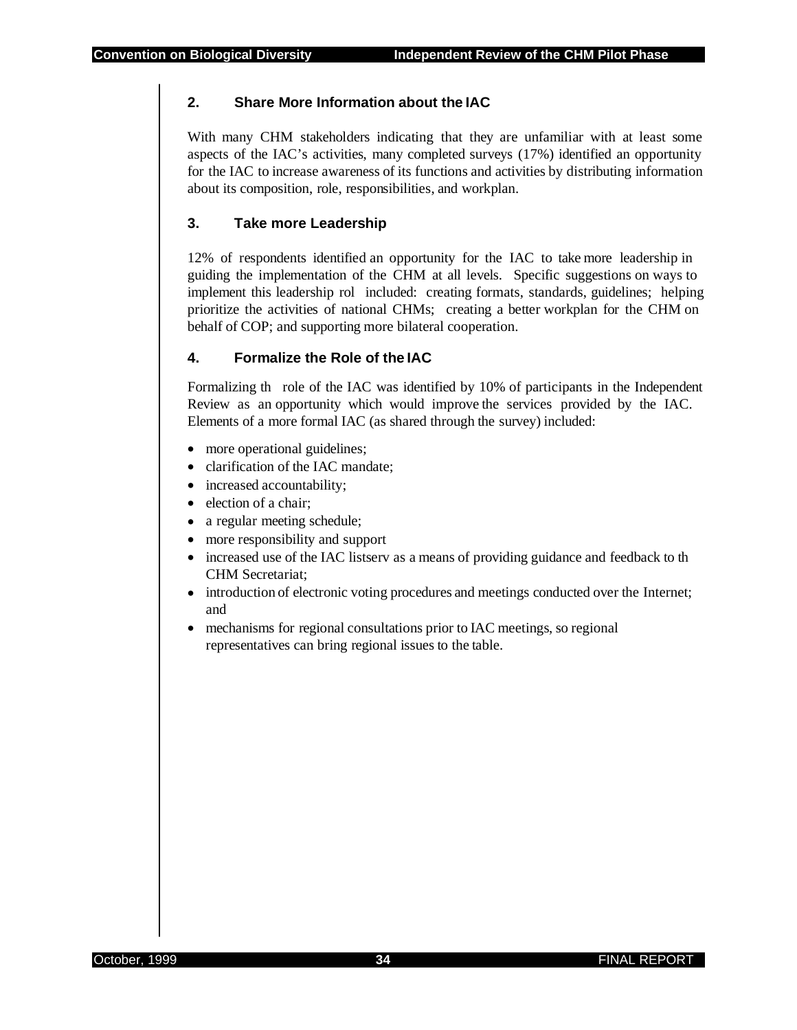#### **2. Share More Information about the IAC**

With many CHM stakeholders indicating that they are unfamiliar with at least some aspects of the IAC's activities, many completed surveys (17%) identified an opportunity for the IAC to increase awareness of its functions and activities by distributing information about its composition, role, responsibilities, and workplan.

#### **3. Take more Leadership**

12% of respondents identified an opportunity for the IAC to take more leadership in guiding the implementation of the CHM at all levels. Specific suggestions on ways to implement this leadership rol included: creating formats, standards, guidelines; helping prioritize the activities of national CHMs; creating a better workplan for the CHM on behalf of COP; and supporting more bilateral cooperation.

#### **4. Formalize the Role of the IAC**

Formalizing th role of the IAC was identified by 10% of participants in the Independent Review as an opportunity which would improve the services provided by the IAC. Elements of a more formal IAC (as shared through the survey) included:

- more operational guidelines;
- clarification of the IAC mandate;
- increased accountability;
- election of a chair;
- a regular meeting schedule;
- more responsibility and support
- increased use of the IAC listserv as a means of providing guidance and feedback to th CHM Secretariat;
- introduction of electronic voting procedures and meetings conducted over the Internet; and
- mechanisms for regional consultations prior to IAC meetings, so regional representatives can bring regional issues to the table.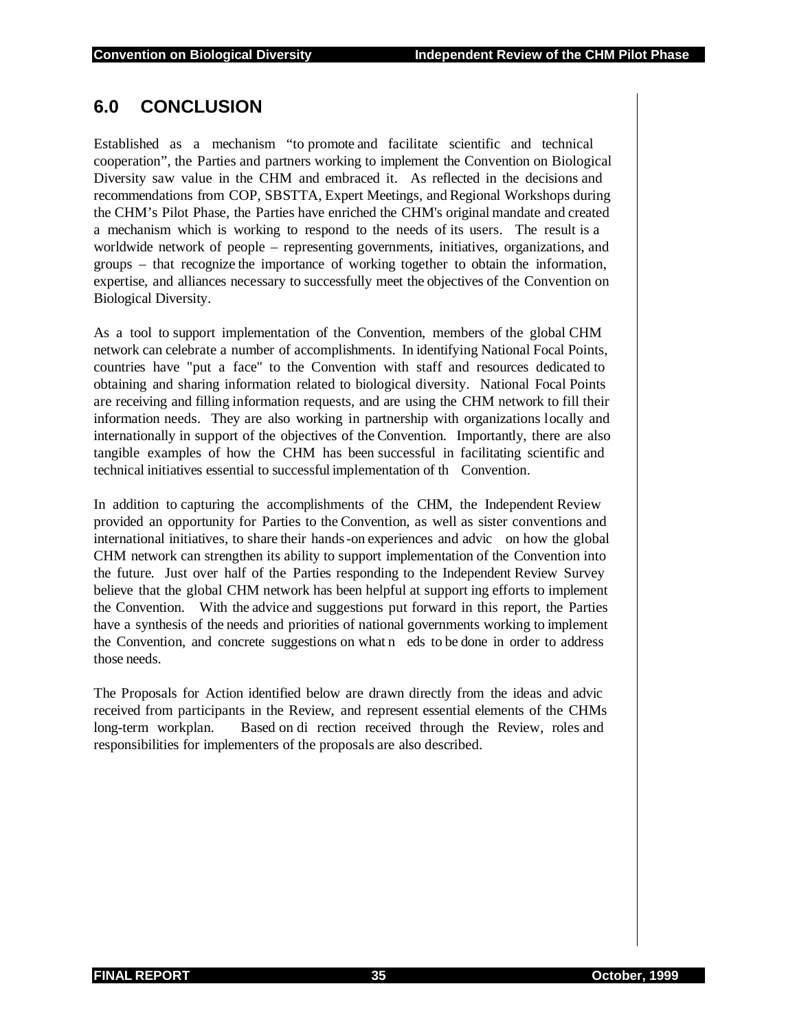## **6.0 CONCLUSION**

Established as a mechanism "to promote and facilitate scientific and technical cooperation", the Parties and partners working to implement the Convention on Biological Diversity saw value in the CHM and embraced it. As reflected in the decisions and recommendations from COP, SBSTTA, Expert Meetings, and Regional Workshops during the CHM's Pilot Phase, the Parties have enriched the CHM's original mandate and created a mechanism which is working to respond to the needs of its users. The result is a worldwide network of people – representing governments, initiatives, organizations, and groups – that recognize the importance of working together to obtain the information, expertise, and alliances necessary to successfully meet the objectives of the Convention on Biological Diversity.

As a tool to support implementation of the Convention, members of the global CHM network can celebrate a number of accomplishments. In identifying National Focal Points, countries have "put a face" to the Convention with staff and resources dedicated to obtaining and sharing information related to biological diversity. National Focal Points are receiving and filling information requests, and are using the CHM network to fill their information needs. They are also working in partnership with organizations locally and internationally in support of the objectives of the Convention. Importantly, there are also tangible examples of how the CHM has been successful in facilitating scientific and technical initiatives essential to successful implementation of th Convention.

In addition to capturing the accomplishments of the CHM, the Independent Review provided an opportunity for Parties to the Convention, as well as sister conventions and international initiatives, to share their hands-on experiences and advic on how the global CHM network can strengthen its ability to support implementation of the Convention into the future. Just over half of the Parties responding to the Independent Review Survey believe that the global CHM network has been helpful at support ing efforts to implement the Convention. With the advice and suggestions put forward in this report, the Parties have a synthesis of the needs and priorities of national governments working to implement the Convention, and concrete suggestions on what n eds to be done in order to address those needs.

The Proposals for Action identified below are drawn directly from the ideas and advic received from participants in the Review, and represent essential elements of the CHMs long-term workplan. Based on di rection received through the Review, roles and responsibilities for implementers of the proposals are also described.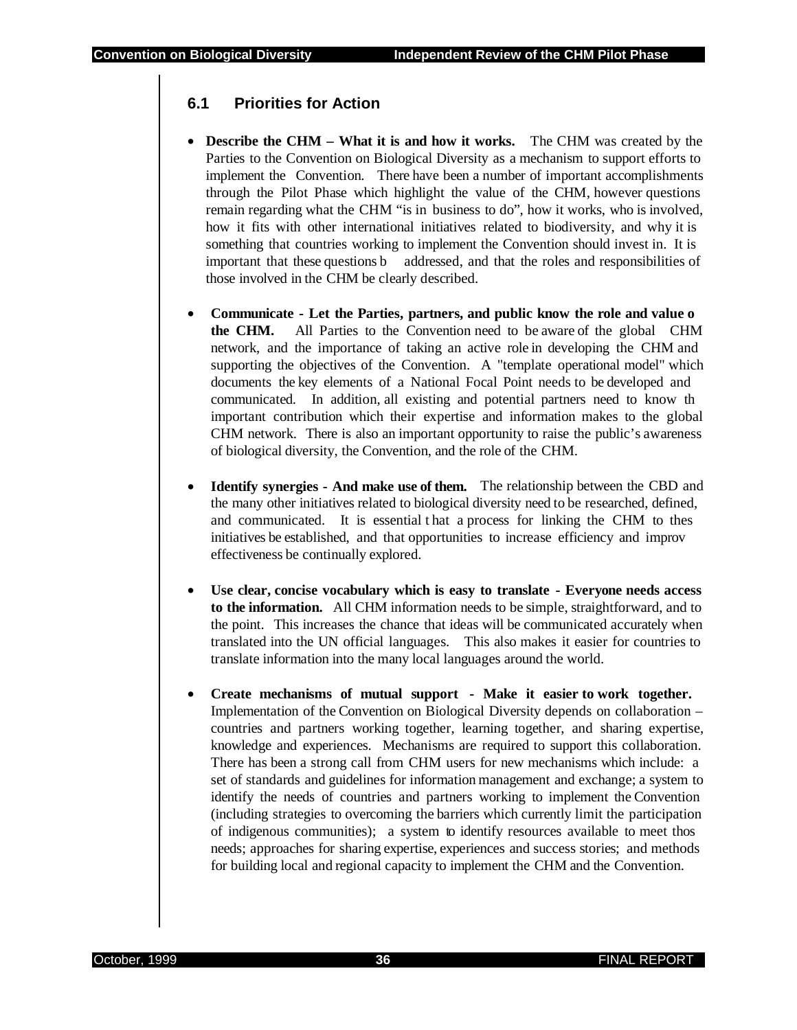#### **6.1 Priorities for Action**

- **Describe the CHM What it is and how it works.** The CHM was created by the Parties to the Convention on Biological Diversity as a mechanism to support efforts to implement the Convention. There have been a number of important accomplishments through the Pilot Phase which highlight the value of the CHM, however questions remain regarding what the CHM "is in business to do", how it works, who is involved, how it fits with other international initiatives related to biodiversity, and why it is something that countries working to implement the Convention should invest in. It is important that these questions b addressed, and that the roles and responsibilities of those involved in the CHM be clearly described.
- **Communicate Let the Parties, partners, and public know the role and value o the CHM.** All Parties to the Convention need to be aware of the global CHM network, and the importance of taking an active role in developing the CHM and supporting the objectives of the Convention. A "template operational model" which documents the key elements of a National Focal Point needs to be developed and communicated. In addition, all existing and potential partners need to know th important contribution which their expertise and information makes to the global CHM network. There is also an important opportunity to raise the public's awareness of biological diversity, the Convention, and the role of the CHM.
- **Identify synergies And make use of them.** The relationship between the CBD and the many other initiatives related to biological diversity need to be researched, defined, and communicated. It is essential t hat a process for linking the CHM to thes initiatives be established, and that opportunities to increase efficiency and improv effectiveness be continually explored.
- **Use clear, concise vocabulary which is easy to translate Everyone needs access to the information.** All CHM information needs to be simple, straightforward, and to the point. This increases the chance that ideas will be communicated accurately when translated into the UN official languages. This also makes it easier for countries to translate information into the many local languages around the world.
- **Create mechanisms of mutual support Make it easier to work together.** Implementation of the Convention on Biological Diversity depends on collaboration – countries and partners working together, learning together, and sharing expertise, knowledge and experiences. Mechanisms are required to support this collaboration. There has been a strong call from CHM users for new mechanisms which include: a set of standards and guidelines for information management and exchange; a system to identify the needs of countries and partners working to implement the Convention (including strategies to overcoming the barriers which currently limit the participation of indigenous communities); a system to identify resources available to meet thos needs; approaches for sharing expertise, experiences and success stories; and methods for building local and regional capacity to implement the CHM and the Convention.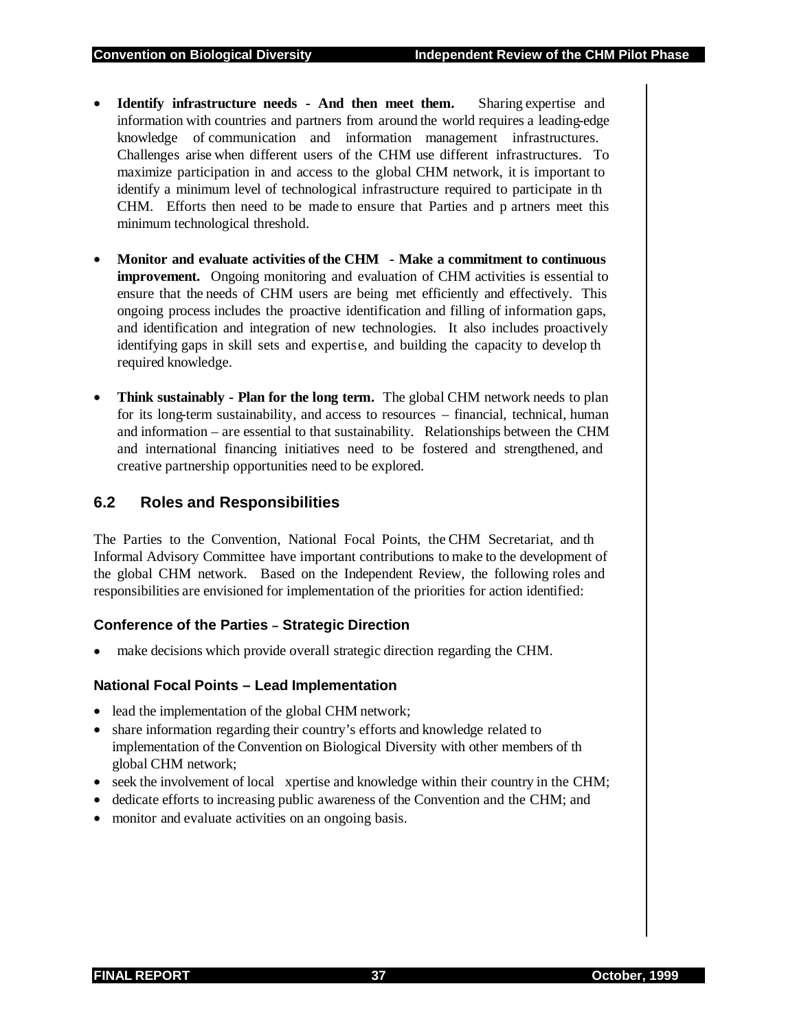- **Identify infrastructure needs And then meet them.** Sharing expertise and information with countries and partners from around the world requires a leading-edge knowledge of communication and information management infrastructures. Challenges arise when different users of the CHM use different infrastructures. To maximize participation in and access to the global CHM network, it is important to identify a minimum level of technological infrastructure required to participate in th CHM. Efforts then need to be made to ensure that Parties and p artners meet this minimum technological threshold.
- **Monitor and evaluate activities of the CHM Make a commitment to continuous improvement.** Ongoing monitoring and evaluation of CHM activities is essential to ensure that the needs of CHM users are being met efficiently and effectively. This ongoing process includes the proactive identification and filling of information gaps, and identification and integration of new technologies. It also includes proactively identifying gaps in skill sets and expertise, and building the capacity to develop th required knowledge.
- **Think sustainably Plan for the long term.** The global CHM network needs to plan for its long-term sustainability, and access to resources – financial, technical, human and information – are essential to that sustainability. Relationships between the CHM and international financing initiatives need to be fostered and strengthened, and creative partnership opportunities need to be explored.

#### **6.2 Roles and Responsibilities**

The Parties to the Convention, National Focal Points, the CHM Secretariat, and th Informal Advisory Committee have important contributions to make to the development of the global CHM network. Based on the Independent Review, the following roles and responsibilities are envisioned for implementation of the priorities for action identified:

#### **Conference of the Parties – Strategic Direction**

make decisions which provide overall strategic direction regarding the CHM.

#### **National Focal Points – Lead Implementation**

- lead the implementation of the global CHM network;
- share information regarding their country's efforts and knowledge related to implementation of the Convention on Biological Diversity with other members of th global CHM network;
- seek the involvement of local xpertise and knowledge within their country in the CHM;
- dedicate efforts to increasing public awareness of the Convention and the CHM; and
- monitor and evaluate activities on an ongoing basis.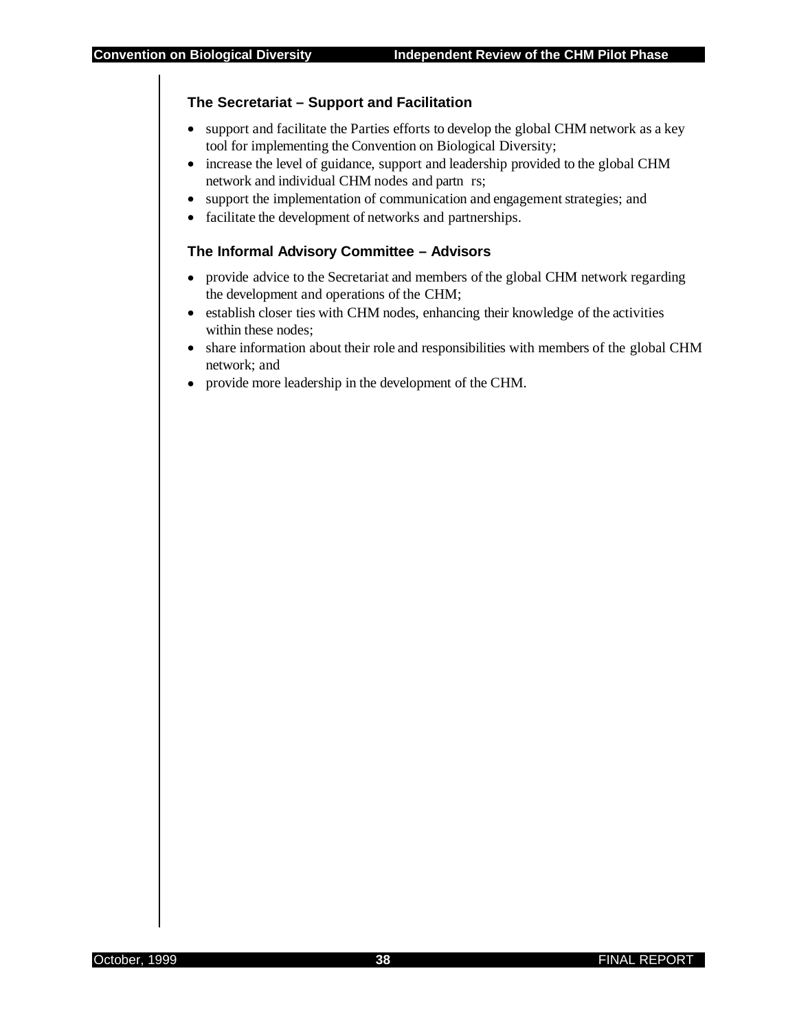#### **The Secretariat – Support and Facilitation**

- support and facilitate the Parties efforts to develop the global CHM network as a key tool for implementing the Convention on Biological Diversity;
- increase the level of guidance, support and leadership provided to the global CHM network and individual CHM nodes and partn rs;
- support the implementation of communication and engagement strategies; and
- facilitate the development of networks and partnerships.

#### **The Informal Advisory Committee – Advisors**

- provide advice to the Secretariat and members of the global CHM network regarding the development and operations of the CHM;
- establish closer ties with CHM nodes, enhancing their knowledge of the activities within these nodes;
- share information about their role and responsibilities with members of the global CHM network; and
- provide more leadership in the development of the CHM.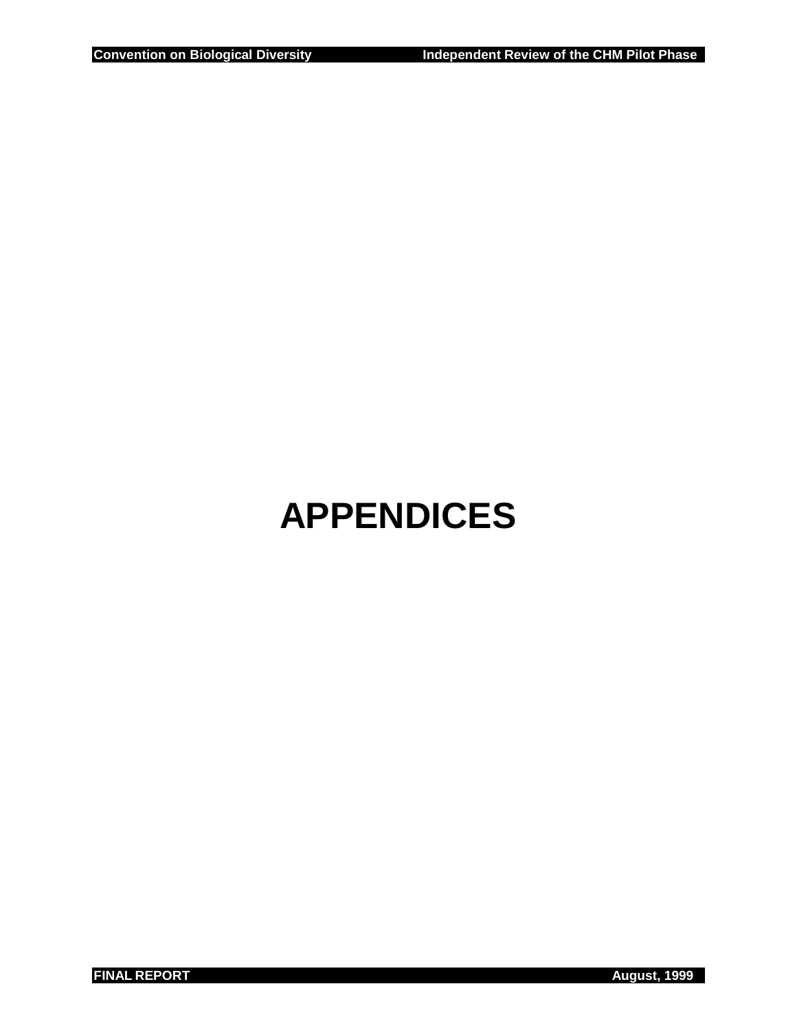# **APPENDICES**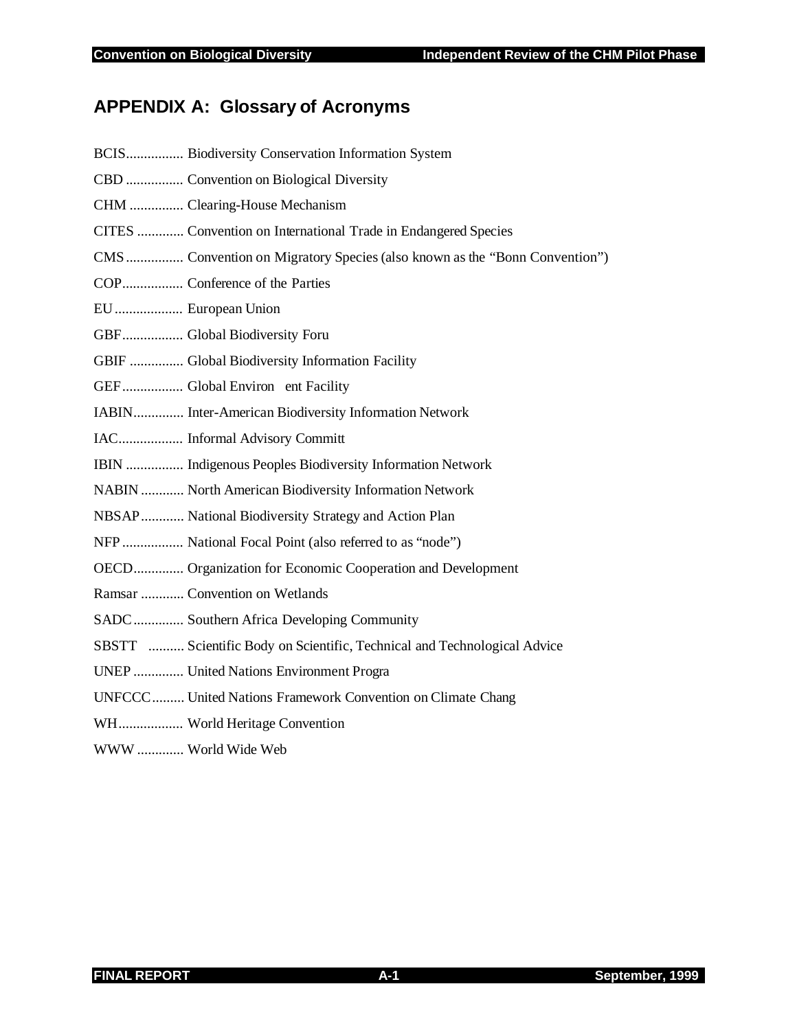## **APPENDIX A: Glossary of Acronyms**

| BCIS Biodiversity Conservation Information System                          |
|----------------------------------------------------------------------------|
| CBD  Convention on Biological Diversity                                    |
| CHM  Clearing-House Mechanism                                              |
| CITES  Convention on International Trade in Endangered Species             |
| CMS  Convention on Migratory Species (also known as the "Bonn Convention") |
|                                                                            |
| EU European Union                                                          |
| GBF Global Biodiversity Foru                                               |
| GBIF  Global Biodiversity Information Facility                             |
| GEF Global Environ ent Facility                                            |
| IABIN Inter-American Biodiversity Information Network                      |
| IAC Informal Advisory Committ                                              |
| IBIN  Indigenous Peoples Biodiversity Information Network                  |
| NABIN  North American Biodiversity Information Network                     |
| NBSAP  National Biodiversity Strategy and Action Plan                      |
| NFP  National Focal Point (also referred to as "node")                     |
| OECD Organization for Economic Cooperation and Development                 |
| Ramsar  Convention on Wetlands                                             |
| SADC Southern Africa Developing Community                                  |
| SBSTT  Scientific Body on Scientific, Technical and Technological Advice   |
| UNEP  United Nations Environment Progra                                    |
| UNFCCC United Nations Framework Convention on Climate Chang                |
| WH World Heritage Convention                                               |
| WWW  World Wide Web                                                        |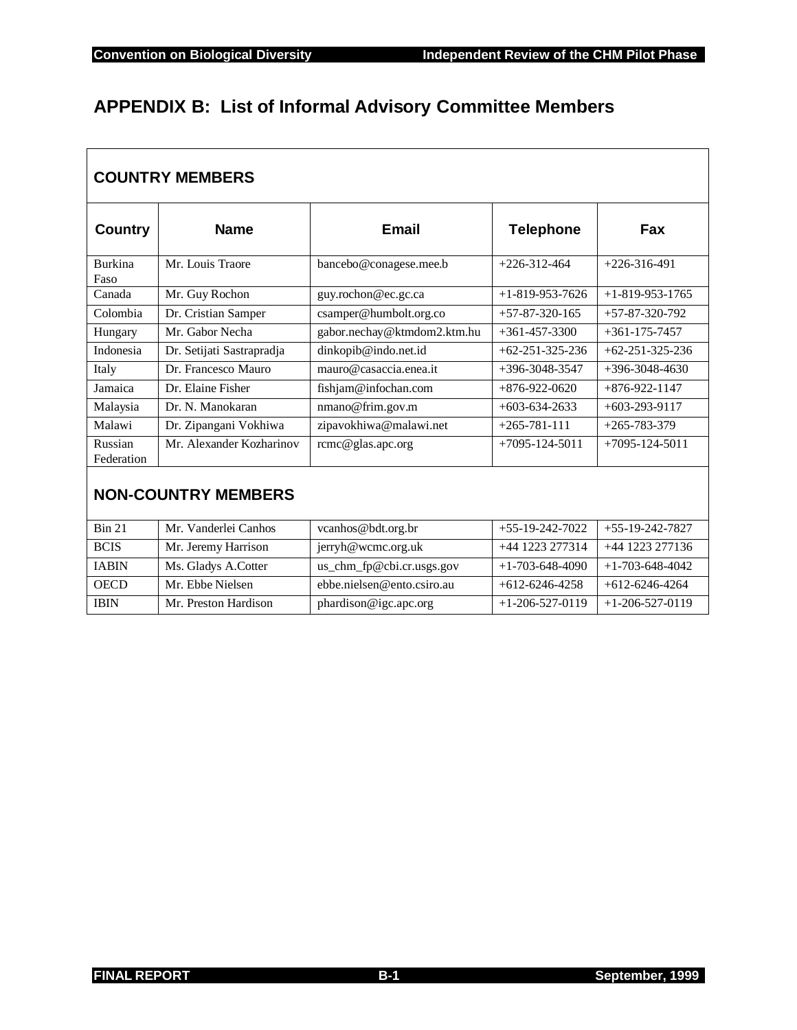٦

## **APPENDIX B: List of Informal Advisory Committee Members**

| <b>COUNTRY MEMBERS</b>     |                           |                             |                         |                         |  |
|----------------------------|---------------------------|-----------------------------|-------------------------|-------------------------|--|
| <b>Country</b>             | <b>Name</b>               | <b>Email</b>                | <b>Telephone</b>        | Fax                     |  |
| <b>Burkina</b><br>Faso     | Mr. Louis Traore          | bancebo@conagese.mee.b      | $+226 - 312 - 464$      | $+226-316-491$          |  |
| Canada                     | Mr. Guy Rochon            | guy.rochon@ec.gc.ca         | $+1 - 819 - 953 - 7626$ | $+1 - 819 - 953 - 1765$ |  |
| Colombia                   | Dr. Cristian Samper       | csamper@humbolt.org.co      | $+57-87-320-165$        | $+57-87-320-792$        |  |
| Hungary                    | Mr. Gabor Necha           | gabor.nechay@ktmdom2.ktm.hu | $+361 - 457 - 3300$     | $+361 - 175 - 7457$     |  |
| Indonesia                  | Dr. Setijati Sastrapradja | dinkopib@indo.net.id        | $+62-251-325-236$       | $+62-251-325-236$       |  |
| Italy                      | Dr. Francesco Mauro       | mauro@casaccia.enea.it      | $+396 - 3048 - 3547$    | $+396-3048-4630$        |  |
| Jamaica                    | Dr. Elaine Fisher         | fishjam@infochan.com        | $+876-922-0620$         | $+876 - 922 - 1147$     |  |
| Malaysia                   | Dr. N. Manokaran          | nmano@frim.gov.m            | $+603 - 634 - 2633$     | $+603-293-9117$         |  |
| Malawi                     | Dr. Zipangani Vokhiwa     | zipavokhiwa@malawi.net      | $+265-781-111$          | $+265 - 783 - 379$      |  |
| Russian<br>Federation      | Mr. Alexander Kozharinov  | rcmc@glas.apc.org           | $+7095 - 124 - 5011$    | $+7095 - 124 - 5011$    |  |
| <b>NON-COUNTRY MEMBERS</b> |                           |                             |                         |                         |  |
| <b>Bin 21</b>              | Mr. Vanderlei Canhos      | vcanhos@bdt.org.br          | $+55-19-242-7022$       | $+55-19-242-7827$       |  |
| <b>BCIS</b>                | Mr. Jeremy Harrison       | jerryh@wcmc.org.uk          | +44 1223 277314         | +44 1223 277136         |  |
| <b>IABIN</b>               | Ms. Gladys A.Cotter       | us_chm_fp@cbi.cr.usgs.gov   | $+1 - 703 - 648 - 4090$ | $+1 - 703 - 648 - 4042$ |  |
| <b>OECD</b>                | Mr. Ebbe Nielsen          | ebbe.nielsen@ento.csiro.au  | $+612-6246-4258$        | $+612-6246-4264$        |  |

IBIN Mr. Preston Hardison phardison@igc.apc.org +1-206-527-0119 +1-206-527-0119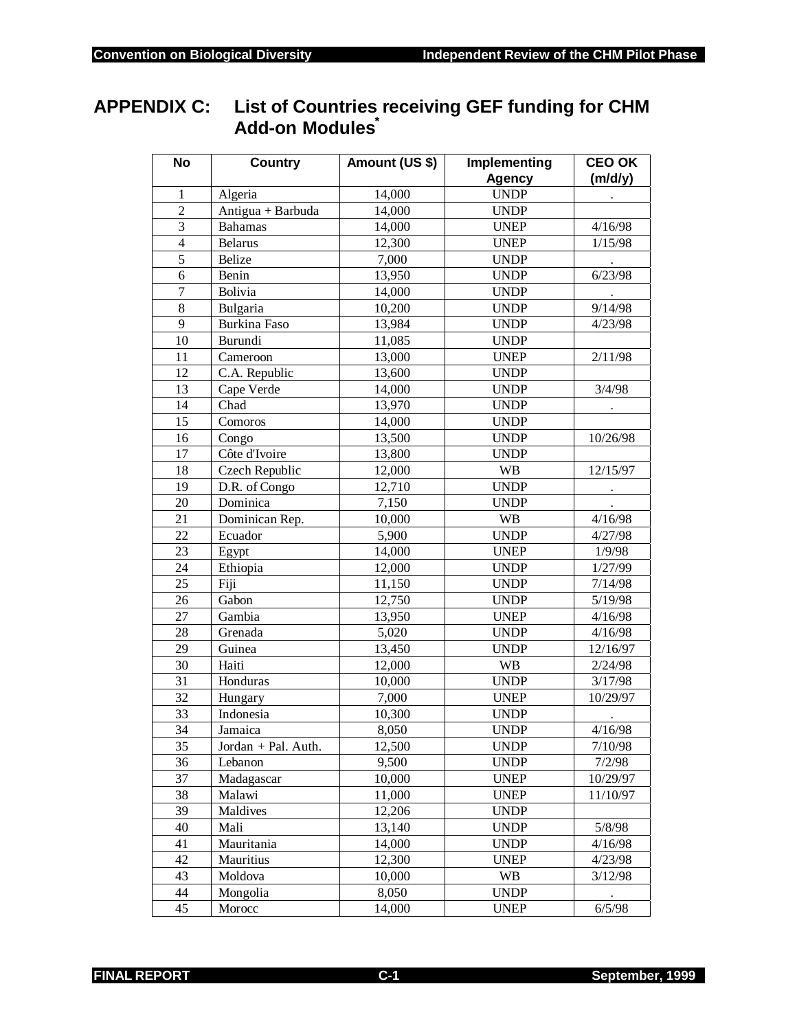## **APPENDIX C: List of Countries receiving GEF funding for CHM Add-on Modules\***

| <b>No</b>               | <b>Country</b>                 | Amount (US \$)   | Implementing                 | <b>CEO OK</b>       |
|-------------------------|--------------------------------|------------------|------------------------------|---------------------|
| $\mathbf{1}$            |                                |                  | <b>Agency</b><br><b>UNDP</b> | (m/d/y)             |
| $\overline{2}$          | Algeria<br>Antigua + Barbuda   | 14,000<br>14,000 | <b>UNDP</b>                  |                     |
| 3                       | <b>Bahamas</b>                 | 14,000           | <b>UNEP</b>                  | 4/16/98             |
| $\overline{\mathbf{4}}$ | <b>Belarus</b>                 | 12,300           | <b>UNEP</b>                  | 1/15/98             |
| $\overline{5}$          | Belize                         | 7,000            | <b>UNDP</b>                  |                     |
| 6                       | Benin                          | 13,950           | <b>UNDP</b>                  | 6/23/98             |
| $\overline{7}$          | Bolivia                        |                  |                              |                     |
| $\overline{8}$          | Bulgaria                       | 14,000<br>10,200 | <b>UNDP</b><br><b>UNDP</b>   | 9/14/98             |
| 9                       | Burkina Faso                   | 13,984           | <b>UNDP</b>                  | 4/23/98             |
| 10                      | Burundi                        |                  | <b>UNDP</b>                  |                     |
| 11                      |                                | 11,085           |                              |                     |
| 12                      | Cameroon<br>C.A. Republic      | 13,000           | <b>UNEP</b><br><b>UNDP</b>   | 2/11/98             |
| 13                      |                                | 13,600           |                              | 3/4/98              |
| 14                      | Cape Verde<br>Chad             | 14,000           | <b>UNDP</b>                  |                     |
| 15                      |                                | 13,970           | <b>UNDP</b>                  |                     |
|                         | Comoros                        | 14,000           | <b>UNDP</b>                  |                     |
| 16                      | Congo<br>Côte d'Ivoire         | 13,500           | <b>UNDP</b>                  | 10/26/98            |
| 17                      |                                | 13,800           | <b>UNDP</b>                  |                     |
| 18                      | Czech Republic                 | 12,000           | <b>WB</b>                    | 12/15/97            |
| 19                      | D.R. of Congo<br>Dominica      | 12,710           | <b>UNDP</b>                  |                     |
| $20\,$<br>21            | Dominican Rep.                 | 7,150            | <b>UNDP</b>                  |                     |
|                         |                                | 10,000           | <b>WB</b>                    | 4/16/98             |
| 22                      | Ecuador                        | 5,900            | <b>UNDP</b>                  | 4/27/98             |
| 23<br>24                | Egypt<br>Ethiopia              | 14,000           | <b>UNEP</b>                  | 1/9/98              |
| 25                      |                                | 12,000           | <b>UNDP</b>                  | 1/27/99             |
|                         | Fiji<br>Gabon                  | 11,150           | <b>UNDP</b>                  | 7/14/98             |
| 26<br>27                | Gambia                         | 12,750           | <b>UNDP</b>                  | 5/19/98             |
|                         |                                | 13,950           | <b>UNEP</b>                  | 4/16/98             |
| 28                      | Grenada                        | 5,020            | <b>UNDP</b>                  | 4/16/98             |
| 29<br>30                | Guinea<br>Haiti                | 13,450<br>12,000 | <b>UNDP</b><br><b>WB</b>     | 12/16/97<br>2/24/98 |
| 31                      |                                |                  |                              |                     |
|                         | Honduras                       | 10,000           | <b>UNDP</b>                  | 3/17/98             |
| 32<br>33                | Hungary<br>Indonesia           | 7,000            | <b>UNEP</b>                  | 10/29/97            |
|                         |                                | 10,300           | <b>UNDP</b>                  |                     |
| 34<br>35                | Jamaica<br>Jordan + Pal. Auth. | 8,050<br>12,500  | <b>UNDP</b>                  | 4/16/98<br>7/10/98  |
|                         |                                |                  | <b>UNDP</b>                  |                     |
| 36                      | Lebanon                        | 9,500            | <b>UNDP</b>                  | 7/2/98              |
| 37                      | Madagascar                     | 10,000           | <b>UNEP</b>                  | 10/29/97            |
| 38                      | Malawi                         | 11,000           | <b>UNEP</b>                  | 11/10/97            |
| 39                      | Maldives                       | 12,206           | <b>UNDP</b>                  |                     |
| 40                      | Mali                           | 13,140           | <b>UNDP</b>                  | 5/8/98              |
| 41                      | Mauritania                     | 14,000           | <b>UNDP</b>                  | 4/16/98             |
| 42                      | Mauritius                      | 12,300           | <b>UNEP</b>                  | 4/23/98             |
| 43                      | Moldova                        | 10,000           | <b>WB</b>                    | 3/12/98             |
| 44                      | Mongolia                       | 8,050            | <b>UNDP</b>                  |                     |
| 45                      | Morocc                         | 14,000           | <b>UNEP</b>                  | 6/5/98              |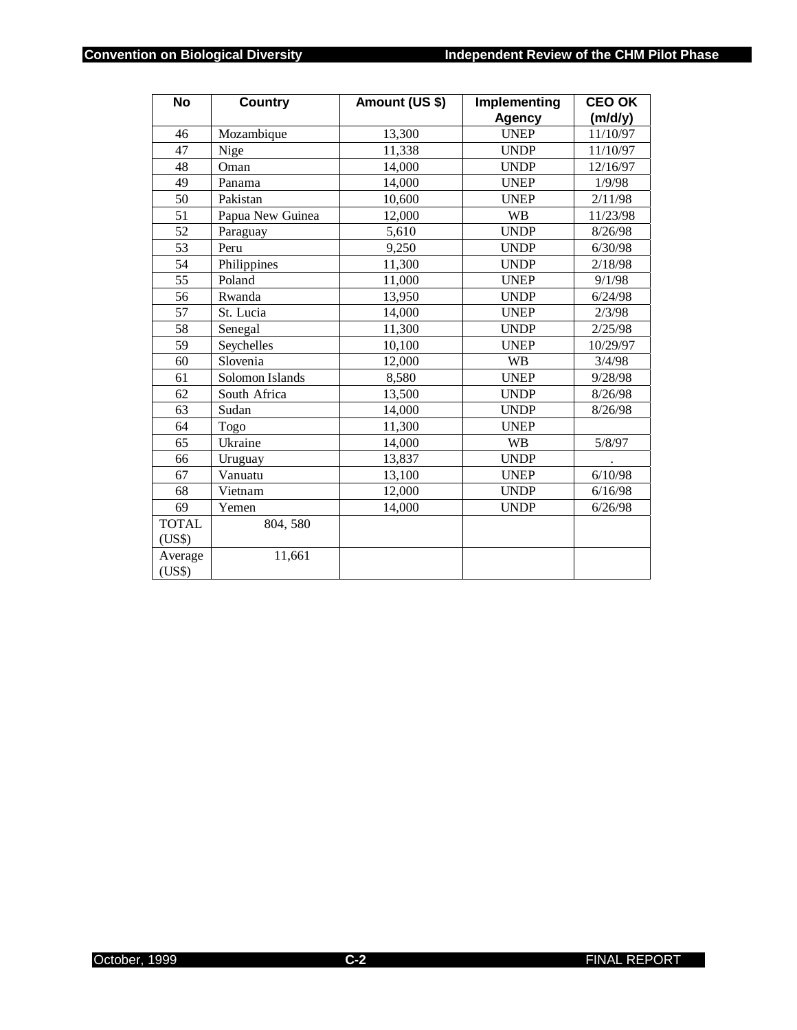| <b>No</b>    | <b>Country</b>   | Amount (US \$)     | Implementing  | <b>CEO OK</b> |
|--------------|------------------|--------------------|---------------|---------------|
|              |                  |                    | <b>Agency</b> | (m/d/y)       |
| 46           | Mozambique       | 13,300             | <b>UNEP</b>   | 11/10/97      |
| 47           | Nige             | 11,338             | <b>UNDP</b>   | 11/10/97      |
| 48           | Oman             | 14,000             | <b>UNDP</b>   | 12/16/97      |
| 49           | Panama           | 14,000             | <b>UNEP</b>   | 1/9/98        |
| 50           | Pakistan         | 10,600             | <b>UNEP</b>   | 2/11/98       |
| 51           | Papua New Guinea | 12,000             | <b>WB</b>     | 11/23/98      |
| 52           | Paraguay         | 5,610              | <b>UNDP</b>   | 8/26/98       |
| 53           | Peru             | $\overline{9,250}$ | <b>UNDP</b>   | 6/30/98       |
| 54           | Philippines      | 11,300             | <b>UNDP</b>   | 2/18/98       |
| 55           | Poland           | 11,000             | <b>UNEP</b>   | 9/1/98        |
| 56           | Rwanda           | 13,950             | <b>UNDP</b>   | 6/24/98       |
| 57           | St. Lucia        | 14,000             | <b>UNEP</b>   | 2/3/98        |
| 58           | Senegal          | 11,300             | <b>UNDP</b>   | 2/25/98       |
| 59           | Seychelles       | 10,100             | <b>UNEP</b>   | 10/29/97      |
| 60           | Slovenia         | 12,000             | <b>WB</b>     | 3/4/98        |
| 61           | Solomon Islands  | 8,580              | <b>UNEP</b>   | 9/28/98       |
| 62           | South Africa     | 13,500             | <b>UNDP</b>   | 8/26/98       |
| 63           | Sudan            | 14,000             | <b>UNDP</b>   | 8/26/98       |
| 64           | Togo             | 11,300             | <b>UNEP</b>   |               |
| 65           | Ukraine          | 14,000             | <b>WB</b>     | 5/8/97        |
| 66           | Uruguay          | 13,837             | <b>UNDP</b>   |               |
| 67           | Vanuatu          | 13,100             | <b>UNEP</b>   | 6/10/98       |
| 68           | Vietnam          | 12,000             | <b>UNDP</b>   | 6/16/98       |
| 69           | Yemen            | 14,000             | <b>UNDP</b>   | 6/26/98       |
| <b>TOTAL</b> | 804, 580         |                    |               |               |
| (US\$)       |                  |                    |               |               |
| Average      | 11,661           |                    |               |               |
| (US\$)       |                  |                    |               |               |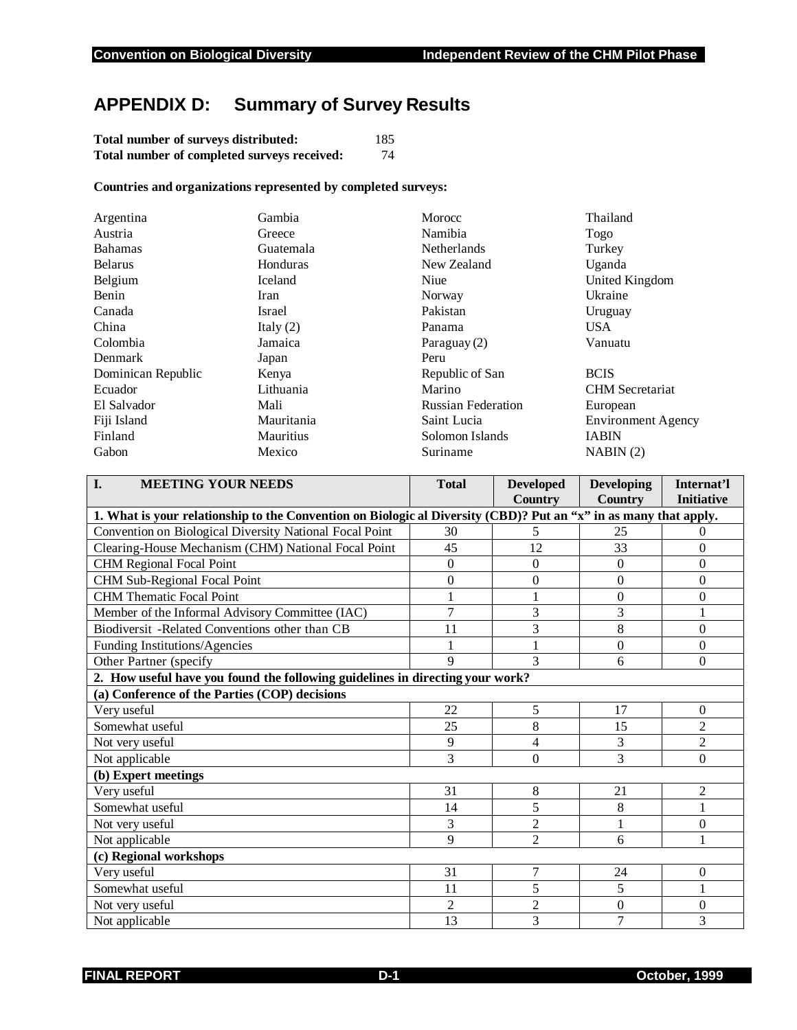## **APPENDIX D: Summary of Survey Results**

| Total number of surveys distributed:        | 185 |
|---------------------------------------------|-----|
| Total number of completed surveys received: | 74  |

#### **Countries and organizations represented by completed surveys:**

| Argentina          | Gambia      | Morocc                    | Thailand                  |
|--------------------|-------------|---------------------------|---------------------------|
| Austria            | Greece      | Namibia                   | Togo                      |
| <b>Bahamas</b>     | Guatemala   | <b>Netherlands</b>        | Turkey                    |
| <b>Belarus</b>     | Honduras    | New Zealand               | Uganda                    |
| Belgium            | Iceland     | Niue                      | United Kingdom            |
| Benin              | Iran        | Norway                    | Ukraine                   |
| Canada             | Israel      | Pakistan                  | Uruguay                   |
| China              | Italy $(2)$ | Panama                    | <b>USA</b>                |
| Colombia           | Jamaica     | Paraguay (2)              | Vanuatu                   |
| Denmark            | Japan       | Peru                      |                           |
| Dominican Republic | Kenya       | Republic of San           | <b>BCIS</b>               |
| Ecuador            | Lithuania   | Marino                    | <b>CHM</b> Secretariat    |
| El Salvador        | Mali        | <b>Russian Federation</b> | European                  |
| Fiji Island        | Mauritania  | Saint Lucia               | <b>Environment Agency</b> |
| Finland            | Mauritius   | Solomon Islands           | <b>IABIN</b>              |
| Gabon              | Mexico      | Suriname                  | NABIN(2)                  |

| I.<br><b>MEETING YOUR NEEDS</b>                                                                                  | <b>Total</b>   | <b>Developed</b><br><b>Country</b> | <b>Developing</b><br><b>Country</b> | Internat'l<br><b>Initiative</b> |
|------------------------------------------------------------------------------------------------------------------|----------------|------------------------------------|-------------------------------------|---------------------------------|
| 1. What is your relationship to the Convention on Biologic al Diversity (CBD)? Put an "x" in as many that apply. |                |                                    |                                     |                                 |
| Convention on Biological Diversity National Focal Point                                                          | 30             | 5                                  | 25                                  | 0                               |
| Clearing-House Mechanism (CHM) National Focal Point                                                              | 45             | 12                                 | 33                                  | $\boldsymbol{0}$                |
| <b>CHM Regional Focal Point</b>                                                                                  | $\theta$       | $\overline{0}$                     | $\theta$                            | $\theta$                        |
| CHM Sub-Regional Focal Point                                                                                     | $\mathbf{0}$   | $\theta$                           | $\theta$                            | $\theta$                        |
| <b>CHM</b> Thematic Focal Point                                                                                  |                |                                    | $\theta$                            | $\boldsymbol{0}$                |
| Member of the Informal Advisory Committee (IAC)                                                                  | $\overline{7}$ | 3                                  | 3                                   |                                 |
| Biodiversit -Related Conventions other than CB                                                                   | 11             | 3                                  | 8                                   | $\theta$                        |
| Funding Institutions/Agencies                                                                                    |                |                                    | $\theta$                            | $\mathbf{0}$                    |
| Other Partner (specify                                                                                           | 9              | 3                                  | 6                                   | $\theta$                        |
| 2. How useful have you found the following guidelines in directing your work?                                    |                |                                    |                                     |                                 |
| (a) Conference of the Parties (COP) decisions                                                                    |                |                                    |                                     |                                 |
| Very useful                                                                                                      | 22             | 5                                  | 17                                  | $\theta$                        |
| Somewhat useful                                                                                                  | 25             | $\overline{8}$                     | 15                                  | $\overline{2}$                  |
| Not very useful                                                                                                  | 9              | 4                                  | 3                                   | $\overline{c}$                  |
| Not applicable                                                                                                   | 3              | $\theta$                           | 3                                   | $\theta$                        |
| (b) Expert meetings                                                                                              |                |                                    |                                     |                                 |
| Very useful                                                                                                      | 31             | 8                                  | 21                                  | $\overline{c}$                  |
| Somewhat useful                                                                                                  | 14             | 5                                  | 8                                   | 1                               |
| Not very useful                                                                                                  | 3              | $\overline{2}$                     |                                     | $\boldsymbol{0}$                |
| Not applicable                                                                                                   | 9              | $\overline{2}$                     | 6                                   |                                 |
| (c) Regional workshops                                                                                           |                |                                    |                                     |                                 |
| Very useful                                                                                                      | 31             | 7                                  | 24                                  | $\mathbf{0}$                    |
| Somewhat useful                                                                                                  | 11             | 5                                  | 5                                   | 1                               |
| Not very useful                                                                                                  | $\overline{2}$ | $\overline{2}$                     | $\theta$                            | $\theta$                        |
| Not applicable                                                                                                   | 13             | 3                                  | 7                                   | 3                               |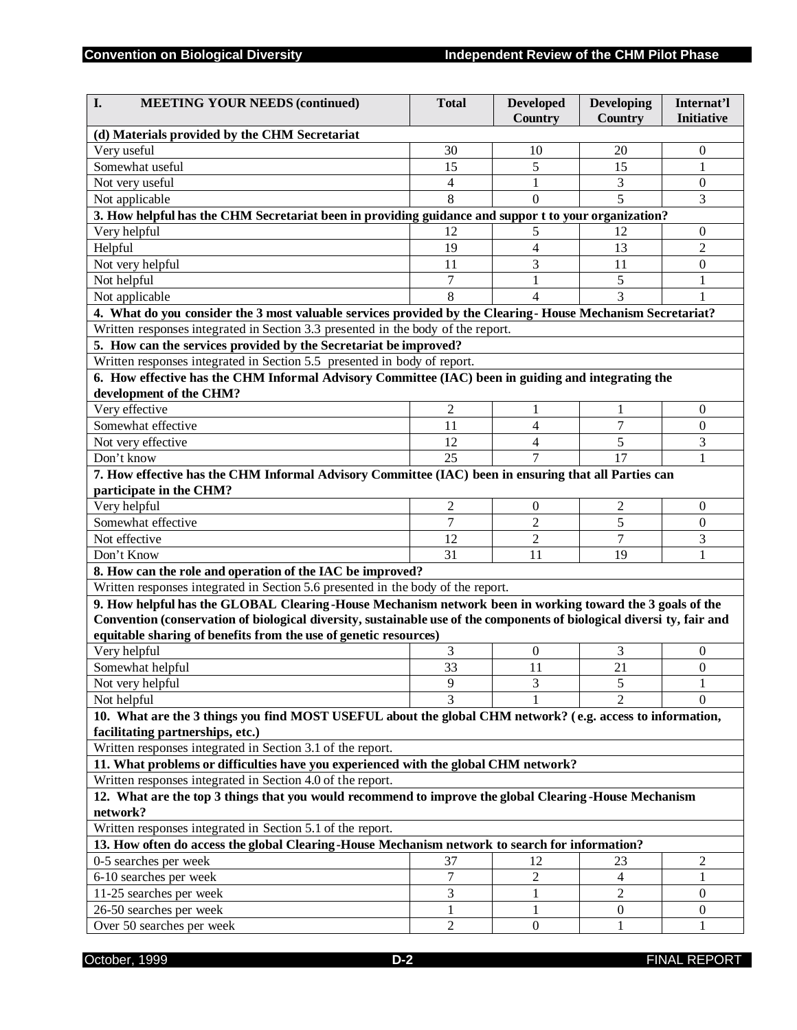| I.<br><b>MEETING YOUR NEEDS (continued)</b>                                                                                                                          | <b>Total</b>   | <b>Developed</b><br>Country | Developing<br>Country | Internat'l<br><b>Initiative</b> |
|----------------------------------------------------------------------------------------------------------------------------------------------------------------------|----------------|-----------------------------|-----------------------|---------------------------------|
| (d) Materials provided by the CHM Secretariat                                                                                                                        |                |                             |                       |                                 |
| Very useful                                                                                                                                                          | 30             | 10                          | 20                    | $\boldsymbol{0}$                |
| Somewhat useful                                                                                                                                                      | 15             | 5                           | 15                    | 1                               |
| Not very useful                                                                                                                                                      | 4              | 1                           | 3                     | $\boldsymbol{0}$                |
| Not applicable                                                                                                                                                       | 8              | $\Omega$                    | 5                     | 3                               |
| 3. How helpful has the CHM Secretariat been in providing guidance and suppor t to your organization?                                                                 |                |                             |                       |                                 |
| Very helpful                                                                                                                                                         | 12             | 5                           | 12                    | 0                               |
| Helpful                                                                                                                                                              | 19             | $\overline{4}$              | 13                    | $\overline{2}$                  |
| Not very helpful                                                                                                                                                     | 11             | 3                           | 11                    | $\theta$                        |
| Not helpful                                                                                                                                                          | 7              | 1                           | 5                     | 1                               |
| Not applicable                                                                                                                                                       | 8              | 4                           | 3                     |                                 |
| 4. What do you consider the 3 most valuable services provided by the Clearing-House Mechanism Secretariat?                                                           |                |                             |                       |                                 |
| Written responses integrated in Section 3.3 presented in the body of the report.                                                                                     |                |                             |                       |                                 |
| 5. How can the services provided by the Secretariat be improved?                                                                                                     |                |                             |                       |                                 |
| Written responses integrated in Section 5.5 presented in body of report.                                                                                             |                |                             |                       |                                 |
| 6. How effective has the CHM Informal Advisory Committee (IAC) been in guiding and integrating the                                                                   |                |                             |                       |                                 |
| development of the CHM?                                                                                                                                              |                |                             |                       |                                 |
| Very effective                                                                                                                                                       | $\overline{c}$ | 1                           | 1                     | $\mathbf{0}$                    |
| Somewhat effective                                                                                                                                                   | 11             | 4                           | $\overline{7}$        | $\boldsymbol{0}$                |
| Not very effective                                                                                                                                                   | 12             | 4                           | 5                     | 3                               |
| Don't know                                                                                                                                                           | 25             | 7                           | 17                    | 1                               |
| 7. How effective has the CHM Informal Advisory Committee (IAC) been in ensuring that all Parties can                                                                 |                |                             |                       |                                 |
| participate in the CHM?                                                                                                                                              |                |                             |                       |                                 |
| Very helpful                                                                                                                                                         | $\overline{c}$ | $\mathbf{0}$                | $\overline{c}$        | $\mathbf{0}$                    |
| Somewhat effective                                                                                                                                                   | 7              | $\overline{2}$              | 5                     | $\mathbf{0}$                    |
| Not effective                                                                                                                                                        | 12             | $\overline{c}$              | $\overline{7}$        | 3                               |
| Don't Know                                                                                                                                                           | 31             | 11                          | 19                    | 1                               |
| 8. How can the role and operation of the IAC be improved?                                                                                                            |                |                             |                       |                                 |
| Written responses integrated in Section 5.6 presented in the body of the report.                                                                                     |                |                             |                       |                                 |
| 9. How helpful has the GLOBAL Clearing-House Mechanism network been in working toward the 3 goals of the                                                             |                |                             |                       |                                 |
| Convention (conservation of biological diversity, sustainable use of the components of biological diversi ty, fair and                                               |                |                             |                       |                                 |
| equitable sharing of benefits from the use of genetic resources)                                                                                                     |                |                             |                       |                                 |
| Very helpful                                                                                                                                                         | 3              | $\boldsymbol{0}$            | 3                     | 0                               |
| Somewhat helpful                                                                                                                                                     | 33             | 11                          | 21                    | $\mathbf{0}$                    |
| Not very helpful                                                                                                                                                     | 9              | 3                           | 5                     | 1                               |
| Not helpful                                                                                                                                                          | 3              |                             | $\mathfrak{D}$        | $\Omega$                        |
| 10. What are the 3 things you find MOST USEFUL about the global CHM network? (e.g. access to information,                                                            |                |                             |                       |                                 |
| facilitating partnerships, etc.)                                                                                                                                     |                |                             |                       |                                 |
| Written responses integrated in Section 3.1 of the report.                                                                                                           |                |                             |                       |                                 |
|                                                                                                                                                                      |                |                             |                       |                                 |
| 11. What problems or difficulties have you experienced with the global CHM network?                                                                                  |                |                             |                       |                                 |
| Written responses integrated in Section 4.0 of the report.<br>12. What are the top 3 things that you would recommend to improve the global Clearing -House Mechanism |                |                             |                       |                                 |
| network?                                                                                                                                                             |                |                             |                       |                                 |
| Written responses integrated in Section 5.1 of the report.                                                                                                           |                |                             |                       |                                 |
| 13. How often do access the global Clearing-House Mechanism network to search for information?                                                                       |                |                             |                       |                                 |
| 0-5 searches per week                                                                                                                                                | 37             | 12                          | 23                    | $\overline{c}$                  |
|                                                                                                                                                                      | 7              | $\sqrt{2}$                  | $\overline{4}$        |                                 |
| 6-10 searches per week<br>11-25 searches per week                                                                                                                    | 3              | 1                           | $\overline{2}$        | 1<br>$\overline{0}$             |
|                                                                                                                                                                      | 1              | 1                           |                       |                                 |
| 26-50 searches per week                                                                                                                                              | $\overline{c}$ | $\mathbf{0}$                | $\mathbf{0}$<br>1     | $\mathbf{0}$                    |
| Over 50 searches per week                                                                                                                                            |                |                             |                       | 1                               |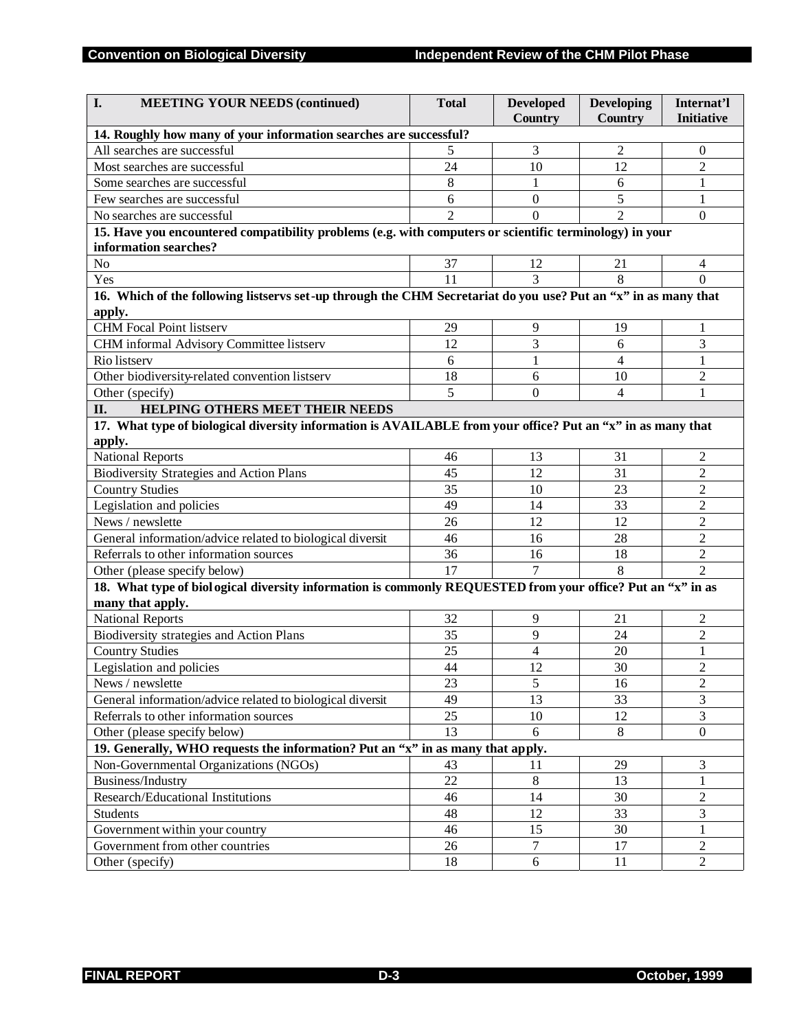| I.<br><b>MEETING YOUR NEEDS (continued)</b>                                                                    | <b>Total</b>   | <b>Developed</b><br><b>Country</b> | <b>Developing</b><br><b>Country</b> | Internat'l<br><b>Initiative</b> |  |
|----------------------------------------------------------------------------------------------------------------|----------------|------------------------------------|-------------------------------------|---------------------------------|--|
| 14. Roughly how many of your information searches are successful?                                              |                |                                    |                                     |                                 |  |
| All searches are successful                                                                                    | 5              | 3                                  | $\overline{2}$                      | $\overline{0}$                  |  |
| Most searches are successful                                                                                   | 24             | 10                                 | 12                                  | $\overline{2}$                  |  |
| Some searches are successful                                                                                   | 8              | 1                                  | 6                                   | 1                               |  |
| Few searches are successful                                                                                    | 6              | $\boldsymbol{0}$                   | 5                                   | 1                               |  |
| No searches are successful                                                                                     | $\overline{2}$ | $\Omega$                           | $\overline{2}$                      | $\mathbf{0}$                    |  |
| 15. Have you encountered compatibility problems (e.g. with computers or scientific terminology) in your        |                |                                    |                                     |                                 |  |
| information searches?                                                                                          |                |                                    |                                     |                                 |  |
| No                                                                                                             | 37             | 12                                 | 21                                  | 4                               |  |
| Yes                                                                                                            | 11             | 3                                  | 8                                   | $\Omega$                        |  |
| 16. Which of the following listservs set-up through the CHM Secretariat do you use? Put an "x" in as many that |                |                                    |                                     |                                 |  |
| apply.                                                                                                         |                |                                    |                                     |                                 |  |
| <b>CHM</b> Focal Point listserv                                                                                | 29             | 9                                  | 19                                  | 1                               |  |
| CHM informal Advisory Committee listserv                                                                       | 12             | 3                                  | 6                                   | 3                               |  |
| Rio listserv                                                                                                   | 6              | 1                                  | 4                                   | $\mathbf{1}$                    |  |
| Other biodiversity-related convention listserv                                                                 | 18             | 6                                  | 10                                  | 2                               |  |
| Other (specify)                                                                                                | 5              | $\theta$                           | 4                                   | 1                               |  |
| II.<br>HELPING OTHERS MEET THEIR NEEDS                                                                         |                |                                    |                                     |                                 |  |
| 17. What type of biological diversity information is AVAILABLE from your office? Put an "x" in as many that    |                |                                    |                                     |                                 |  |
| apply.                                                                                                         |                |                                    |                                     |                                 |  |
| <b>National Reports</b>                                                                                        | 46             | 13                                 | 31                                  | 2                               |  |
| Biodiversity Strategies and Action Plans                                                                       | 45             | 12                                 | 31                                  | $\overline{2}$                  |  |
| <b>Country Studies</b>                                                                                         | 35             | 10                                 | 23                                  | 2                               |  |
| Legislation and policies                                                                                       | 49             | 14                                 | 33                                  | 2                               |  |
| News / newslette                                                                                               | 26             | 12                                 | 12                                  | $\overline{2}$                  |  |
| General information/advice related to biological diversit                                                      | 46             | 16                                 | 28                                  | $\overline{c}$                  |  |
| Referrals to other information sources                                                                         | 36             | 16                                 | 18                                  | $\overline{c}$                  |  |
| Other (please specify below)                                                                                   | 17             | 7                                  | 8                                   | $\overline{2}$                  |  |
| 18. What type of biological diversity information is commonly REQUESTED from your office? Put an "x" in as     |                |                                    |                                     |                                 |  |
| many that apply.                                                                                               |                |                                    |                                     |                                 |  |
| <b>National Reports</b>                                                                                        | 32             | $\overline{9}$                     | 21                                  | 2                               |  |
| Biodiversity strategies and Action Plans                                                                       | 35             | 9                                  | 24                                  | $\overline{c}$                  |  |
| <b>Country Studies</b>                                                                                         | 25             | 4                                  | 20                                  | 1                               |  |
| Legislation and policies                                                                                       | 44             | 12                                 | 30                                  | $\overline{c}$                  |  |
| News / newslette                                                                                               | 23             | $\sqrt{5}$                         | 16                                  | $\overline{2}$                  |  |
| General information/advice related to biological diversit                                                      | 49             | 13                                 | 33                                  | 3                               |  |
| Referrals to other information sources                                                                         | 25             | 10                                 | 12                                  | $\overline{3}$                  |  |
| Other (please specify below)                                                                                   | 13             | 6                                  | 8                                   | $\overline{0}$                  |  |
| 19. Generally, WHO requests the information? Put an "x" in as many that apply.                                 |                |                                    |                                     |                                 |  |
| Non-Governmental Organizations (NGOs)                                                                          | 43             | 11                                 | 29                                  | 3                               |  |
| Business/Industry                                                                                              | 22             | $\,8\,$                            | 13                                  | 1                               |  |
| Research/Educational Institutions                                                                              | 46             | 14                                 | 30                                  | $\overline{c}$                  |  |
| Students                                                                                                       | 48             | 12                                 | 33                                  | 3                               |  |
| Government within your country                                                                                 | 46             | 15                                 | 30                                  | 1                               |  |
| Government from other countries                                                                                | 26             | $\overline{7}$                     | 17                                  | $\overline{2}$                  |  |
| Other (specify)                                                                                                | 18             | 6                                  | 11                                  | $\overline{2}$                  |  |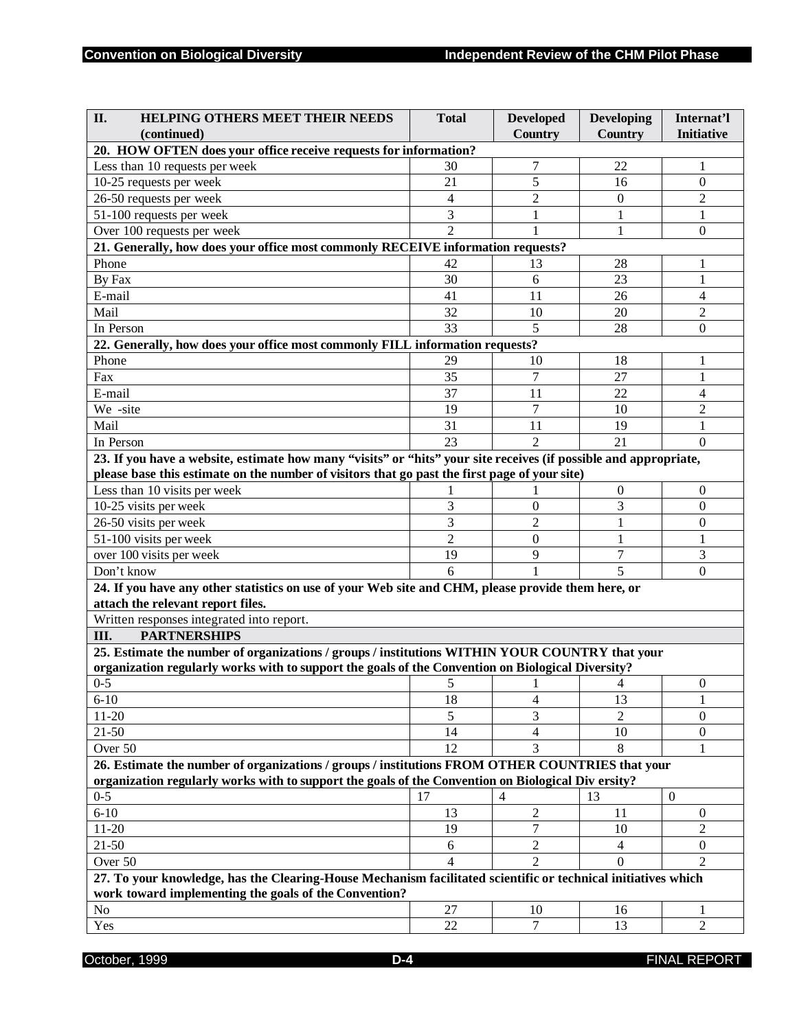| II.<br><b>HELPING OTHERS MEET THEIR NEEDS</b>                                                                    | <b>Total</b>   | <b>Developed</b> | <b>Developing</b> | Internat'l          |
|------------------------------------------------------------------------------------------------------------------|----------------|------------------|-------------------|---------------------|
| (continued)                                                                                                      |                | <b>Country</b>   | Country           | <b>Initiative</b>   |
| 20. HOW OFTEN does your office receive requests for information?                                                 |                |                  |                   |                     |
| Less than 10 requests per week                                                                                   | 30             | 7                | 22                | 1                   |
| 10-25 requests per week                                                                                          | 21             | 5                | 16                | $\theta$            |
| 26-50 requests per week                                                                                          | 4              | $\overline{2}$   | $\theta$          | $\overline{2}$      |
| 51-100 requests per week                                                                                         | 3              | 1                | $\mathbf{1}$      | 1                   |
| Over 100 requests per week                                                                                       | $\overline{2}$ |                  | 1                 | $\theta$            |
| 21. Generally, how does your office most commonly RECEIVE information requests?                                  |                |                  |                   |                     |
| Phone                                                                                                            | 42             | 13               | 28                | 1                   |
| By Fax                                                                                                           | 30             | 6                | 23                | 1                   |
| E-mail                                                                                                           | 41             | 11               | 26                | 4                   |
| Mail                                                                                                             | 32             | 10               | 20                | $\overline{2}$      |
| In Person                                                                                                        | 33             | 5                | 28                | $\overline{0}$      |
| 22. Generally, how does your office most commonly FILL information requests?                                     |                |                  |                   |                     |
| Phone                                                                                                            | 29             | 10               | 18                | 1                   |
| Fax                                                                                                              | 35             | 7                | 27                | 1                   |
| E-mail                                                                                                           | 37             | 11               | 22                | 4                   |
| We-site                                                                                                          | 19             | $\tau$           | 10                |                     |
| Mail                                                                                                             | 31             | 11               | 19                | $\overline{c}$<br>1 |
|                                                                                                                  | 23             | $\overline{2}$   | 21                |                     |
| In Person                                                                                                        |                |                  |                   | $\Omega$            |
| 23. If you have a website, estimate how many "visits" or "hits" your site receives (if possible and appropriate, |                |                  |                   |                     |
| please base this estimate on the number of visitors that go past the first page of your site)                    |                |                  |                   |                     |
| Less than 10 visits per week                                                                                     |                |                  | $\theta$          | $\overline{0}$      |
| 10-25 visits per week                                                                                            | 3              | $\boldsymbol{0}$ | 3                 | $\overline{0}$      |
| 26-50 visits per week                                                                                            | 3              | $\overline{2}$   | 1                 | 0                   |
| 51-100 visits per week                                                                                           | $\overline{2}$ | $\theta$         | 1                 | 1                   |
| over 100 visits per week                                                                                         | 19             | 9                | 7                 | 3                   |
| Don't know                                                                                                       | 6              |                  | 5                 | $\boldsymbol{0}$    |
| 24. If you have any other statistics on use of your Web site and CHM, please provide them here, or               |                |                  |                   |                     |
| attach the relevant report files.                                                                                |                |                  |                   |                     |
| Written responses integrated into report.                                                                        |                |                  |                   |                     |
| Ш.<br><b>PARTNERSHIPS</b>                                                                                        |                |                  |                   |                     |
| 25. Estimate the number of organizations / groups / institutions WITHIN YOUR COUNTRY that your                   |                |                  |                   |                     |
| organization regularly works with to support the goals of the Convention on Biological Diversity?                |                |                  |                   |                     |
| $0 - 5$                                                                                                          | 5              | 1                | $\overline{4}$    | $\overline{0}$      |
| $6 - 10$                                                                                                         | 18             | 4                | 13                | 1                   |
| $11 - 20$                                                                                                        | 5              | 3                |                   | $\boldsymbol{0}$    |
| $21 - 50$                                                                                                        | 14             | $\overline{4}$   | 10                | $\boldsymbol{0}$    |
| Over 50                                                                                                          | 12             | 3                | 8                 |                     |
| 26. Estimate the number of organizations / groups / institutions FROM OTHER COUNTRIES that your                  |                |                  |                   |                     |
| organization regularly works with to support the goals of the Convention on Biological Div ersity?               |                |                  |                   |                     |
| $0 - 5$                                                                                                          | 17             | 4                | 13                | $\mathbf{0}$        |
| $6 - 10$                                                                                                         | 13             | 2                | 11                | $\mathbf{0}$        |
| $11 - 20$                                                                                                        | 19             | $\overline{7}$   | 10                | $\overline{2}$      |
| $21 - 50$                                                                                                        | 6              | $\overline{2}$   | $\overline{4}$    | $\boldsymbol{0}$    |
| Over 50                                                                                                          | 4              | $\overline{2}$   | $\Omega$          | $\overline{2}$      |
| 27. To your knowledge, has the Clearing-House Mechanism facilitated scientific or technical initiatives which    |                |                  |                   |                     |
| work toward implementing the goals of the Convention?                                                            |                |                  |                   |                     |
| No                                                                                                               | 27             | 10               | 16                | 1                   |
| Yes                                                                                                              | 22             | 7                | 13                | $\overline{2}$      |